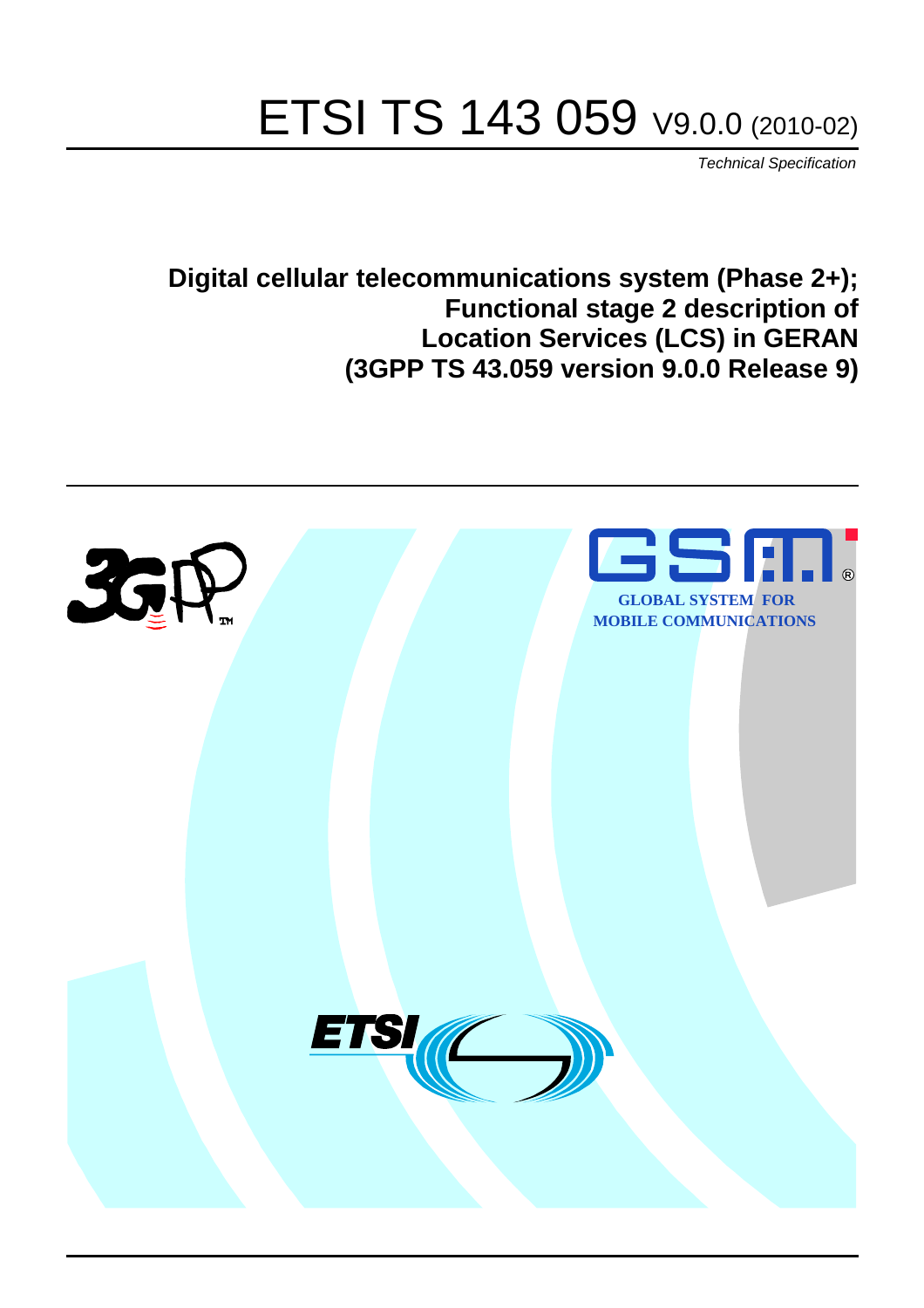# ETSI TS 143 059 V9.0.0 (2010-02)

*Technical Specification*

**Digital cellular telecommunications system (Phase 2+); Functional stage 2 description of Location Services (LCS) in GERAN (3GPP TS 43.059 version 9.0.0 Release 9)**

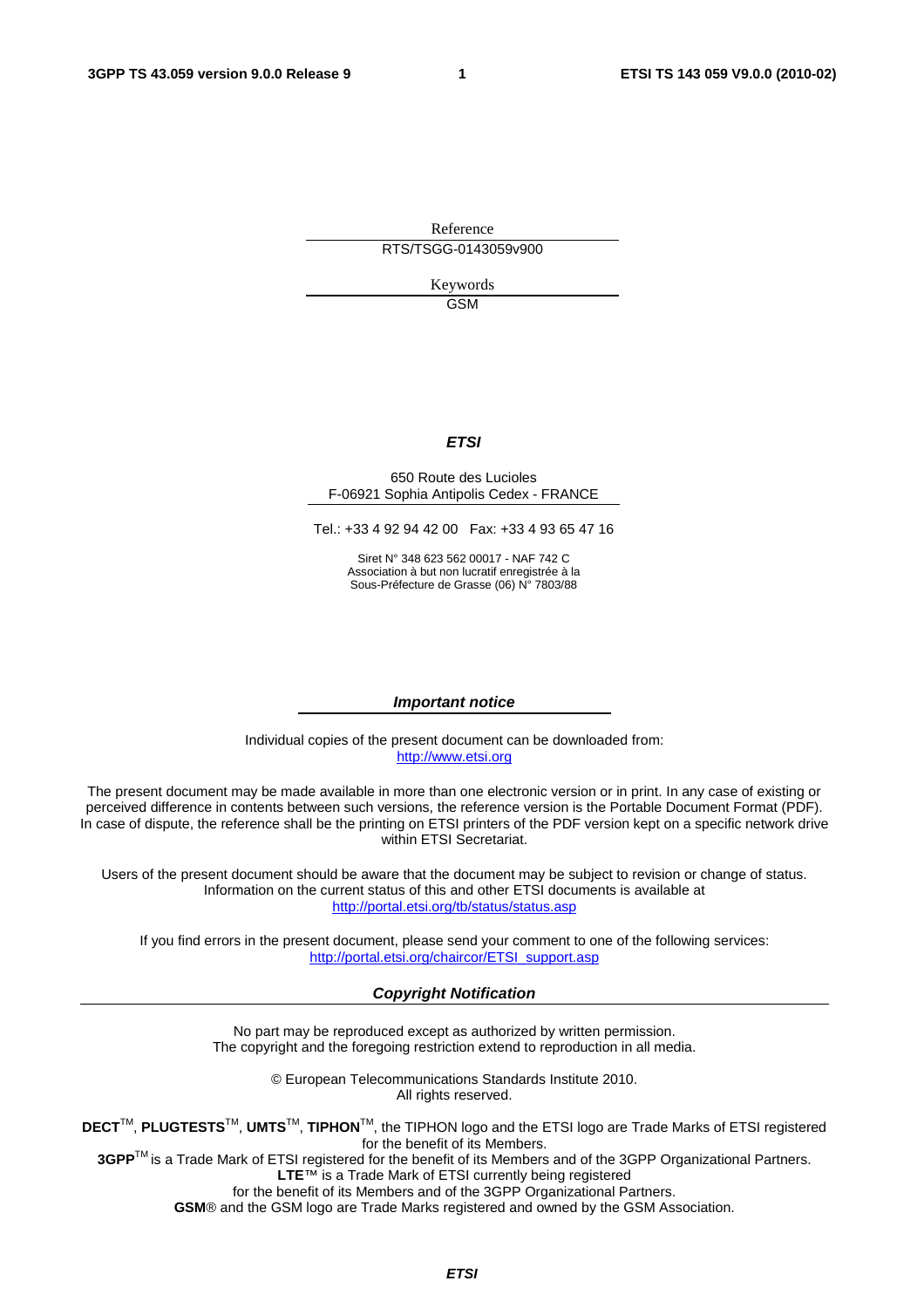Reference RTS/TSGG-0143059v900

> Keywords GSM

#### *ETSI*

#### 650 Route des Lucioles F-06921 Sophia Antipolis Cedex - FRANCE

Tel.: +33 4 92 94 42 00 Fax: +33 4 93 65 47 16

Siret N° 348 623 562 00017 - NAF 742 C Association à but non lucratif enregistrée à la Sous-Préfecture de Grasse (06) N° 7803/88

#### *Important notice*

Individual copies of the present document can be downloaded from: [http://www.etsi.org](http://www.etsi.org/)

The present document may be made available in more than one electronic version or in print. In any case of existing or perceived difference in contents between such versions, the reference version is the Portable Document Format (PDF). In case of dispute, the reference shall be the printing on ETSI printers of the PDF version kept on a specific network drive within ETSI Secretariat.

Users of the present document should be aware that the document may be subject to revision or change of status. Information on the current status of this and other ETSI documents is available at <http://portal.etsi.org/tb/status/status.asp>

If you find errors in the present document, please send your comment to one of the following services: [http://portal.etsi.org/chaircor/ETSI\\_support.asp](http://portal.etsi.org/chaircor/ETSI_support.asp)

#### *Copyright Notification*

No part may be reproduced except as authorized by written permission. The copyright and the foregoing restriction extend to reproduction in all media.

> © European Telecommunications Standards Institute 2010. All rights reserved.

**DECT**TM, **PLUGTESTS**TM, **UMTS**TM, **TIPHON**TM, the TIPHON logo and the ETSI logo are Trade Marks of ETSI registered for the benefit of its Members.

**3GPP**TM is a Trade Mark of ETSI registered for the benefit of its Members and of the 3GPP Organizational Partners. **LTE**™ is a Trade Mark of ETSI currently being registered

for the benefit of its Members and of the 3GPP Organizational Partners.

**GSM**® and the GSM logo are Trade Marks registered and owned by the GSM Association.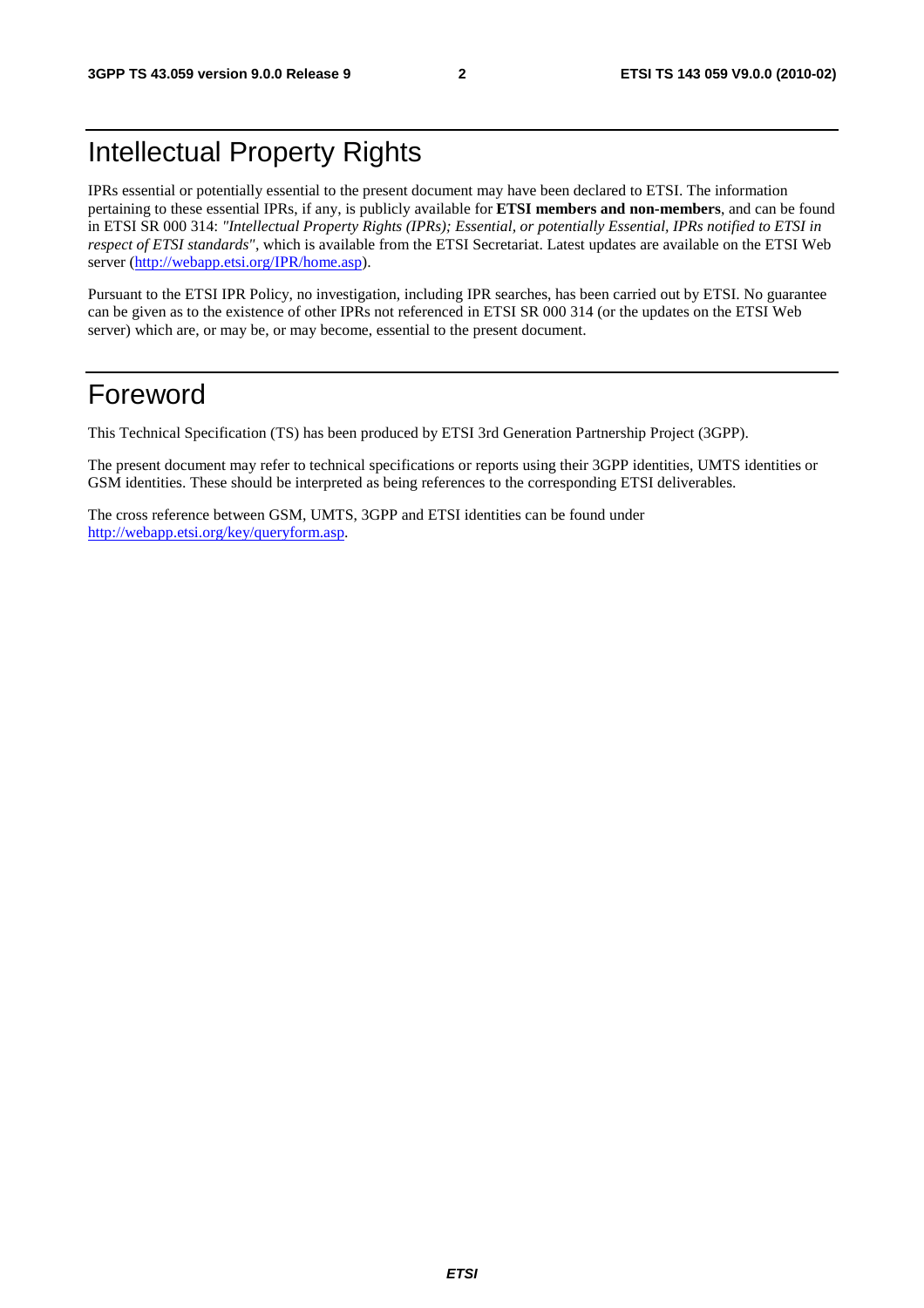## Intellectual Property Rights

IPRs essential or potentially essential to the present document may have been declared to ETSI. The information pertaining to these essential IPRs, if any, is publicly available for **ETSI members and non-members**, and can be found in ETSI SR 000 314: *"Intellectual Property Rights (IPRs); Essential, or potentially Essential, IPRs notified to ETSI in respect of ETSI standards"*, which is available from the ETSI Secretariat. Latest updates are available on the ETSI Web server [\(http://webapp.etsi.org/IPR/home.asp](http://webapp.etsi.org/IPR/home.asp)).

Pursuant to the ETSI IPR Policy, no investigation, including IPR searches, has been carried out by ETSI. No guarantee can be given as to the existence of other IPRs not referenced in ETSI SR 000 314 (or the updates on the ETSI Web server) which are, or may be, or may become, essential to the present document.

## Foreword

This Technical Specification (TS) has been produced by ETSI 3rd Generation Partnership Project (3GPP).

The present document may refer to technical specifications or reports using their 3GPP identities, UMTS identities or GSM identities. These should be interpreted as being references to the corresponding ETSI deliverables.

The cross reference between GSM, UMTS, 3GPP and ETSI identities can be found under [http://webapp.etsi.org/key/queryform.asp.](http://webapp.etsi.org/key/queryform.asp)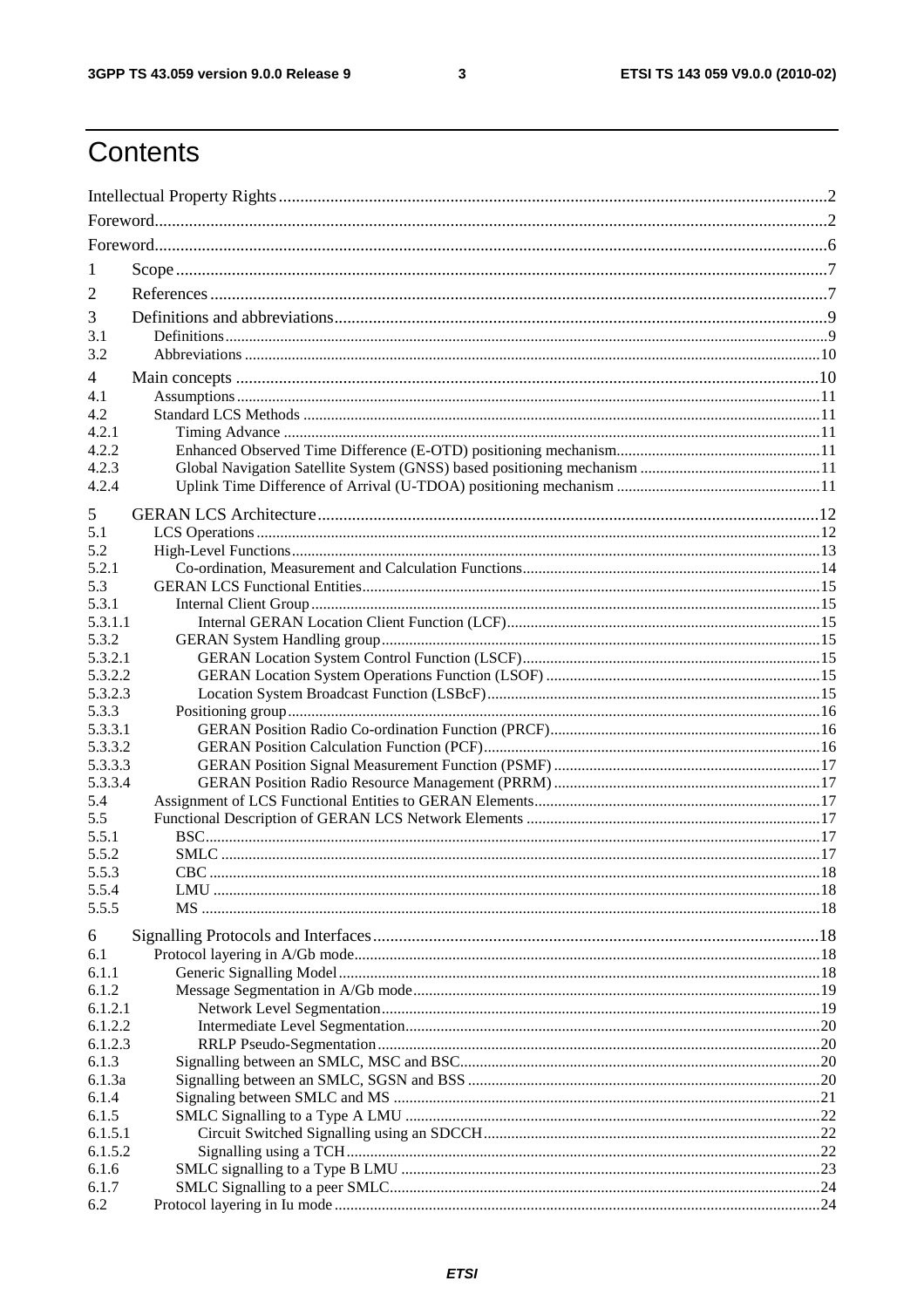$\mathbf{3}$ 

## Contents

| -1              |  |  |  |  |  |
|-----------------|--|--|--|--|--|
|                 |  |  |  |  |  |
| 2               |  |  |  |  |  |
| 3               |  |  |  |  |  |
| 3.1             |  |  |  |  |  |
| 3.2             |  |  |  |  |  |
| 4               |  |  |  |  |  |
| 4.1             |  |  |  |  |  |
| 4.2             |  |  |  |  |  |
| 4.2.1<br>4.2.2  |  |  |  |  |  |
| 4.2.3           |  |  |  |  |  |
| 4.2.4           |  |  |  |  |  |
|                 |  |  |  |  |  |
| 5               |  |  |  |  |  |
| 5.1             |  |  |  |  |  |
| 5.2             |  |  |  |  |  |
| 5.2.1<br>5.3    |  |  |  |  |  |
| 5.3.1           |  |  |  |  |  |
| 5.3.1.1         |  |  |  |  |  |
| 5.3.2           |  |  |  |  |  |
| 5.3.2.1         |  |  |  |  |  |
| 5.3.2.2         |  |  |  |  |  |
| 5.3.2.3         |  |  |  |  |  |
| 5.3.3           |  |  |  |  |  |
| 5.3.3.1         |  |  |  |  |  |
| 5.3.3.2         |  |  |  |  |  |
| 5.3.3.3         |  |  |  |  |  |
| 5.3.3.4         |  |  |  |  |  |
| 5.4             |  |  |  |  |  |
| 5.5             |  |  |  |  |  |
| 5.5.1           |  |  |  |  |  |
| 5.5.2           |  |  |  |  |  |
| 5.5.3           |  |  |  |  |  |
| 5.5.4<br>5.5.5  |  |  |  |  |  |
|                 |  |  |  |  |  |
| 6               |  |  |  |  |  |
| 6.1             |  |  |  |  |  |
| 6.1.1           |  |  |  |  |  |
| 6.1.2           |  |  |  |  |  |
| 6.1.2.1         |  |  |  |  |  |
| 6.1.2.2         |  |  |  |  |  |
| 6.1.2.3         |  |  |  |  |  |
| 6.1.3           |  |  |  |  |  |
| 6.1.3a<br>6.1.4 |  |  |  |  |  |
| 6.1.5           |  |  |  |  |  |
| 6.1.5.1         |  |  |  |  |  |
| 6.1.5.2         |  |  |  |  |  |
| 6.1.6           |  |  |  |  |  |
| 6.1.7           |  |  |  |  |  |
| 6.2             |  |  |  |  |  |
|                 |  |  |  |  |  |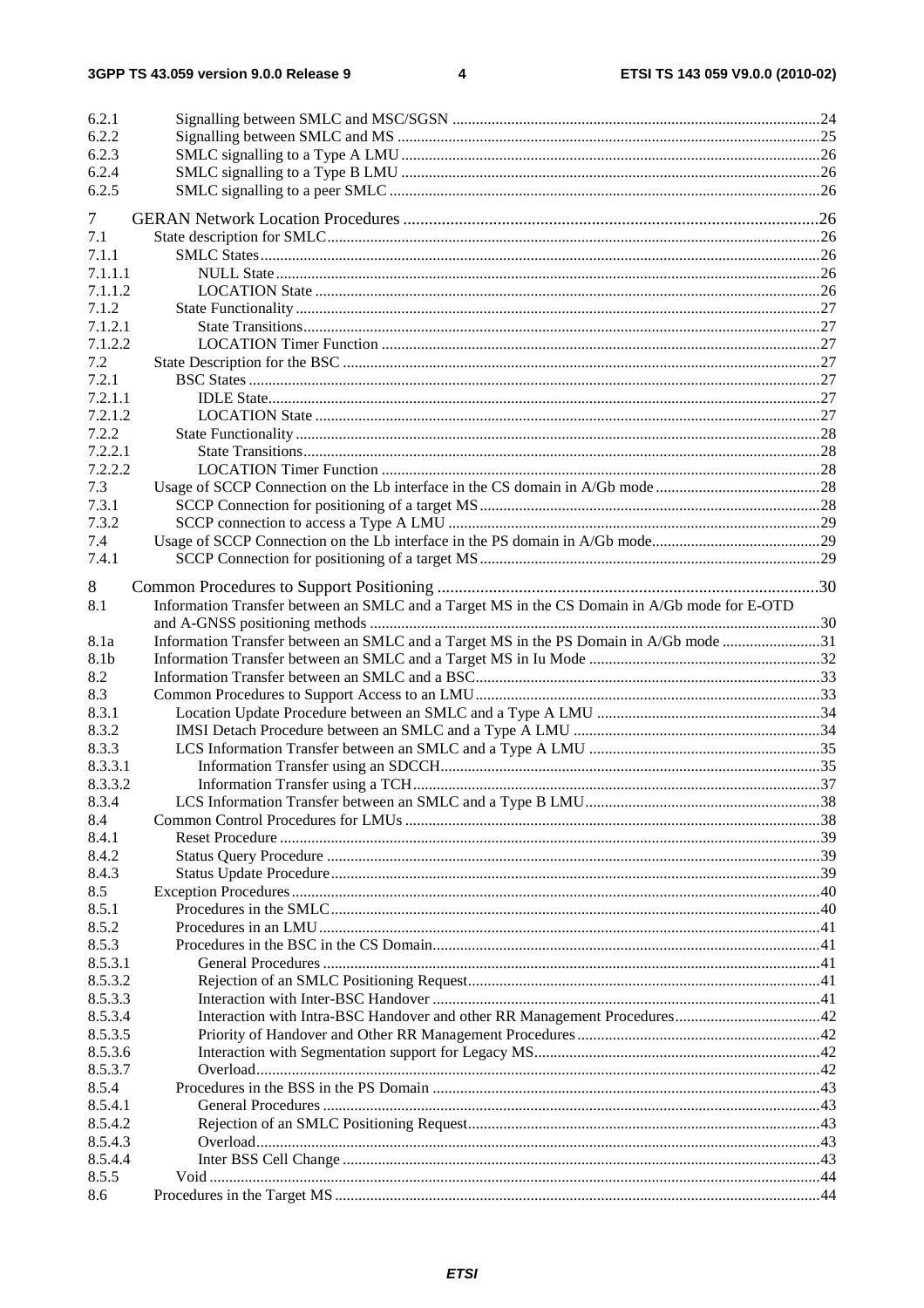$\overline{\mathbf{4}}$ 

| 6.2.1       |                                                                                              |  |
|-------------|----------------------------------------------------------------------------------------------|--|
| 6.2.2       |                                                                                              |  |
| 6.2.3       |                                                                                              |  |
| 6.2.4       |                                                                                              |  |
| 6.2.5       |                                                                                              |  |
| 7           |                                                                                              |  |
| 7.1         |                                                                                              |  |
| 7.1.1       |                                                                                              |  |
| 7.1.1.1     |                                                                                              |  |
| 7.1.1.2     |                                                                                              |  |
| 7.1.2       |                                                                                              |  |
| 7.1.2.1     |                                                                                              |  |
| 7.1.2.2     |                                                                                              |  |
| 7.2         |                                                                                              |  |
| 7.2.1       |                                                                                              |  |
| 7.2.1.1     |                                                                                              |  |
| 7.2.1.2     |                                                                                              |  |
| 7.2.2       |                                                                                              |  |
| 7.2.2.1     |                                                                                              |  |
| 7.2.2.2     |                                                                                              |  |
| 7.3         |                                                                                              |  |
| 7.3.1       |                                                                                              |  |
| 7.3.2       |                                                                                              |  |
| 7.4         |                                                                                              |  |
| 7.4.1       |                                                                                              |  |
|             |                                                                                              |  |
| 8           |                                                                                              |  |
| 8.1         | Information Transfer between an SMLC and a Target MS in the CS Domain in A/Gb mode for E-OTD |  |
|             |                                                                                              |  |
| 8.1a        | Information Transfer between an SMLC and a Target MS in the PS Domain in A/Gb mode 31        |  |
| 8.1b<br>8.2 |                                                                                              |  |
| 8.3         |                                                                                              |  |
| 8.3.1       |                                                                                              |  |
| 8.3.2       |                                                                                              |  |
| 8.3.3       |                                                                                              |  |
| 8.3.3.1     |                                                                                              |  |
| 8.3.3.2     |                                                                                              |  |
| 8.3.4       |                                                                                              |  |
| 8.4         |                                                                                              |  |
| 8.4.1       |                                                                                              |  |
| 8.4.2       |                                                                                              |  |
| 8.4.3       |                                                                                              |  |
| 8.5         |                                                                                              |  |
| 8.5.1       |                                                                                              |  |
| 8.5.2       |                                                                                              |  |
| 8.5.3       |                                                                                              |  |
| 8.5.3.1     |                                                                                              |  |
| 8.5.3.2     |                                                                                              |  |
| 8.5.3.3     |                                                                                              |  |
| 8.5.3.4     |                                                                                              |  |
| 8.5.3.5     |                                                                                              |  |
| 8.5.3.6     |                                                                                              |  |
| 8.5.3.7     |                                                                                              |  |
| 8.5.4       |                                                                                              |  |
| 8.5.4.1     |                                                                                              |  |
| 8.5.4.2     |                                                                                              |  |
| 8.5.4.3     |                                                                                              |  |
| 8.5.4.4     |                                                                                              |  |
| 8.5.5       |                                                                                              |  |
| 8.6         |                                                                                              |  |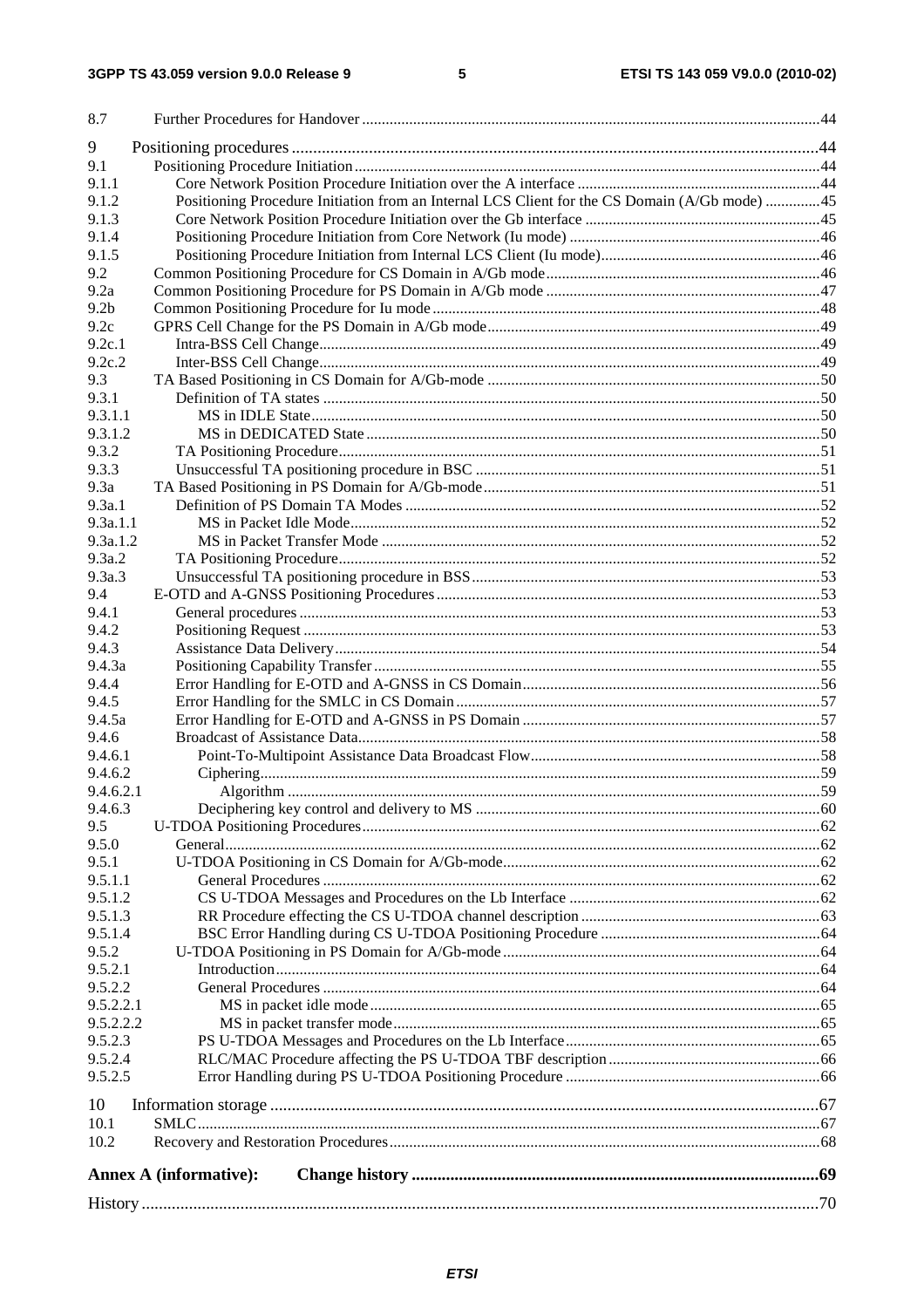|                    | <b>Annex A (informative):</b>                                                                 |  |
|--------------------|-----------------------------------------------------------------------------------------------|--|
| 10.2               |                                                                                               |  |
| 10.1               |                                                                                               |  |
| 10                 |                                                                                               |  |
|                    |                                                                                               |  |
| 9.5.2.5            |                                                                                               |  |
| 9.5.2.3<br>9.5.2.4 |                                                                                               |  |
| 9.5.2.2.2          |                                                                                               |  |
| 9.5.2.2.1          |                                                                                               |  |
| 9.5.2.2            |                                                                                               |  |
| 9.5.2.1            |                                                                                               |  |
| 9.5.2              |                                                                                               |  |
| 9.5.1.4            |                                                                                               |  |
| 9.5.1.3            |                                                                                               |  |
| 9.5.1.2            |                                                                                               |  |
| 9.5.1.1            |                                                                                               |  |
| 9.5.1              |                                                                                               |  |
| 9.5.0              |                                                                                               |  |
| 9.5                |                                                                                               |  |
| 9.4.6.3            |                                                                                               |  |
| 9.4.6.2.1          |                                                                                               |  |
| 9.4.6.2            |                                                                                               |  |
| 9.4.6.1            |                                                                                               |  |
| 9.4.6              |                                                                                               |  |
| 9.4.5a             |                                                                                               |  |
| 9.4.5              |                                                                                               |  |
| 9.4.4              |                                                                                               |  |
| 9.4.3<br>9.4.3a    |                                                                                               |  |
| 9.4.2              |                                                                                               |  |
| 9.4.1              |                                                                                               |  |
| 9.4                |                                                                                               |  |
| 9.3a.3             |                                                                                               |  |
| 9.3a.2             |                                                                                               |  |
| 9.3a.1.2           |                                                                                               |  |
| 9.3a.1.1           |                                                                                               |  |
| 9.3a.1             |                                                                                               |  |
| 9.3a               |                                                                                               |  |
| 9.3.3              |                                                                                               |  |
| 9.3.2              |                                                                                               |  |
| 9.3.1.2            |                                                                                               |  |
| 9.3.1.1            |                                                                                               |  |
| 9.3.1              |                                                                                               |  |
| 9.3                |                                                                                               |  |
| 9.2c.2             |                                                                                               |  |
| 9.2c.1             |                                                                                               |  |
| 9.2c               |                                                                                               |  |
| 9.2 <sub>b</sub>   |                                                                                               |  |
| 9.2a               |                                                                                               |  |
| 9.2                |                                                                                               |  |
| 9.1.5              |                                                                                               |  |
| 9.1.4              |                                                                                               |  |
| 9.1.3              |                                                                                               |  |
| 9.1.2              | Positioning Procedure Initiation from an Internal LCS Client for the CS Domain (A/Gb mode) 45 |  |
| 9.1<br>9.1.1       |                                                                                               |  |
| 9                  |                                                                                               |  |
|                    |                                                                                               |  |
| 8.7                |                                                                                               |  |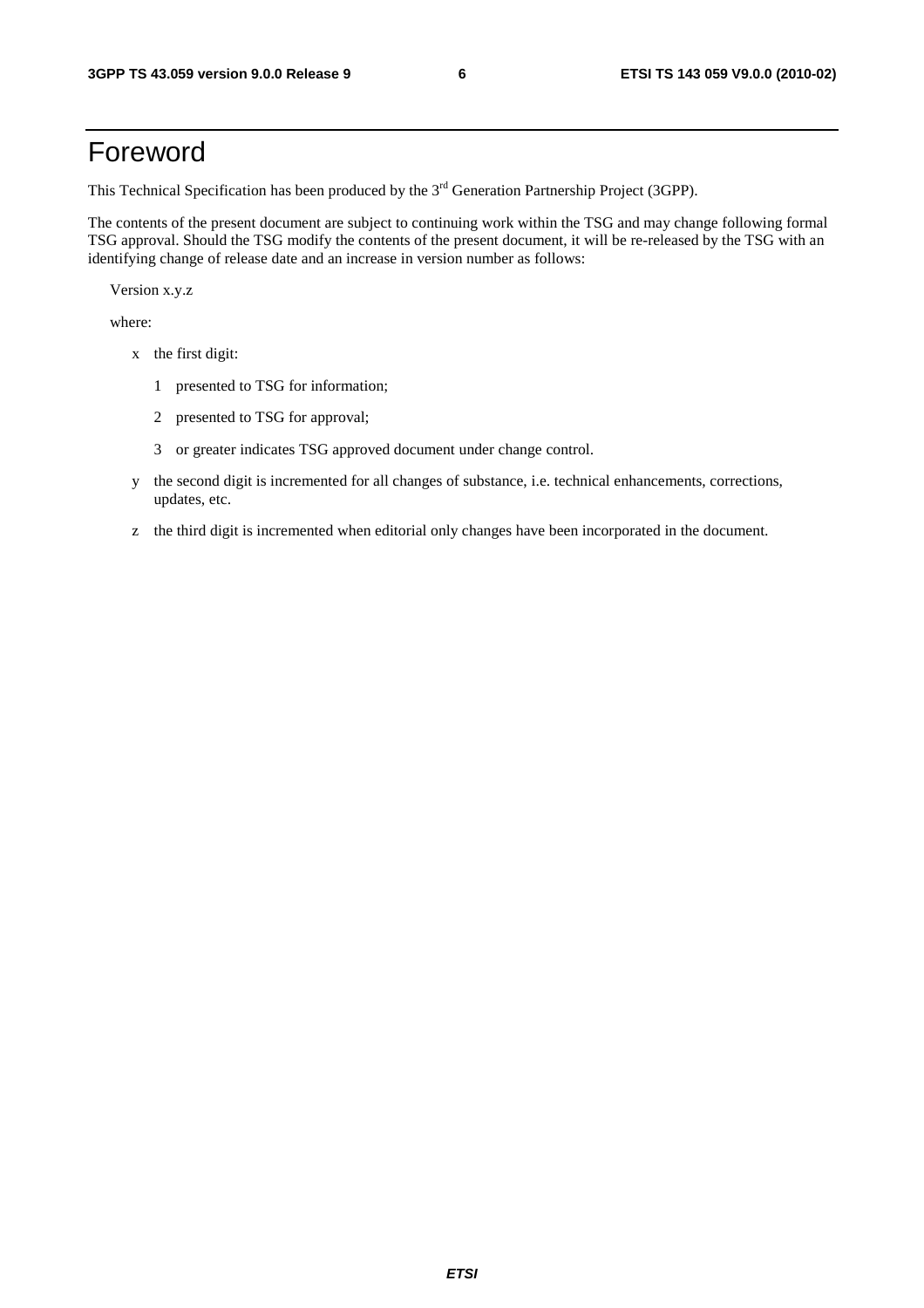## Foreword

This Technical Specification has been produced by the 3<sup>rd</sup> Generation Partnership Project (3GPP).

The contents of the present document are subject to continuing work within the TSG and may change following formal TSG approval. Should the TSG modify the contents of the present document, it will be re-released by the TSG with an identifying change of release date and an increase in version number as follows:

Version x.y.z

where:

- x the first digit:
	- 1 presented to TSG for information;
	- 2 presented to TSG for approval;
	- 3 or greater indicates TSG approved document under change control.
- y the second digit is incremented for all changes of substance, i.e. technical enhancements, corrections, updates, etc.
- z the third digit is incremented when editorial only changes have been incorporated in the document.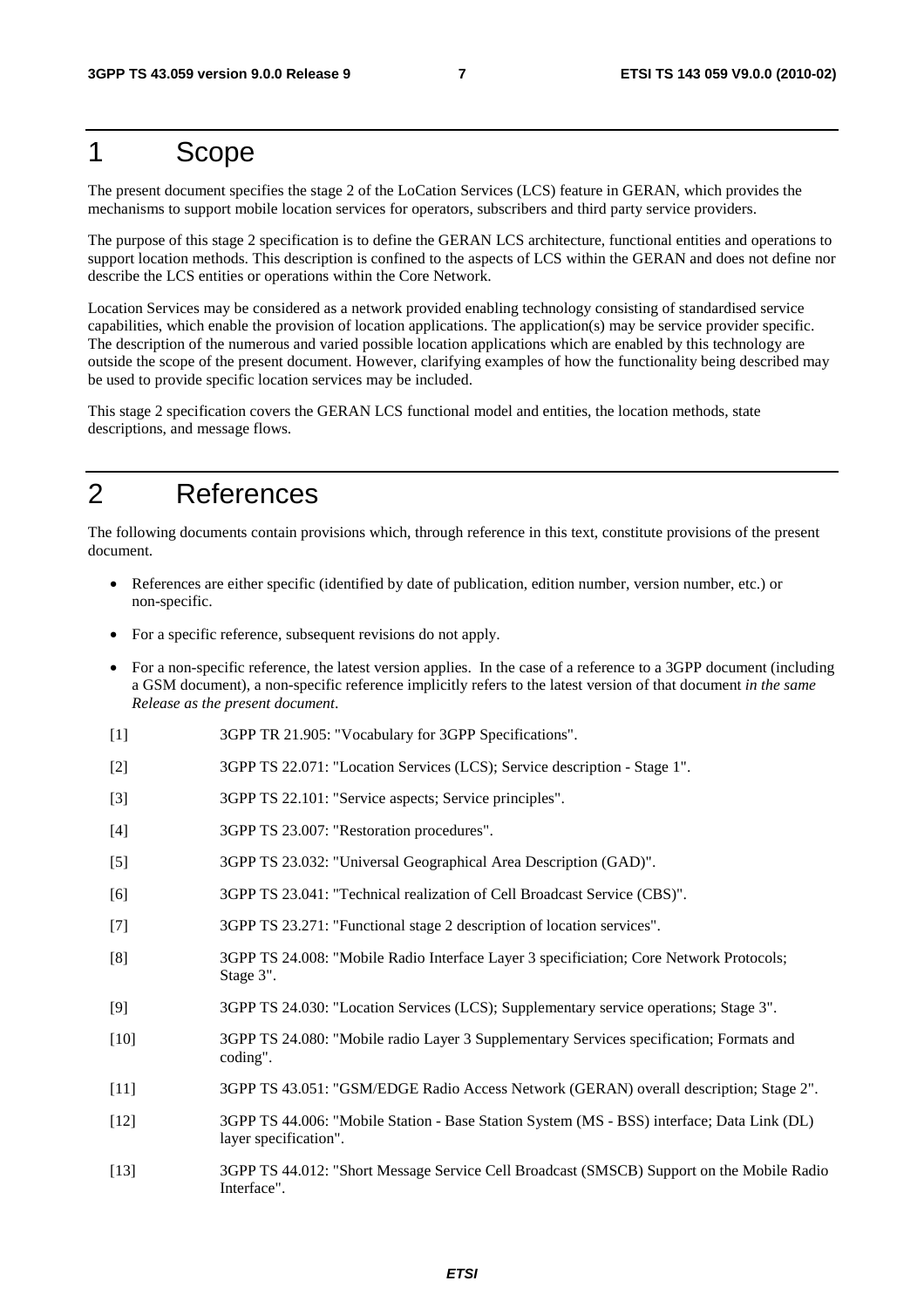## 1 Scope

The present document specifies the stage 2 of the LoCation Services (LCS) feature in GERAN, which provides the mechanisms to support mobile location services for operators, subscribers and third party service providers.

The purpose of this stage 2 specification is to define the GERAN LCS architecture, functional entities and operations to support location methods. This description is confined to the aspects of LCS within the GERAN and does not define nor describe the LCS entities or operations within the Core Network.

Location Services may be considered as a network provided enabling technology consisting of standardised service capabilities, which enable the provision of location applications. The application(s) may be service provider specific. The description of the numerous and varied possible location applications which are enabled by this technology are outside the scope of the present document. However, clarifying examples of how the functionality being described may be used to provide specific location services may be included.

This stage 2 specification covers the GERAN LCS functional model and entities, the location methods, state descriptions, and message flows.

## 2 References

The following documents contain provisions which, through reference in this text, constitute provisions of the present document.

- References are either specific (identified by date of publication, edition number, version number, etc.) or non-specific.
- For a specific reference, subsequent revisions do not apply.
- For a non-specific reference, the latest version applies. In the case of a reference to a 3GPP document (including a GSM document), a non-specific reference implicitly refers to the latest version of that document *in the same Release as the present document*.
- [1] 3GPP TR 21.905: "Vocabulary for 3GPP Specifications".
- [2] 3GPP TS 22.071: "Location Services (LCS); Service description Stage 1".
- [3] 3GPP TS 22.101: "Service aspects; Service principles".
- [4] 3GPP TS 23.007: "Restoration procedures".
- [5] 3GPP TS 23.032: "Universal Geographical Area Description (GAD)".
- [6] 3GPP TS 23.041: "Technical realization of Cell Broadcast Service (CBS)".
- [7] 3GPP TS 23.271: "Functional stage 2 description of location services".
- [8] 3GPP TS 24.008: "Mobile Radio Interface Layer 3 specificiation; Core Network Protocols; Stage 3".
- [9] 3GPP TS 24.030: "Location Services (LCS); Supplementary service operations; Stage 3".
- [10] 3GPP TS 24.080: "Mobile radio Layer 3 Supplementary Services specification; Formats and coding".
- [11] 3GPP TS 43.051: "GSM/EDGE Radio Access Network (GERAN) overall description; Stage 2".
- [12] 3GPP TS 44.006: "Mobile Station Base Station System (MS BSS) interface; Data Link (DL) layer specification".
- [13] 3GPP TS 44.012: "Short Message Service Cell Broadcast (SMSCB) Support on the Mobile Radio Interface".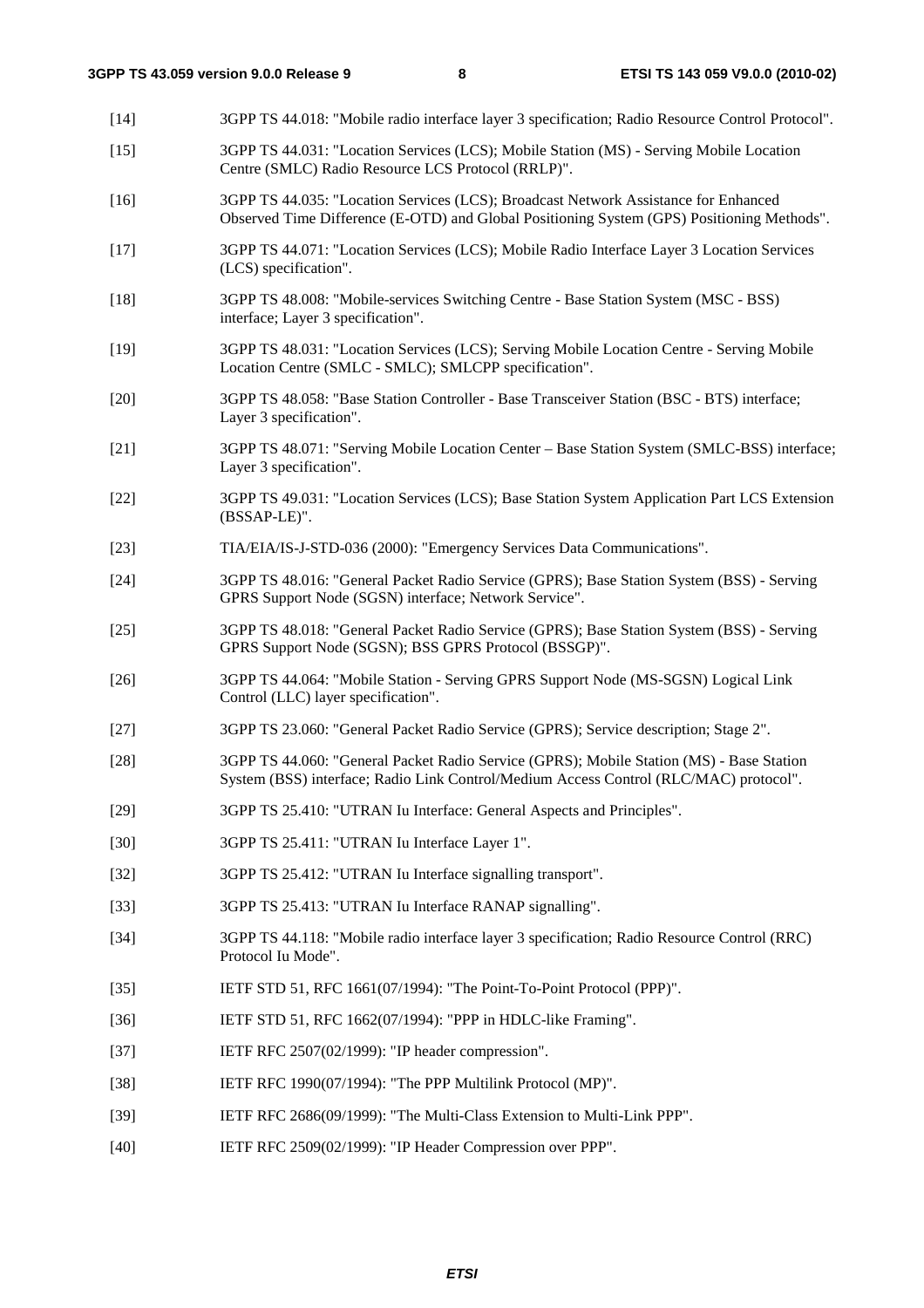[14] 3GPP TS 44.018: "Mobile radio interface layer 3 specification; Radio Resource Control Protocol". [15] 3GPP TS 44.031: "Location Services (LCS); Mobile Station (MS) - Serving Mobile Location Centre (SMLC) Radio Resource LCS Protocol (RRLP)". [16] 3GPP TS 44.035: "Location Services (LCS); Broadcast Network Assistance for Enhanced Observed Time Difference (E-OTD) and Global Positioning System (GPS) Positioning Methods". [17] 3GPP TS 44.071: "Location Services (LCS); Mobile Radio Interface Layer 3 Location Services (LCS) specification". [18] 3GPP TS 48.008: "Mobile-services Switching Centre - Base Station System (MSC - BSS) interface; Layer 3 specification". [19] 3GPP TS 48.031: "Location Services (LCS); Serving Mobile Location Centre - Serving Mobile Location Centre (SMLC - SMLC); SMLCPP specification". [20] 3GPP TS 48.058: "Base Station Controller - Base Transceiver Station (BSC - BTS) interface; Layer 3 specification". [21] 3GPP TS 48.071: "Serving Mobile Location Center – Base Station System (SMLC-BSS) interface; Layer 3 specification". [22] 3GPP TS 49.031: "Location Services (LCS); Base Station System Application Part LCS Extension (BSSAP-LE)". [23] TIA/EIA/IS-J-STD-036 (2000): "Emergency Services Data Communications". [24] 3GPP TS 48.016: "General Packet Radio Service (GPRS); Base Station System (BSS) - Serving GPRS Support Node (SGSN) interface; Network Service". [25] 3GPP TS 48.018: "General Packet Radio Service (GPRS); Base Station System (BSS) - Serving GPRS Support Node (SGSN); BSS GPRS Protocol (BSSGP)". [26] 3GPP TS 44.064: "Mobile Station - Serving GPRS Support Node (MS-SGSN) Logical Link Control (LLC) layer specification". [27] 3GPP TS 23.060: "General Packet Radio Service (GPRS); Service description; Stage 2". [28] 3GPP TS 44.060: "General Packet Radio Service (GPRS); Mobile Station (MS) - Base Station System (BSS) interface; Radio Link Control/Medium Access Control (RLC/MAC) protocol". [29] 3GPP TS 25.410: "UTRAN Iu Interface: General Aspects and Principles". [30] 3GPP TS 25.411: "UTRAN Iu Interface Layer 1". [32] 3GPP TS 25.412: "UTRAN Iu Interface signalling transport". [33] 3GPP TS 25.413: "UTRAN Iu Interface RANAP signalling". [34] 3GPP TS 44.118: "Mobile radio interface layer 3 specification; Radio Resource Control (RRC) Protocol Iu Mode". [35] IETF STD 51, RFC 1661(07/1994): "The Point-To-Point Protocol (PPP)". [36] IETF STD 51, RFC 1662(07/1994): "PPP in HDLC-like Framing". [37] IETF RFC 2507(02/1999): "IP header compression". [38] IETF RFC 1990(07/1994): "The PPP Multilink Protocol (MP)". [39] IETF RFC 2686(09/1999): "The Multi-Class Extension to Multi-Link PPP". [40] IETF RFC 2509(02/1999): "IP Header Compression over PPP".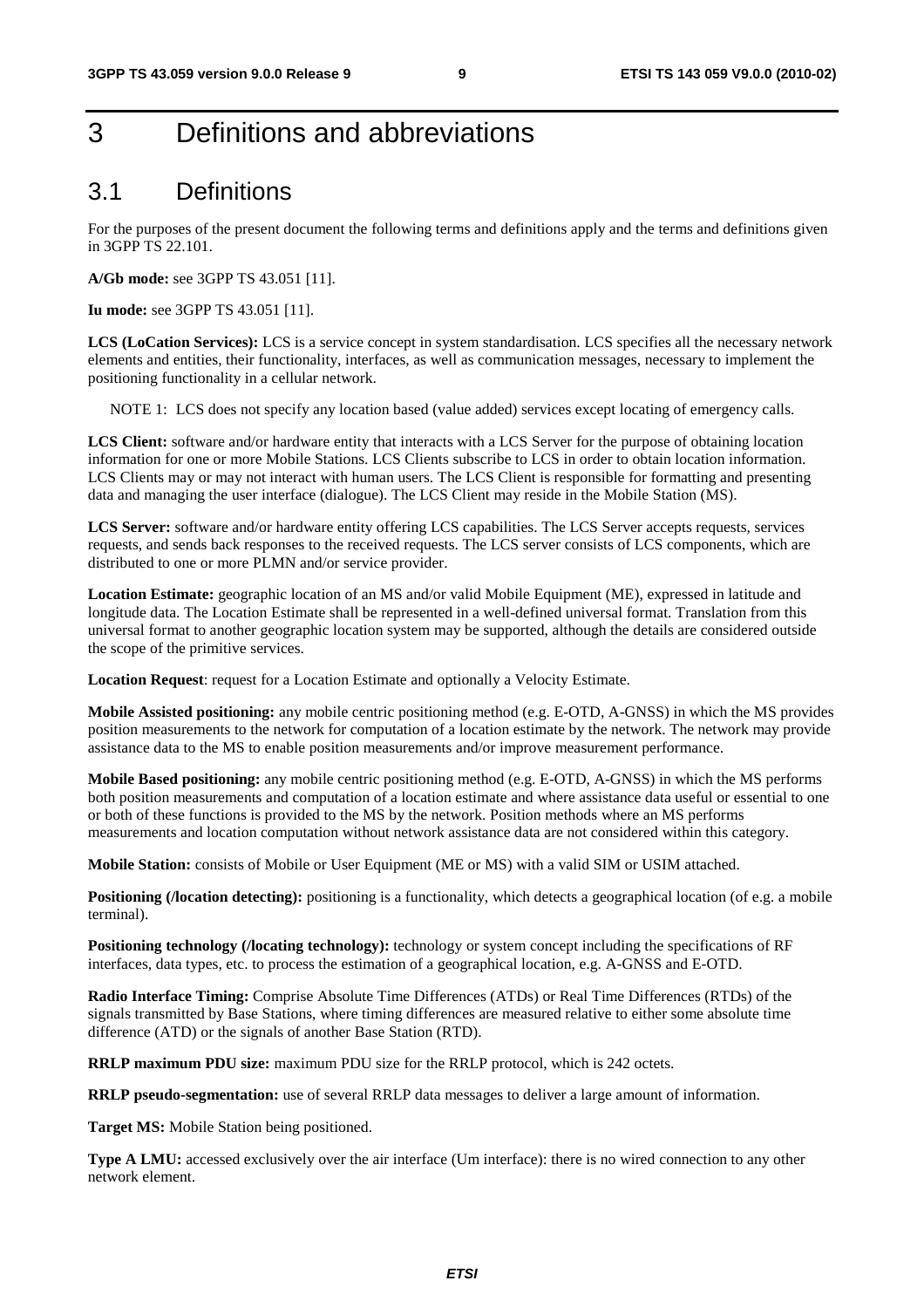## 3 Definitions and abbreviations

## 3.1 Definitions

For the purposes of the present document the following terms and definitions apply and the terms and definitions given in 3GPP TS 22.101.

**A/Gb mode:** see 3GPP TS 43.051 [11].

**Iu mode:** see 3GPP TS 43.051 [11].

**LCS (LoCation Services):** LCS is a service concept in system standardisation. LCS specifies all the necessary network elements and entities, their functionality, interfaces, as well as communication messages, necessary to implement the positioning functionality in a cellular network.

NOTE 1: LCS does not specify any location based (value added) services except locating of emergency calls.

**LCS Client:** software and/or hardware entity that interacts with a LCS Server for the purpose of obtaining location information for one or more Mobile Stations. LCS Clients subscribe to LCS in order to obtain location information. LCS Clients may or may not interact with human users. The LCS Client is responsible for formatting and presenting data and managing the user interface (dialogue). The LCS Client may reside in the Mobile Station (MS).

**LCS Server:** software and/or hardware entity offering LCS capabilities. The LCS Server accepts requests, services requests, and sends back responses to the received requests. The LCS server consists of LCS components, which are distributed to one or more PLMN and/or service provider.

**Location Estimate:** geographic location of an MS and/or valid Mobile Equipment (ME), expressed in latitude and longitude data. The Location Estimate shall be represented in a well-defined universal format. Translation from this universal format to another geographic location system may be supported, although the details are considered outside the scope of the primitive services.

**Location Request:** request for a Location Estimate and optionally a Velocity Estimate.

**Mobile Assisted positioning:** any mobile centric positioning method (e.g. E-OTD, A-GNSS) in which the MS provides position measurements to the network for computation of a location estimate by the network. The network may provide assistance data to the MS to enable position measurements and/or improve measurement performance.

**Mobile Based positioning:** any mobile centric positioning method (e.g. E-OTD, A-GNSS) in which the MS performs both position measurements and computation of a location estimate and where assistance data useful or essential to one or both of these functions is provided to the MS by the network. Position methods where an MS performs measurements and location computation without network assistance data are not considered within this category.

**Mobile Station:** consists of Mobile or User Equipment (ME or MS) with a valid SIM or USIM attached.

**Positioning (***location detecting*): positioning is a functionality, which detects a geographical location (of e.g. a mobile terminal).

**Positioning technology (/locating technology):** technology or system concept including the specifications of RF interfaces, data types, etc. to process the estimation of a geographical location, e.g. A-GNSS and E-OTD.

**Radio Interface Timing:** Comprise Absolute Time Differences (ATDs) or Real Time Differences (RTDs) of the signals transmitted by Base Stations, where timing differences are measured relative to either some absolute time difference (ATD) or the signals of another Base Station (RTD).

**RRLP maximum PDU size:** maximum PDU size for the RRLP protocol, which is 242 octets.

**RRLP pseudo-segmentation:** use of several RRLP data messages to deliver a large amount of information.

**Target MS:** Mobile Station being positioned.

**Type A LMU:** accessed exclusively over the air interface (Um interface): there is no wired connection to any other network element.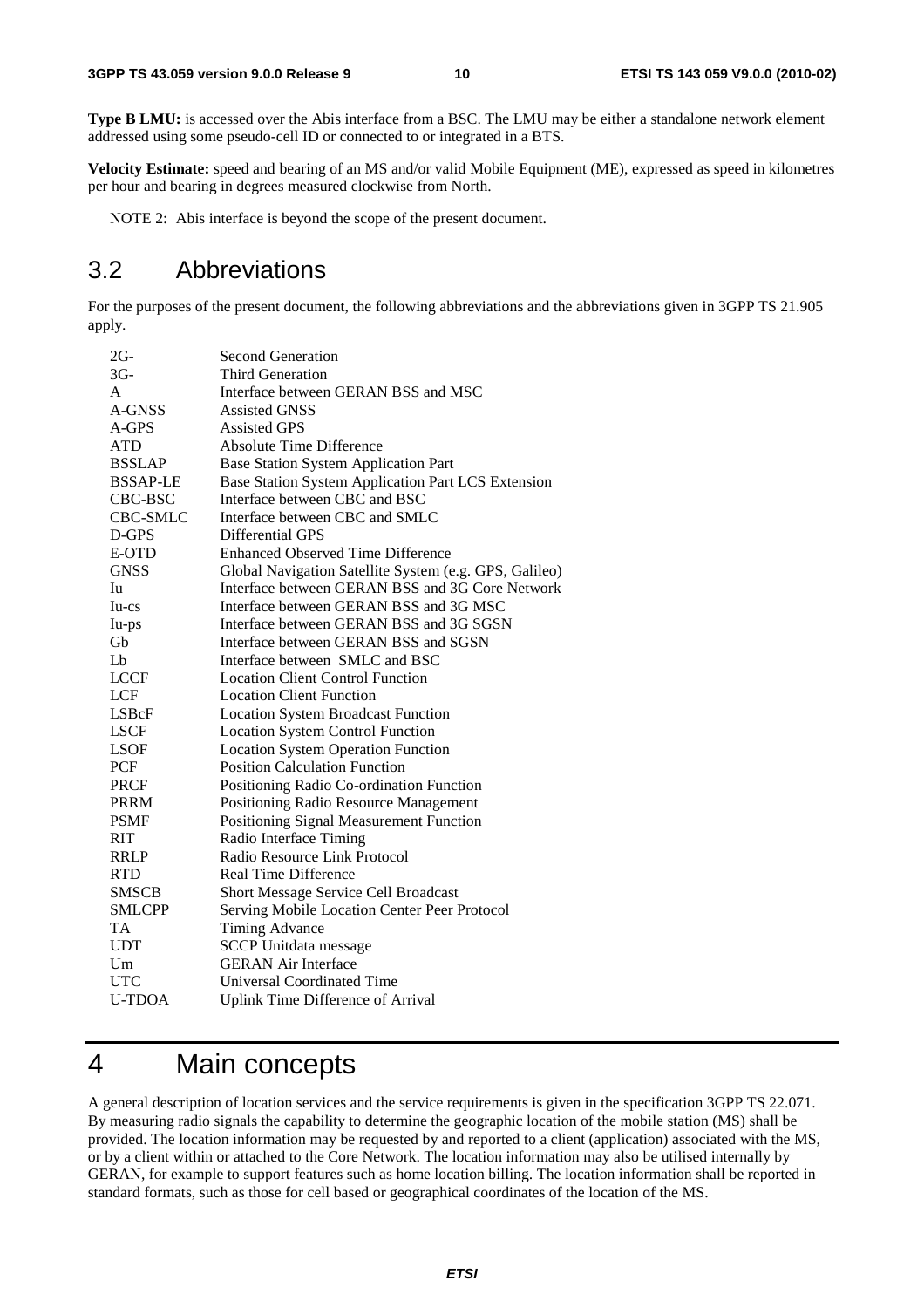**Type B LMU:** is accessed over the Abis interface from a BSC. The LMU may be either a standalone network element addressed using some pseudo-cell ID or connected to or integrated in a BTS.

**Velocity Estimate:** speed and bearing of an MS and/or valid Mobile Equipment (ME), expressed as speed in kilometres per hour and bearing in degrees measured clockwise from North.

NOTE 2: Abis interface is beyond the scope of the present document.

## 3.2 Abbreviations

For the purposes of the present document, the following abbreviations and the abbreviations given in 3GPP TS 21.905 apply.

| $2G-$           | <b>Second Generation</b>                               |
|-----------------|--------------------------------------------------------|
| $3G-$           | <b>Third Generation</b>                                |
| A               | Interface between GERAN BSS and MSC                    |
| A-GNSS          | <b>Assisted GNSS</b>                                   |
| A-GPS           | <b>Assisted GPS</b>                                    |
| <b>ATD</b>      | <b>Absolute Time Difference</b>                        |
| <b>BSSLAP</b>   | <b>Base Station System Application Part</b>            |
| <b>BSSAP-LE</b> | Base Station System Application Part LCS Extension     |
| CBC-BSC         | Interface between CBC and BSC                          |
| <b>CBC-SMLC</b> | Interface between CBC and SMLC                         |
| D-GPS           | <b>Differential GPS</b>                                |
| E-OTD           | <b>Enhanced Observed Time Difference</b>               |
| <b>GNSS</b>     | Global Navigation Satellite System (e.g. GPS, Galileo) |
| Iu              | Interface between GERAN BSS and 3G Core Network        |
| $Iu-cs$         | Interface between GERAN BSS and 3G MSC                 |
| Iu-ps           | Interface between GERAN BSS and 3G SGSN                |
| Gb              | Interface between GERAN BSS and SGSN                   |
| L <sub>b</sub>  | Interface between SMLC and BSC                         |
| <b>LCCF</b>     | <b>Location Client Control Function</b>                |
| LCF             | <b>Location Client Function</b>                        |
| LSBcF           | <b>Location System Broadcast Function</b>              |
| <b>LSCF</b>     | <b>Location System Control Function</b>                |
| <b>LSOF</b>     | <b>Location System Operation Function</b>              |
| PCF             | <b>Position Calculation Function</b>                   |
| <b>PRCF</b>     | Positioning Radio Co-ordination Function               |
| <b>PRRM</b>     | Positioning Radio Resource Management                  |
| <b>PSMF</b>     | Positioning Signal Measurement Function                |
| <b>RIT</b>      | Radio Interface Timing                                 |
| <b>RRLP</b>     | Radio Resource Link Protocol                           |
| <b>RTD</b>      | <b>Real Time Difference</b>                            |
| <b>SMSCB</b>    | Short Message Service Cell Broadcast                   |
| <b>SMLCPP</b>   | Serving Mobile Location Center Peer Protocol           |
| <b>TA</b>       | <b>Timing Advance</b>                                  |
| <b>UDT</b>      | <b>SCCP</b> Unitdata message                           |
| Um              | <b>GERAN Air Interface</b>                             |
| <b>UTC</b>      | Universal Coordinated Time                             |
| <b>U-TDOA</b>   | <b>Uplink Time Difference of Arrival</b>               |

## 4 Main concepts

A general description of location services and the service requirements is given in the specification 3GPP TS 22.071. By measuring radio signals the capability to determine the geographic location of the mobile station (MS) shall be provided. The location information may be requested by and reported to a client (application) associated with the MS, or by a client within or attached to the Core Network. The location information may also be utilised internally by GERAN, for example to support features such as home location billing. The location information shall be reported in standard formats, such as those for cell based or geographical coordinates of the location of the MS.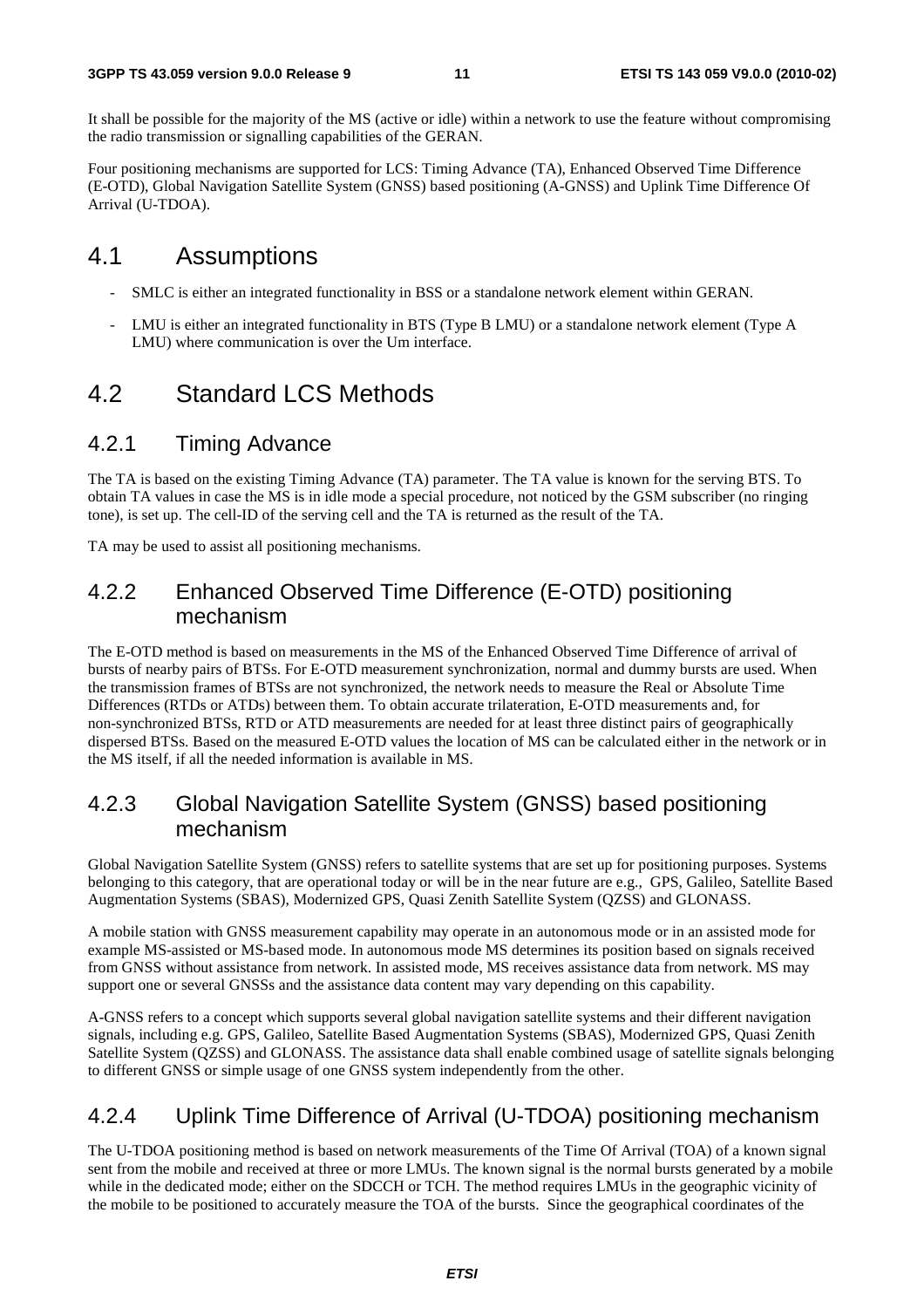It shall be possible for the majority of the MS (active or idle) within a network to use the feature without compromising the radio transmission or signalling capabilities of the GERAN.

Four positioning mechanisms are supported for LCS: Timing Advance (TA), Enhanced Observed Time Difference (E-OTD), Global Navigation Satellite System (GNSS) based positioning (A-GNSS) and Uplink Time Difference Of Arrival (U-TDOA).

## 4.1 Assumptions

- SMLC is either an integrated functionality in BSS or a standalone network element within GERAN.
- LMU is either an integrated functionality in BTS (Type B LMU) or a standalone network element (Type A LMU) where communication is over the Um interface.

## 4.2 Standard LCS Methods

### 4.2.1 Timing Advance

The TA is based on the existing Timing Advance (TA) parameter. The TA value is known for the serving BTS. To obtain TA values in case the MS is in idle mode a special procedure, not noticed by the GSM subscriber (no ringing tone), is set up. The cell-ID of the serving cell and the TA is returned as the result of the TA.

TA may be used to assist all positioning mechanisms.

### 4.2.2 Enhanced Observed Time Difference (E-OTD) positioning mechanism

The E-OTD method is based on measurements in the MS of the Enhanced Observed Time Difference of arrival of bursts of nearby pairs of BTSs. For E-OTD measurement synchronization, normal and dummy bursts are used. When the transmission frames of BTSs are not synchronized, the network needs to measure the Real or Absolute Time Differences (RTDs or ATDs) between them. To obtain accurate trilateration, E-OTD measurements and, for non-synchronized BTSs, RTD or ATD measurements are needed for at least three distinct pairs of geographically dispersed BTSs. Based on the measured E-OTD values the location of MS can be calculated either in the network or in the MS itself, if all the needed information is available in MS.

### 4.2.3 Global Navigation Satellite System (GNSS) based positioning mechanism

Global Navigation Satellite System (GNSS) refers to satellite systems that are set up for positioning purposes. Systems belonging to this category, that are operational today or will be in the near future are e.g., GPS, Galileo, Satellite Based Augmentation Systems (SBAS), Modernized GPS, Quasi Zenith Satellite System (QZSS) and GLONASS.

A mobile station with GNSS measurement capability may operate in an autonomous mode or in an assisted mode for example MS-assisted or MS-based mode. In autonomous mode MS determines its position based on signals received from GNSS without assistance from network. In assisted mode, MS receives assistance data from network. MS may support one or several GNSSs and the assistance data content may vary depending on this capability.

A-GNSS refers to a concept which supports several global navigation satellite systems and their different navigation signals, including e.g. GPS, Galileo, Satellite Based Augmentation Systems (SBAS), Modernized GPS, Quasi Zenith Satellite System (QZSS) and GLONASS. The assistance data shall enable combined usage of satellite signals belonging to different GNSS or simple usage of one GNSS system independently from the other.

### 4.2.4 Uplink Time Difference of Arrival (U-TDOA) positioning mechanism

The U-TDOA positioning method is based on network measurements of the Time Of Arrival (TOA) of a known signal sent from the mobile and received at three or more LMUs. The known signal is the normal bursts generated by a mobile while in the dedicated mode; either on the SDCCH or TCH. The method requires LMUs in the geographic vicinity of the mobile to be positioned to accurately measure the TOA of the bursts. Since the geographical coordinates of the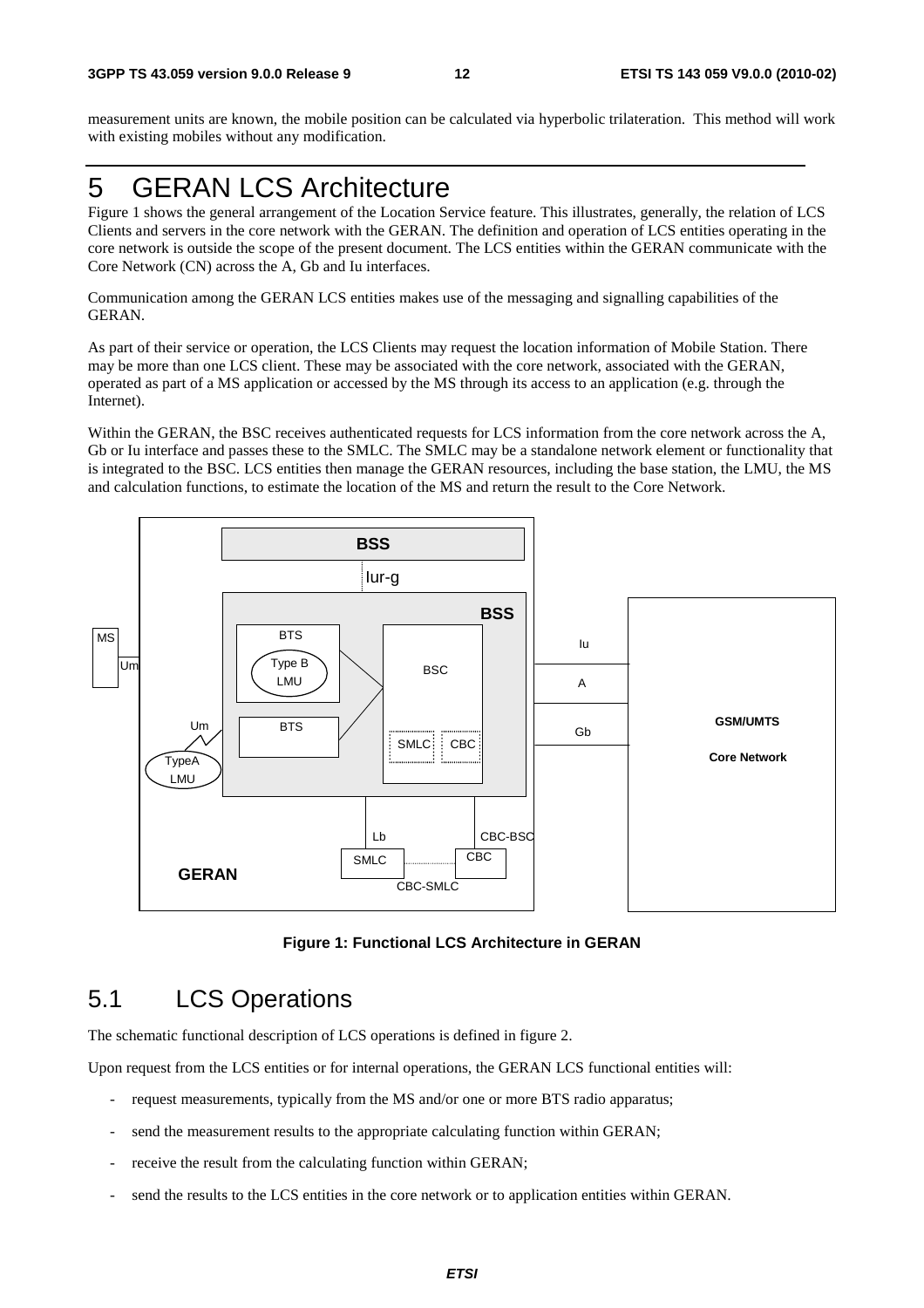measurement units are known, the mobile position can be calculated via hyperbolic trilateration. This method will work with existing mobiles without any modification.

## 5 GERAN LCS Architecture

Figure 1 shows the general arrangement of the Location Service feature. This illustrates, generally, the relation of LCS Clients and servers in the core network with the GERAN. The definition and operation of LCS entities operating in the core network is outside the scope of the present document. The LCS entities within the GERAN communicate with the Core Network (CN) across the A, Gb and Iu interfaces.

Communication among the GERAN LCS entities makes use of the messaging and signalling capabilities of the GERAN.

As part of their service or operation, the LCS Clients may request the location information of Mobile Station. There may be more than one LCS client. These may be associated with the core network, associated with the GERAN, operated as part of a MS application or accessed by the MS through its access to an application (e.g. through the Internet).

Within the GERAN, the BSC receives authenticated requests for LCS information from the core network across the A, Gb or Iu interface and passes these to the SMLC. The SMLC may be a standalone network element or functionality that is integrated to the BSC. LCS entities then manage the GERAN resources, including the base station, the LMU, the MS and calculation functions, to estimate the location of the MS and return the result to the Core Network.



**Figure 1: Functional LCS Architecture in GERAN** 

## 5.1 LCS Operations

The schematic functional description of LCS operations is defined in figure 2.

Upon request from the LCS entities or for internal operations, the GERAN LCS functional entities will:

- request measurements, typically from the MS and/or one or more BTS radio apparatus;
- send the measurement results to the appropriate calculating function within GERAN;
- receive the result from the calculating function within GERAN;
- send the results to the LCS entities in the core network or to application entities within GERAN.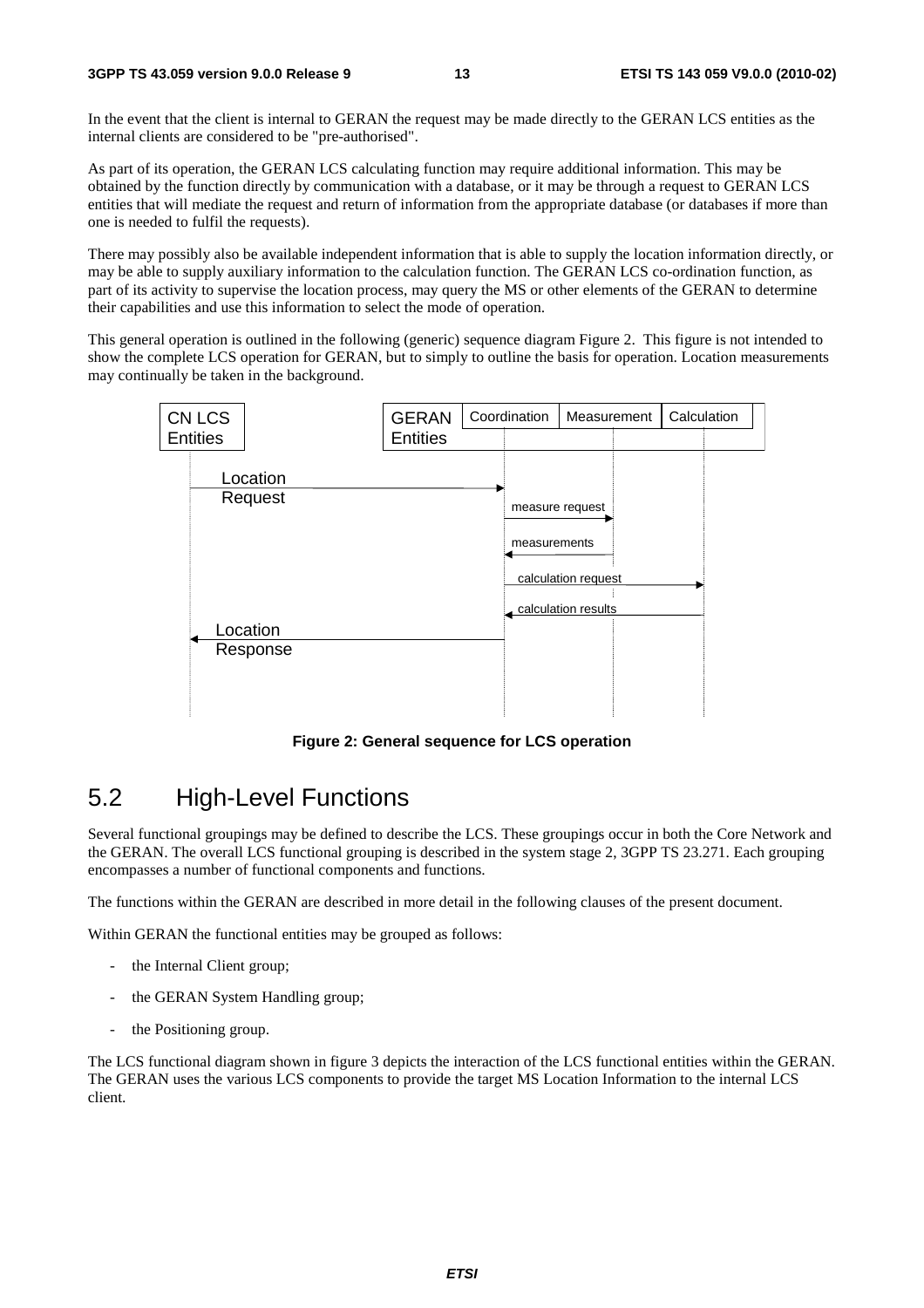In the event that the client is internal to GERAN the request may be made directly to the GERAN LCS entities as the internal clients are considered to be "pre-authorised".

As part of its operation, the GERAN LCS calculating function may require additional information. This may be obtained by the function directly by communication with a database, or it may be through a request to GERAN LCS entities that will mediate the request and return of information from the appropriate database (or databases if more than one is needed to fulfil the requests).

There may possibly also be available independent information that is able to supply the location information directly, or may be able to supply auxiliary information to the calculation function. The GERAN LCS co-ordination function, as part of its activity to supervise the location process, may query the MS or other elements of the GERAN to determine their capabilities and use this information to select the mode of operation.

This general operation is outlined in the following (generic) sequence diagram Figure 2. This figure is not intended to show the complete LCS operation for GERAN, but to simply to outline the basis for operation. Location measurements may continually be taken in the background.



**Figure 2: General sequence for LCS operation**

## 5.2 High-Level Functions

Several functional groupings may be defined to describe the LCS. These groupings occur in both the Core Network and the GERAN. The overall LCS functional grouping is described in the system stage 2, 3GPP TS 23.271. Each grouping encompasses a number of functional components and functions.

The functions within the GERAN are described in more detail in the following clauses of the present document.

Within GERAN the functional entities may be grouped as follows:

- the Internal Client group;
- the GERAN System Handling group;
- the Positioning group.

The LCS functional diagram shown in figure 3 depicts the interaction of the LCS functional entities within the GERAN. The GERAN uses the various LCS components to provide the target MS Location Information to the internal LCS client.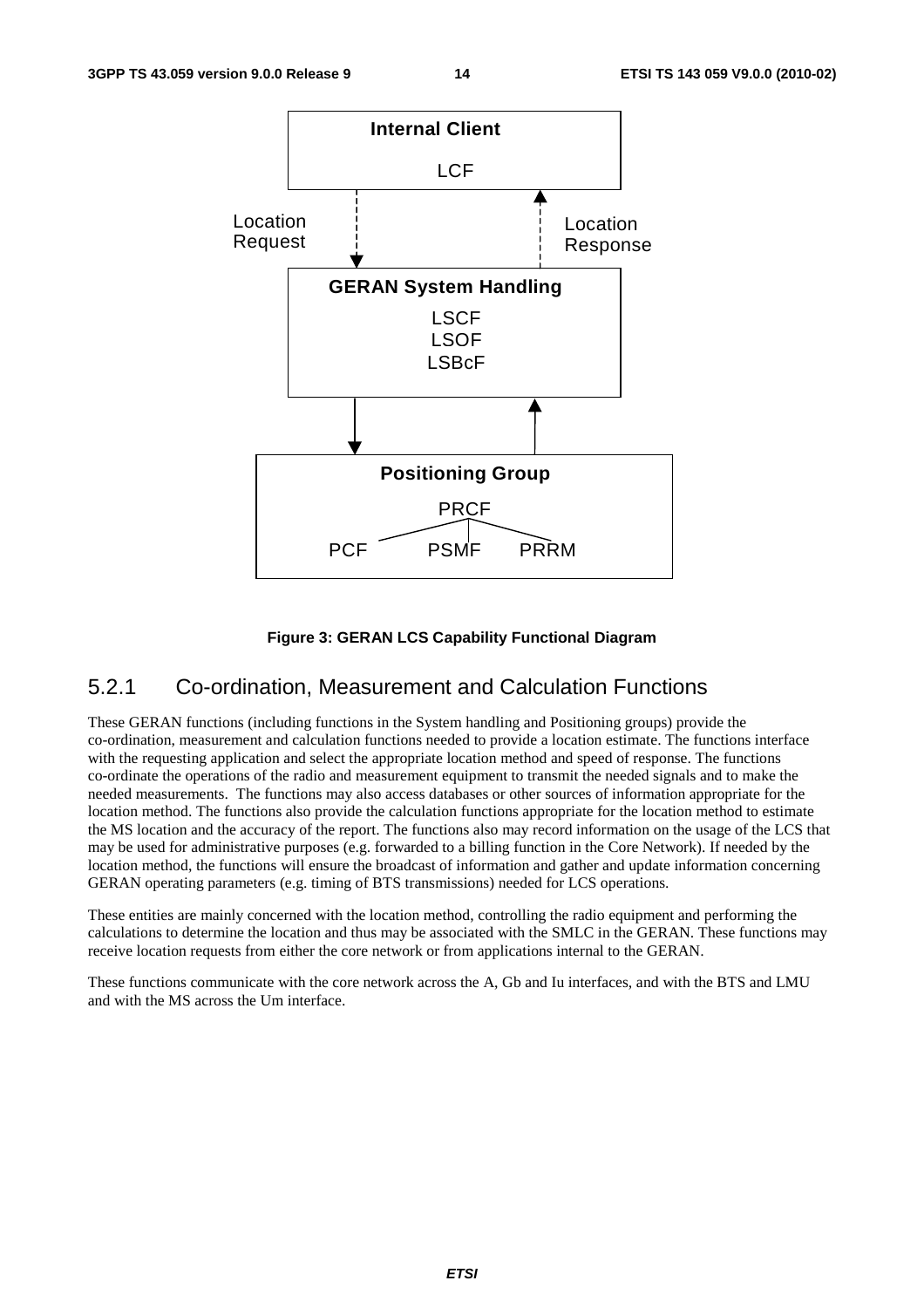

#### **Figure 3: GERAN LCS Capability Functional Diagram**

### 5.2.1 Co-ordination, Measurement and Calculation Functions

These GERAN functions (including functions in the System handling and Positioning groups) provide the co-ordination, measurement and calculation functions needed to provide a location estimate. The functions interface with the requesting application and select the appropriate location method and speed of response. The functions co-ordinate the operations of the radio and measurement equipment to transmit the needed signals and to make the needed measurements. The functions may also access databases or other sources of information appropriate for the location method. The functions also provide the calculation functions appropriate for the location method to estimate the MS location and the accuracy of the report. The functions also may record information on the usage of the LCS that may be used for administrative purposes (e.g. forwarded to a billing function in the Core Network). If needed by the location method, the functions will ensure the broadcast of information and gather and update information concerning GERAN operating parameters (e.g. timing of BTS transmissions) needed for LCS operations.

These entities are mainly concerned with the location method, controlling the radio equipment and performing the calculations to determine the location and thus may be associated with the SMLC in the GERAN. These functions may receive location requests from either the core network or from applications internal to the GERAN.

These functions communicate with the core network across the A, Gb and Iu interfaces, and with the BTS and LMU and with the MS across the Um interface.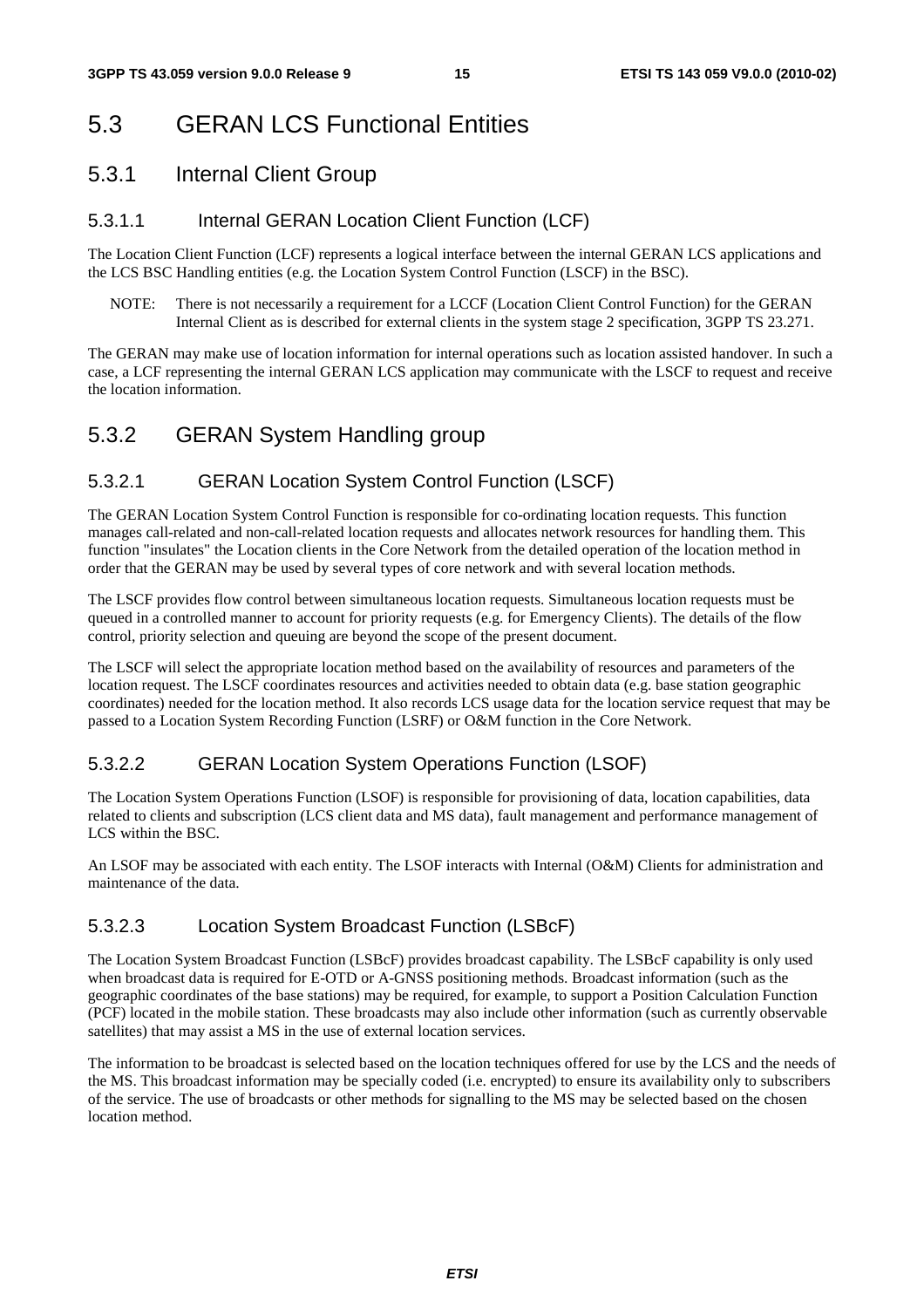## 5.3 GERAN LCS Functional Entities

## 5.3.1 Internal Client Group

### 5.3.1.1 Internal GERAN Location Client Function (LCF)

The Location Client Function (LCF) represents a logical interface between the internal GERAN LCS applications and the LCS BSC Handling entities (e.g. the Location System Control Function (LSCF) in the BSC).

NOTE: There is not necessarily a requirement for a LCCF (Location Client Control Function) for the GERAN Internal Client as is described for external clients in the system stage 2 specification, 3GPP TS 23.271.

The GERAN may make use of location information for internal operations such as location assisted handover. In such a case, a LCF representing the internal GERAN LCS application may communicate with the LSCF to request and receive the location information.

## 5.3.2 GERAN System Handling group

## 5.3.2.1 GERAN Location System Control Function (LSCF)

The GERAN Location System Control Function is responsible for co-ordinating location requests. This function manages call-related and non-call-related location requests and allocates network resources for handling them. This function "insulates" the Location clients in the Core Network from the detailed operation of the location method in order that the GERAN may be used by several types of core network and with several location methods.

The LSCF provides flow control between simultaneous location requests. Simultaneous location requests must be queued in a controlled manner to account for priority requests (e.g. for Emergency Clients). The details of the flow control, priority selection and queuing are beyond the scope of the present document.

The LSCF will select the appropriate location method based on the availability of resources and parameters of the location request. The LSCF coordinates resources and activities needed to obtain data (e.g. base station geographic coordinates) needed for the location method. It also records LCS usage data for the location service request that may be passed to a Location System Recording Function (LSRF) or O&M function in the Core Network.

## 5.3.2.2 GERAN Location System Operations Function (LSOF)

The Location System Operations Function (LSOF) is responsible for provisioning of data, location capabilities, data related to clients and subscription (LCS client data and MS data), fault management and performance management of LCS within the BSC.

An LSOF may be associated with each entity. The LSOF interacts with Internal (O&M) Clients for administration and maintenance of the data.

## 5.3.2.3 Location System Broadcast Function (LSBcF)

The Location System Broadcast Function (LSBcF) provides broadcast capability. The LSBcF capability is only used when broadcast data is required for E-OTD or A-GNSS positioning methods. Broadcast information (such as the geographic coordinates of the base stations) may be required, for example, to support a Position Calculation Function (PCF) located in the mobile station. These broadcasts may also include other information (such as currently observable satellites) that may assist a MS in the use of external location services.

The information to be broadcast is selected based on the location techniques offered for use by the LCS and the needs of the MS. This broadcast information may be specially coded (i.e. encrypted) to ensure its availability only to subscribers of the service. The use of broadcasts or other methods for signalling to the MS may be selected based on the chosen location method.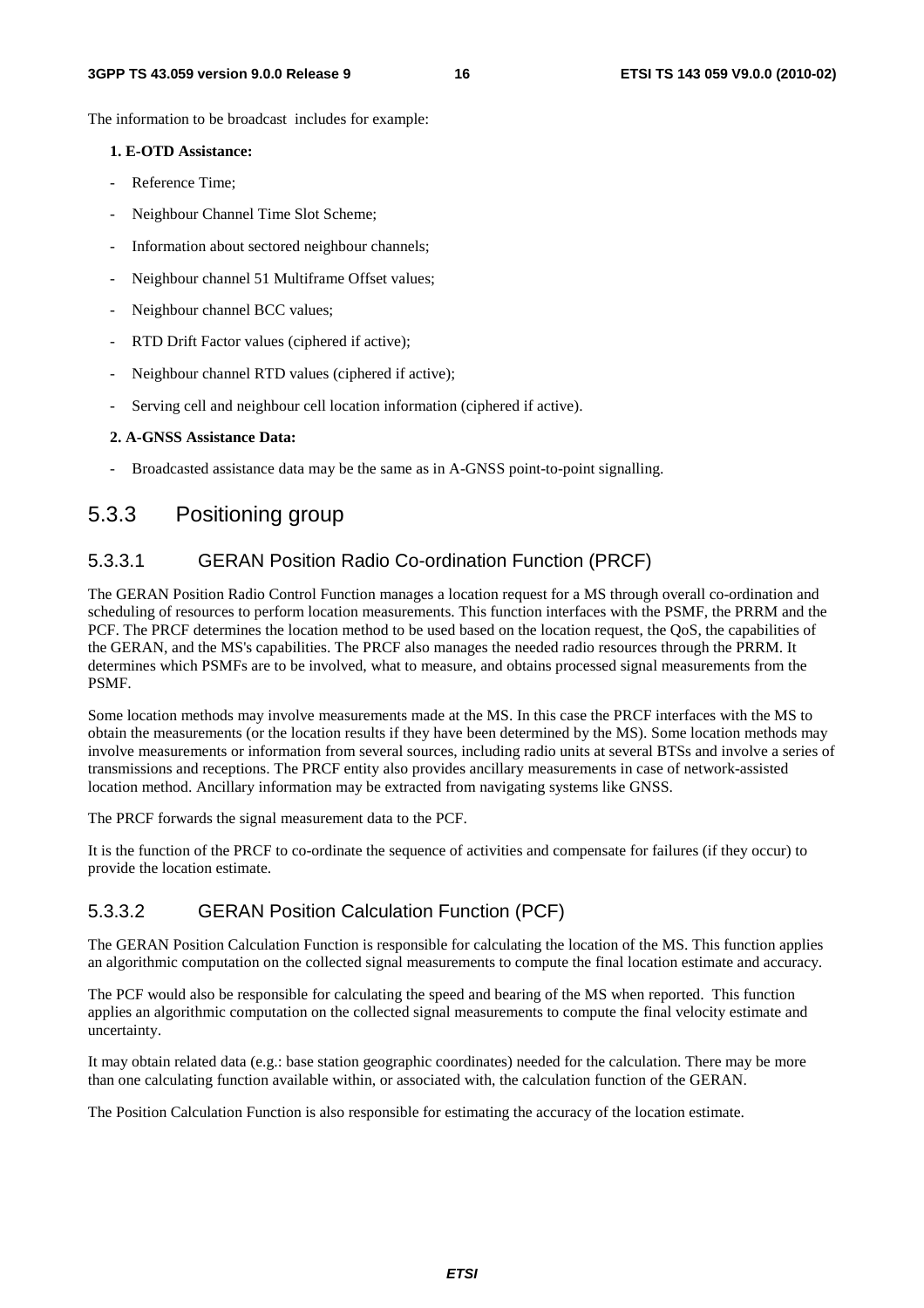The information to be broadcast includes for example:

#### **1. E-OTD Assistance:**

- Reference Time:
- Neighbour Channel Time Slot Scheme;
- Information about sectored neighbour channels;
- Neighbour channel 51 Multiframe Offset values;
- Neighbour channel BCC values;
- RTD Drift Factor values (ciphered if active);
- Neighbour channel RTD values (ciphered if active);
- Serving cell and neighbour cell location information (ciphered if active).

#### **2. A-GNSS Assistance Data:**

Broadcasted assistance data may be the same as in A-GNSS point-to-point signalling.

### 5.3.3 Positioning group

#### 5.3.3.1 GERAN Position Radio Co-ordination Function (PRCF)

The GERAN Position Radio Control Function manages a location request for a MS through overall co-ordination and scheduling of resources to perform location measurements. This function interfaces with the PSMF, the PRRM and the PCF. The PRCF determines the location method to be used based on the location request, the QoS, the capabilities of the GERAN, and the MS's capabilities. The PRCF also manages the needed radio resources through the PRRM. It determines which PSMFs are to be involved, what to measure, and obtains processed signal measurements from the PSMF.

Some location methods may involve measurements made at the MS. In this case the PRCF interfaces with the MS to obtain the measurements (or the location results if they have been determined by the MS). Some location methods may involve measurements or information from several sources, including radio units at several BTSs and involve a series of transmissions and receptions. The PRCF entity also provides ancillary measurements in case of network-assisted location method. Ancillary information may be extracted from navigating systems like GNSS.

The PRCF forwards the signal measurement data to the PCF.

It is the function of the PRCF to co-ordinate the sequence of activities and compensate for failures (if they occur) to provide the location estimate.

#### 5.3.3.2 GERAN Position Calculation Function (PCF)

The GERAN Position Calculation Function is responsible for calculating the location of the MS. This function applies an algorithmic computation on the collected signal measurements to compute the final location estimate and accuracy.

The PCF would also be responsible for calculating the speed and bearing of the MS when reported. This function applies an algorithmic computation on the collected signal measurements to compute the final velocity estimate and uncertainty.

It may obtain related data (e.g.: base station geographic coordinates) needed for the calculation. There may be more than one calculating function available within, or associated with, the calculation function of the GERAN.

The Position Calculation Function is also responsible for estimating the accuracy of the location estimate.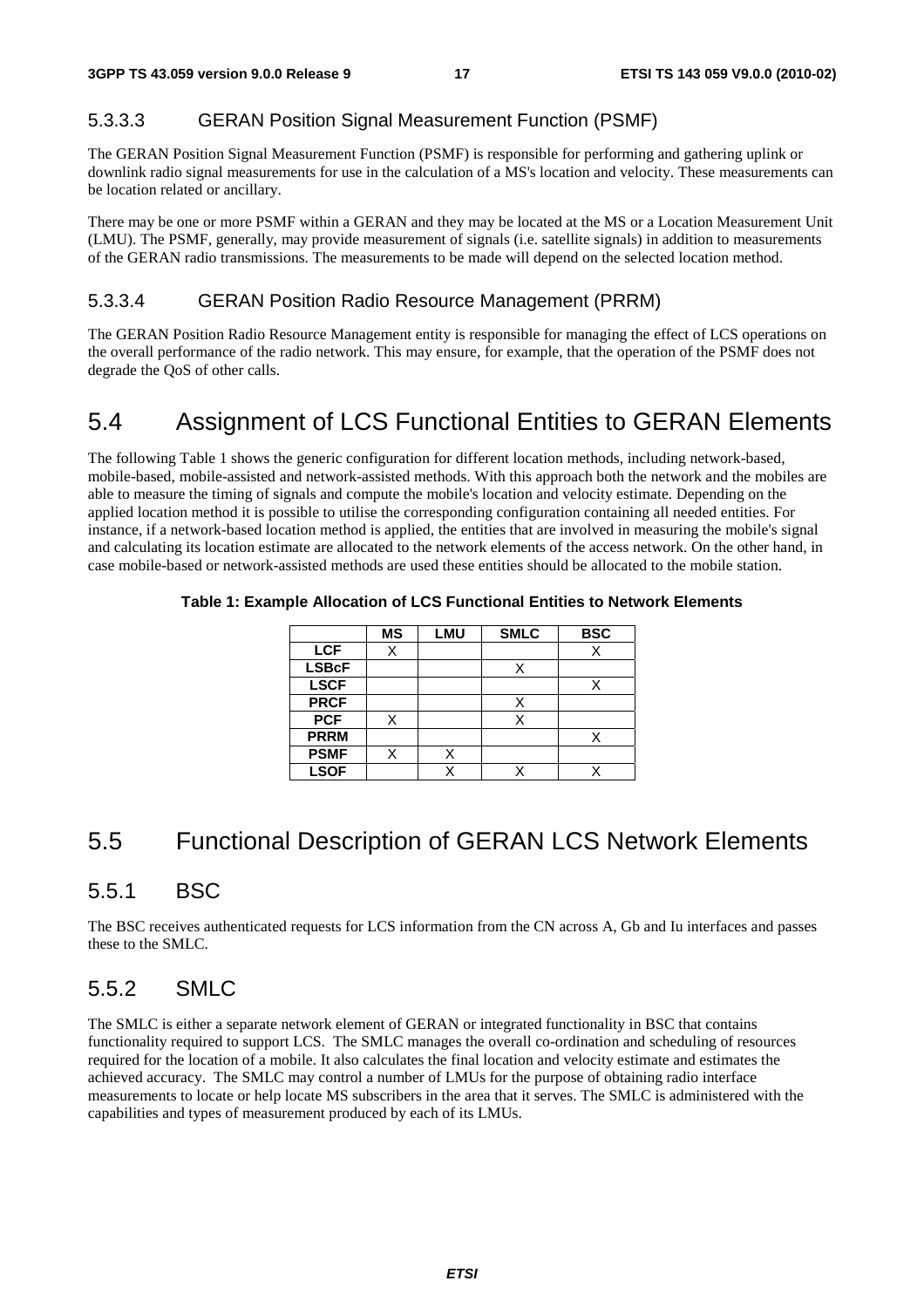### 5.3.3.3 GERAN Position Signal Measurement Function (PSMF)

The GERAN Position Signal Measurement Function (PSMF) is responsible for performing and gathering uplink or downlink radio signal measurements for use in the calculation of a MS's location and velocity. These measurements can be location related or ancillary.

There may be one or more PSMF within a GERAN and they may be located at the MS or a Location Measurement Unit (LMU). The PSMF, generally, may provide measurement of signals (i.e. satellite signals) in addition to measurements of the GERAN radio transmissions. The measurements to be made will depend on the selected location method.

#### 5.3.3.4 GERAN Position Radio Resource Management (PRRM)

The GERAN Position Radio Resource Management entity is responsible for managing the effect of LCS operations on the overall performance of the radio network. This may ensure, for example, that the operation of the PSMF does not degrade the QoS of other calls.

## 5.4 Assignment of LCS Functional Entities to GERAN Elements

The following Table 1 shows the generic configuration for different location methods, including network-based, mobile-based, mobile-assisted and network-assisted methods. With this approach both the network and the mobiles are able to measure the timing of signals and compute the mobile's location and velocity estimate. Depending on the applied location method it is possible to utilise the corresponding configuration containing all needed entities. For instance, if a network-based location method is applied, the entities that are involved in measuring the mobile's signal and calculating its location estimate are allocated to the network elements of the access network. On the other hand, in case mobile-based or network-assisted methods are used these entities should be allocated to the mobile station.

|              | <b>MS</b> | LMU | <b>SMLC</b> | <b>BSC</b> |
|--------------|-----------|-----|-------------|------------|
| <b>LCF</b>   | Χ         |     |             | Х          |
| <b>LSBcF</b> |           |     |             |            |
| <b>LSCF</b>  |           |     |             |            |
| <b>PRCF</b>  |           |     |             |            |
| <b>PCF</b>   | X         |     | X           |            |
| <b>PRRM</b>  |           |     |             |            |
| <b>PSMF</b>  | X         |     |             |            |
| <b>LSOF</b>  |           |     |             |            |

#### **Table 1: Example Allocation of LCS Functional Entities to Network Elements**

## 5.5 Functional Description of GERAN LCS Network Elements

### 5.5.1 BSC

The BSC receives authenticated requests for LCS information from the CN across A, Gb and Iu interfaces and passes these to the SMLC.

### 5.5.2 SMLC

The SMLC is either a separate network element of GERAN or integrated functionality in BSC that contains functionality required to support LCS. The SMLC manages the overall co-ordination and scheduling of resources required for the location of a mobile. It also calculates the final location and velocity estimate and estimates the achieved accuracy. The SMLC may control a number of LMUs for the purpose of obtaining radio interface measurements to locate or help locate MS subscribers in the area that it serves. The SMLC is administered with the capabilities and types of measurement produced by each of its LMUs.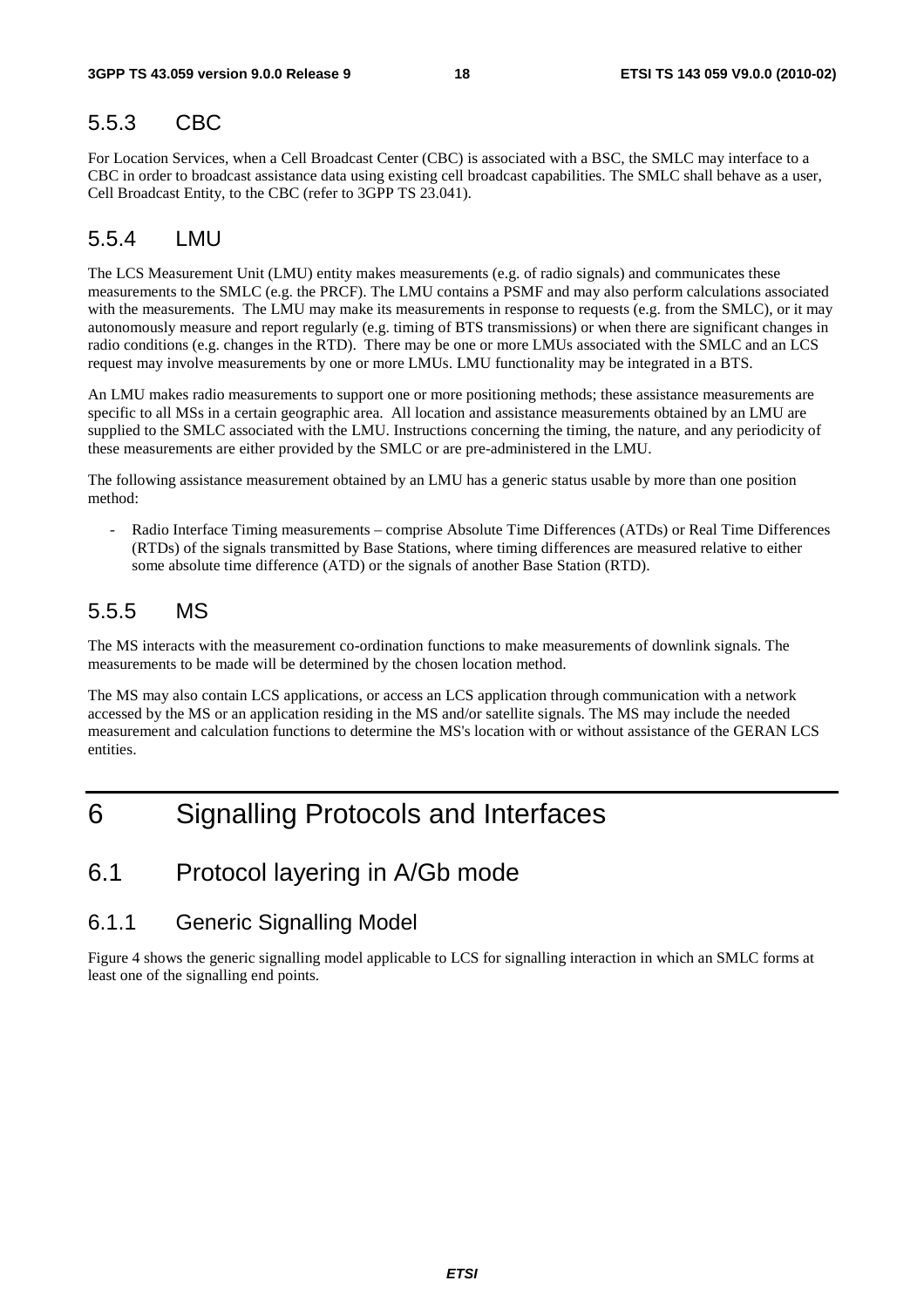### 5.5.3 CBC

For Location Services, when a Cell Broadcast Center (CBC) is associated with a BSC, the SMLC may interface to a CBC in order to broadcast assistance data using existing cell broadcast capabilities. The SMLC shall behave as a user, Cell Broadcast Entity, to the CBC (refer to 3GPP TS 23.041).

### 5.5.4 LMU

The LCS Measurement Unit (LMU) entity makes measurements (e.g. of radio signals) and communicates these measurements to the SMLC (e.g. the PRCF). The LMU contains a PSMF and may also perform calculations associated with the measurements. The LMU may make its measurements in response to requests (e.g. from the SMLC), or it may autonomously measure and report regularly (e.g. timing of BTS transmissions) or when there are significant changes in radio conditions (e.g. changes in the RTD). There may be one or more LMUs associated with the SMLC and an LCS request may involve measurements by one or more LMUs. LMU functionality may be integrated in a BTS.

An LMU makes radio measurements to support one or more positioning methods; these assistance measurements are specific to all MSs in a certain geographic area. All location and assistance measurements obtained by an LMU are supplied to the SMLC associated with the LMU. Instructions concerning the timing, the nature, and any periodicity of these measurements are either provided by the SMLC or are pre-administered in the LMU.

The following assistance measurement obtained by an LMU has a generic status usable by more than one position method:

- Radio Interface Timing measurements – comprise Absolute Time Differences (ATDs) or Real Time Differences (RTDs) of the signals transmitted by Base Stations, where timing differences are measured relative to either some absolute time difference (ATD) or the signals of another Base Station (RTD).

### 5.5.5 MS

The MS interacts with the measurement co-ordination functions to make measurements of downlink signals. The measurements to be made will be determined by the chosen location method.

The MS may also contain LCS applications, or access an LCS application through communication with a network accessed by the MS or an application residing in the MS and/or satellite signals. The MS may include the needed measurement and calculation functions to determine the MS's location with or without assistance of the GERAN LCS entities.

## 6 Signalling Protocols and Interfaces

## 6.1 Protocol layering in A/Gb mode

### 6.1.1 Generic Signalling Model

Figure 4 shows the generic signalling model applicable to LCS for signalling interaction in which an SMLC forms at least one of the signalling end points.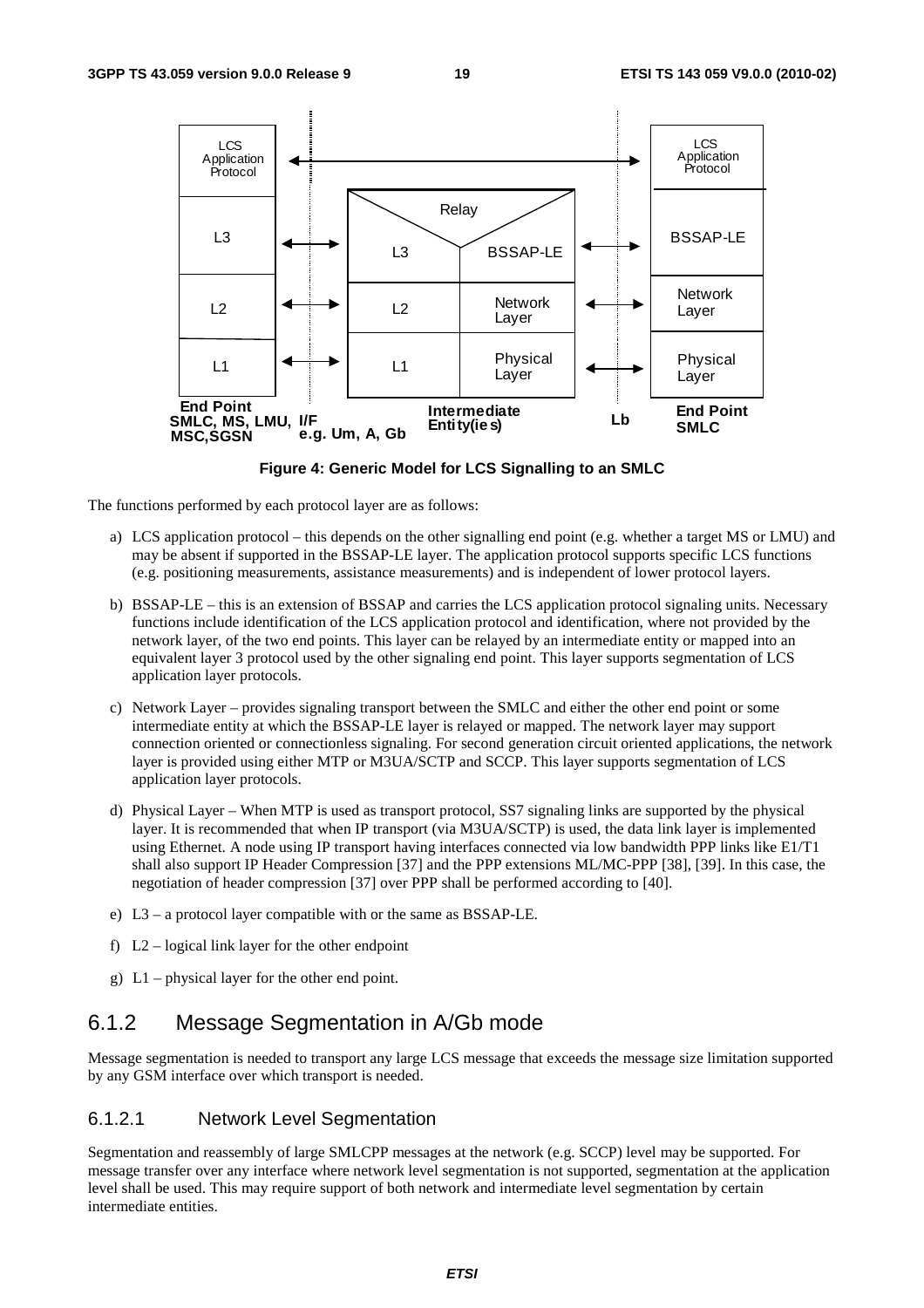

**Figure 4: Generic Model for LCS Signalling to an SMLC** 

The functions performed by each protocol layer are as follows:

- a) LCS application protocol this depends on the other signalling end point (e.g. whether a target MS or LMU) and may be absent if supported in the BSSAP-LE layer. The application protocol supports specific LCS functions (e.g. positioning measurements, assistance measurements) and is independent of lower protocol layers.
- b) BSSAP-LE this is an extension of BSSAP and carries the LCS application protocol signaling units. Necessary functions include identification of the LCS application protocol and identification, where not provided by the network layer, of the two end points. This layer can be relayed by an intermediate entity or mapped into an equivalent layer 3 protocol used by the other signaling end point. This layer supports segmentation of LCS application layer protocols.
- c) Network Layer provides signaling transport between the SMLC and either the other end point or some intermediate entity at which the BSSAP-LE layer is relayed or mapped. The network layer may support connection oriented or connectionless signaling. For second generation circuit oriented applications, the network layer is provided using either MTP or M3UA/SCTP and SCCP. This layer supports segmentation of LCS application layer protocols.
- d) Physical Layer When MTP is used as transport protocol, SS7 signaling links are supported by the physical layer. It is recommended that when IP transport (via M3UA/SCTP) is used, the data link layer is implemented using Ethernet. A node using IP transport having interfaces connected via low bandwidth PPP links like E1/T1 shall also support IP Header Compression [37] and the PPP extensions ML/MC-PPP [38], [39]. In this case, the negotiation of header compression [37] over PPP shall be performed according to [40].
- e) L3 a protocol layer compatible with or the same as BSSAP-LE.
- f)  $L2$  logical link layer for the other endpoint
- g) L1 physical layer for the other end point.

## 6.1.2 Message Segmentation in A/Gb mode

Message segmentation is needed to transport any large LCS message that exceeds the message size limitation supported by any GSM interface over which transport is needed.

#### 6.1.2.1 Network Level Segmentation

Segmentation and reassembly of large SMLCPP messages at the network (e.g. SCCP) level may be supported. For message transfer over any interface where network level segmentation is not supported, segmentation at the application level shall be used. This may require support of both network and intermediate level segmentation by certain intermediate entities.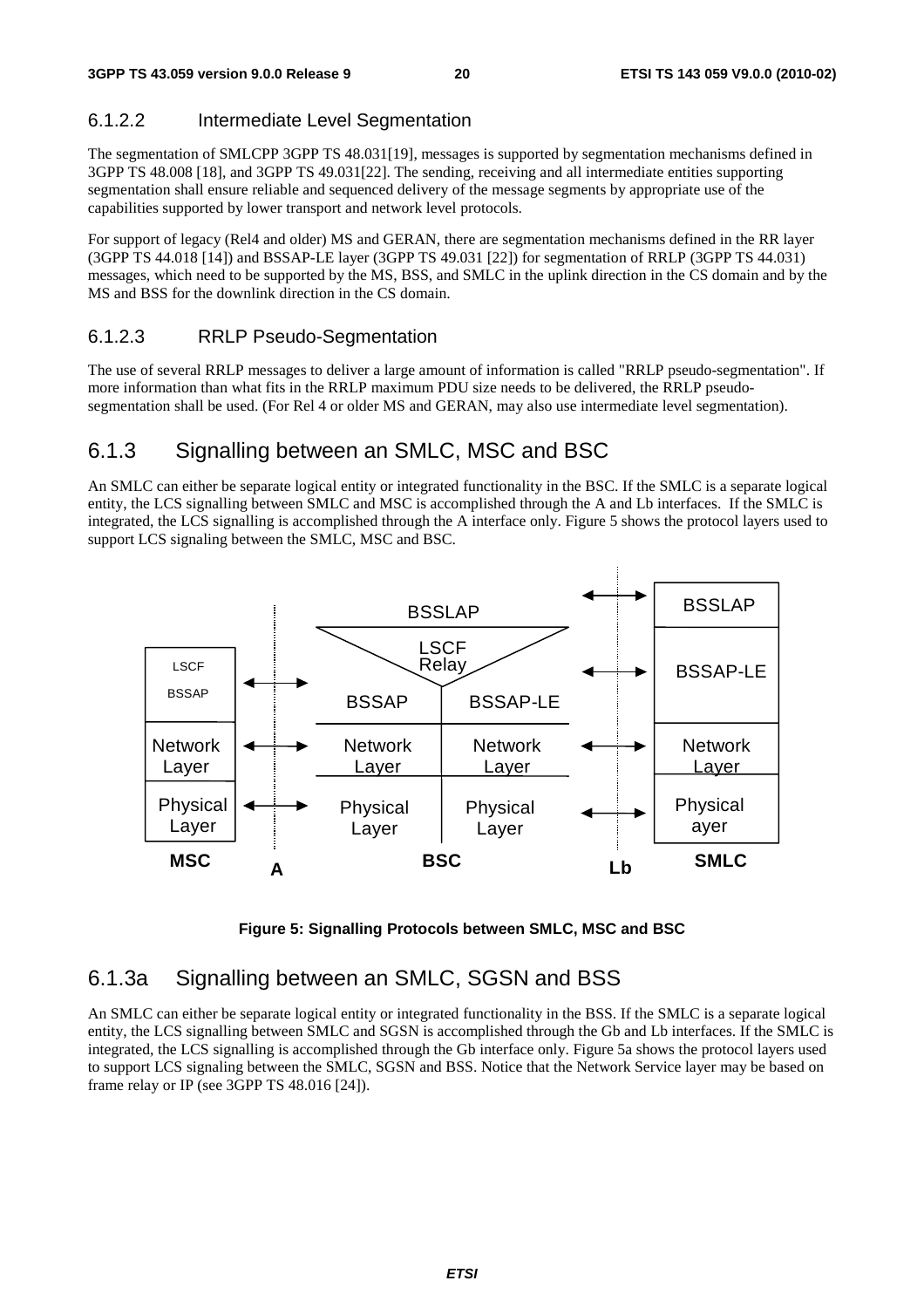#### 6.1.2.2 Intermediate Level Segmentation

The segmentation of SMLCPP 3GPP TS 48.031[19], messages is supported by segmentation mechanisms defined in 3GPP TS 48.008 [18], and 3GPP TS 49.031[22]. The sending, receiving and all intermediate entities supporting segmentation shall ensure reliable and sequenced delivery of the message segments by appropriate use of the capabilities supported by lower transport and network level protocols.

For support of legacy (Rel4 and older) MS and GERAN, there are segmentation mechanisms defined in the RR layer (3GPP TS 44.018 [14]) and BSSAP-LE layer (3GPP TS 49.031 [22]) for segmentation of RRLP (3GPP TS 44.031) messages, which need to be supported by the MS, BSS, and SMLC in the uplink direction in the CS domain and by the MS and BSS for the downlink direction in the CS domain.

#### 6.1.2.3 RRLP Pseudo-Segmentation

The use of several RRLP messages to deliver a large amount of information is called "RRLP pseudo-segmentation". If more information than what fits in the RRLP maximum PDU size needs to be delivered, the RRLP pseudosegmentation shall be used. (For Rel 4 or older MS and GERAN, may also use intermediate level segmentation).

### 6.1.3 Signalling between an SMLC, MSC and BSC

An SMLC can either be separate logical entity or integrated functionality in the BSC. If the SMLC is a separate logical entity, the LCS signalling between SMLC and MSC is accomplished through the A and Lb interfaces. If the SMLC is integrated, the LCS signalling is accomplished through the A interface only. Figure 5 shows the protocol layers used to support LCS signaling between the SMLC, MSC and BSC.





### 6.1.3a Signalling between an SMLC, SGSN and BSS

An SMLC can either be separate logical entity or integrated functionality in the BSS. If the SMLC is a separate logical entity, the LCS signalling between SMLC and SGSN is accomplished through the Gb and Lb interfaces. If the SMLC is integrated, the LCS signalling is accomplished through the Gb interface only. Figure 5a shows the protocol layers used to support LCS signaling between the SMLC, SGSN and BSS. Notice that the Network Service layer may be based on frame relay or IP (see 3GPP TS 48.016 [24]).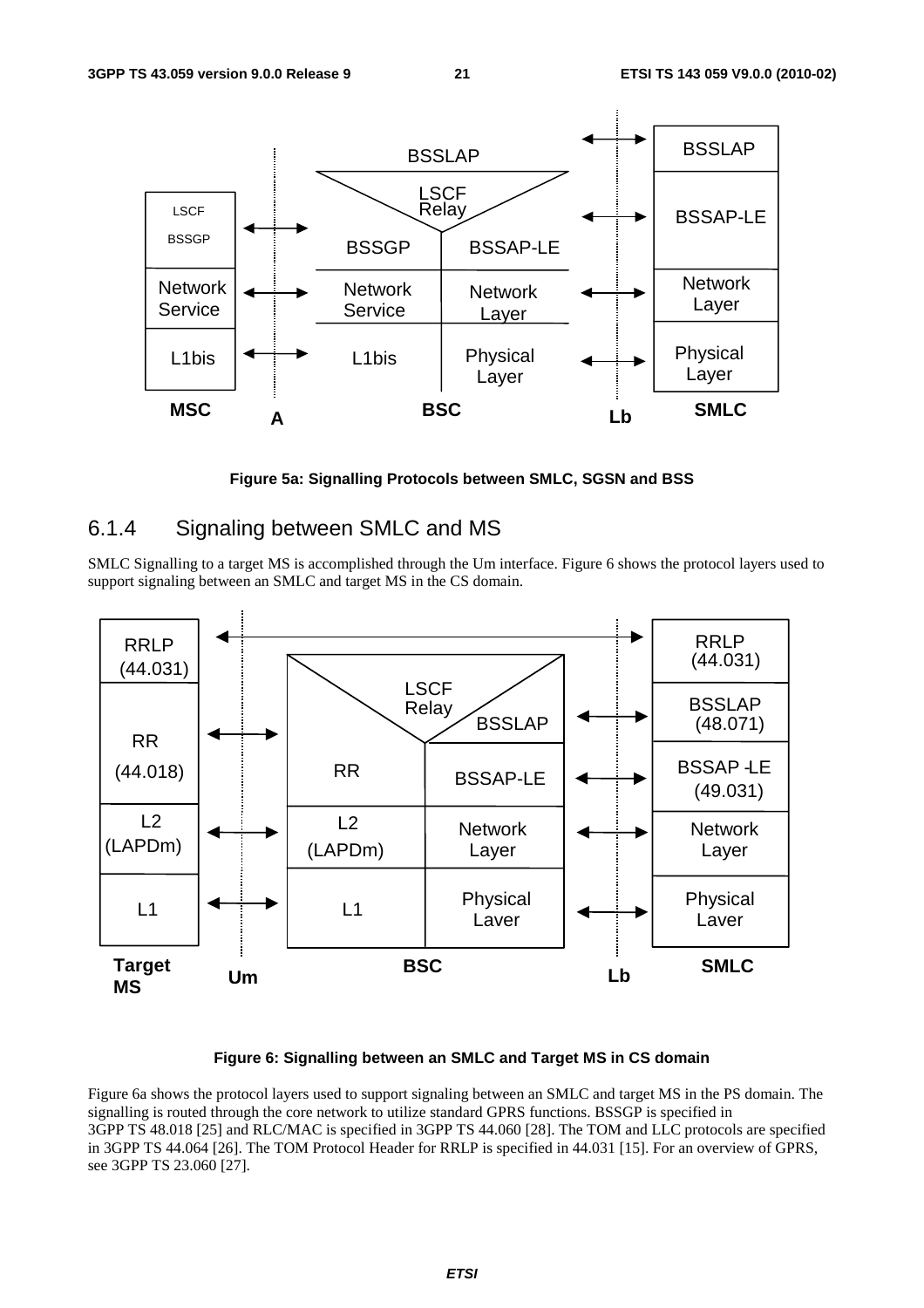

**Figure 5a: Signalling Protocols between SMLC, SGSN and BSS** 

## 6.1.4 Signaling between SMLC and MS

SMLC Signalling to a target MS is accomplished through the Um interface. Figure 6 shows the protocol layers used to support signaling between an SMLC and target MS in the CS domain.



#### **Figure 6: Signalling between an SMLC and Target MS in CS domain**

Figure 6a shows the protocol layers used to support signaling between an SMLC and target MS in the PS domain. The signalling is routed through the core network to utilize standard GPRS functions. BSSGP is specified in 3GPP TS 48.018 [25] and RLC/MAC is specified in 3GPP TS 44.060 [28]. The TOM and LLC protocols are specified in 3GPP TS 44.064 [26]. The TOM Protocol Header for RRLP is specified in 44.031 [15]. For an overview of GPRS, see 3GPP TS 23.060 [27].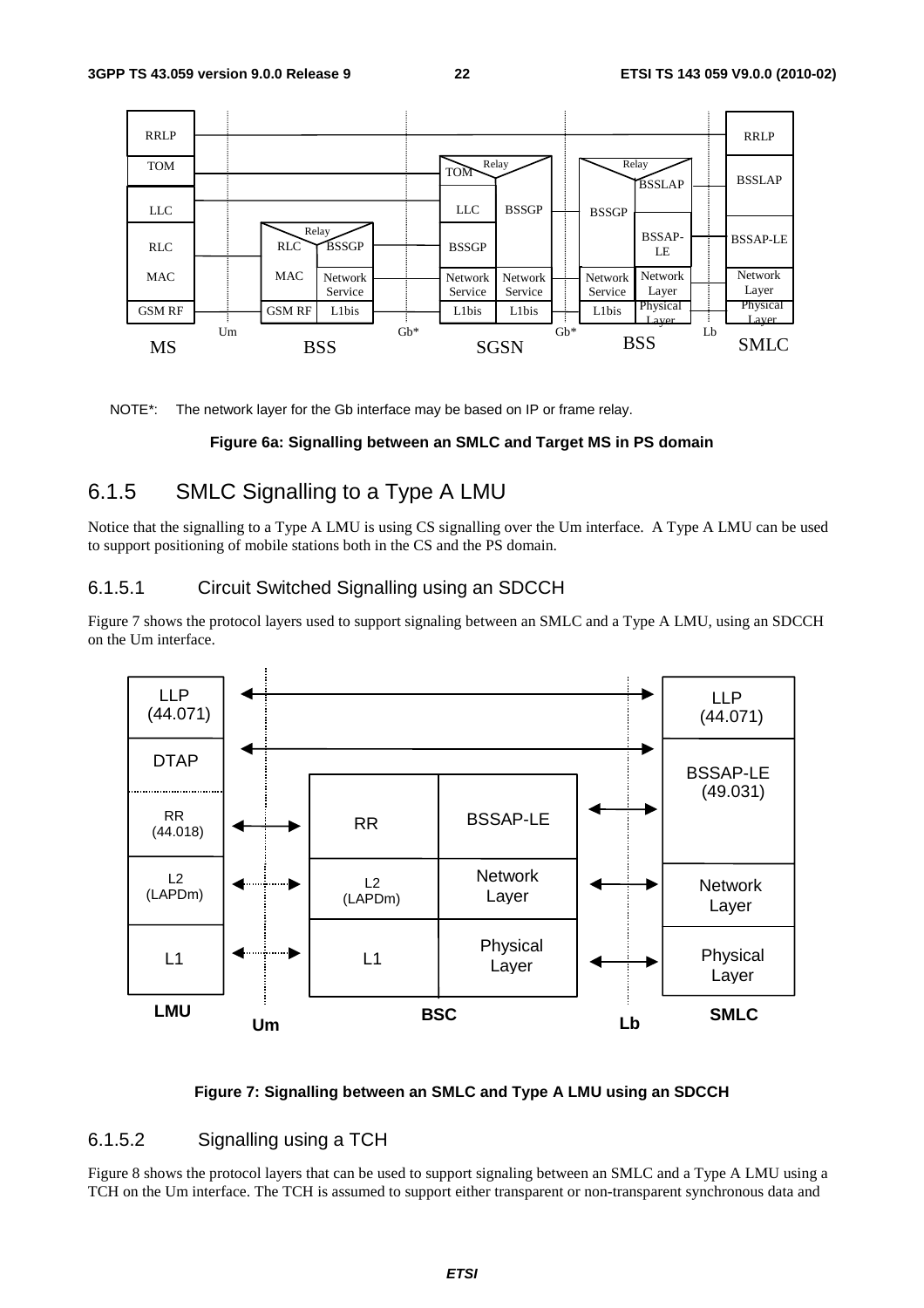

NOTE\*: The network layer for the Gb interface may be based on IP or frame relay.

#### **Figure 6a: Signalling between an SMLC and Target MS in PS domain**

## 6.1.5 SMLC Signalling to a Type A LMU

Notice that the signalling to a Type A LMU is using CS signalling over the Um interface. A Type A LMU can be used to support positioning of mobile stations both in the CS and the PS domain.

#### 6.1.5.1 Circuit Switched Signalling using an SDCCH

Figure 7 shows the protocol layers used to support signaling between an SMLC and a Type A LMU, using an SDCCH on the Um interface.



#### **Figure 7: Signalling between an SMLC and Type A LMU using an SDCCH**

#### 6.1.5.2 Signalling using a TCH

Figure 8 shows the protocol layers that can be used to support signaling between an SMLC and a Type A LMU using a TCH on the Um interface. The TCH is assumed to support either transparent or non-transparent synchronous data and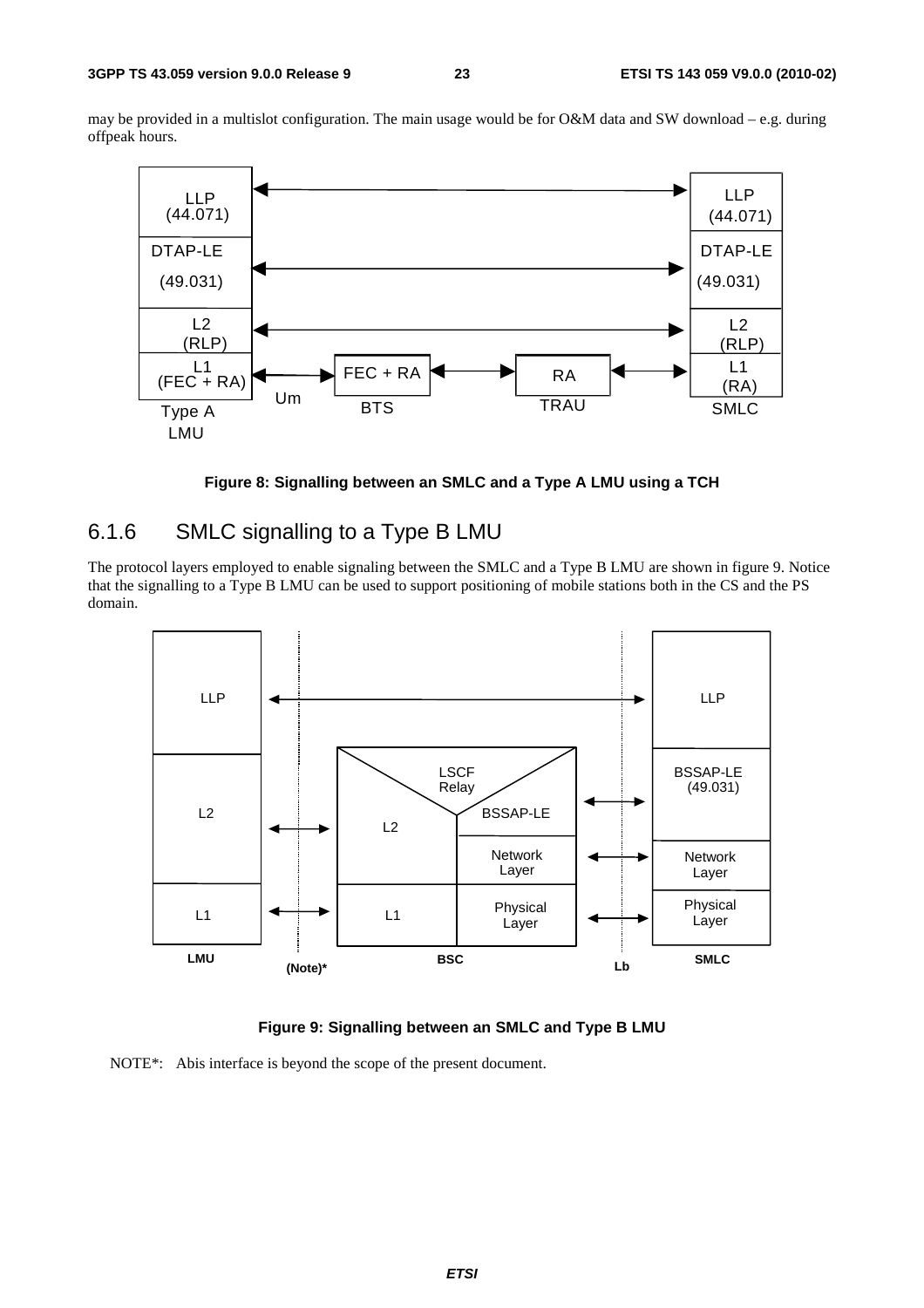may be provided in a multislot configuration. The main usage would be for O&M data and SW download – e.g. during offpeak hours.



**Figure 8: Signalling between an SMLC and a Type A LMU using a TCH** 

### 6.1.6 SMLC signalling to a Type B LMU

The protocol layers employed to enable signaling between the SMLC and a Type B LMU are shown in figure 9. Notice that the signalling to a Type B LMU can be used to support positioning of mobile stations both in the CS and the PS domain.



**Figure 9: Signalling between an SMLC and Type B LMU** 

NOTE\*: Abis interface is beyond the scope of the present document.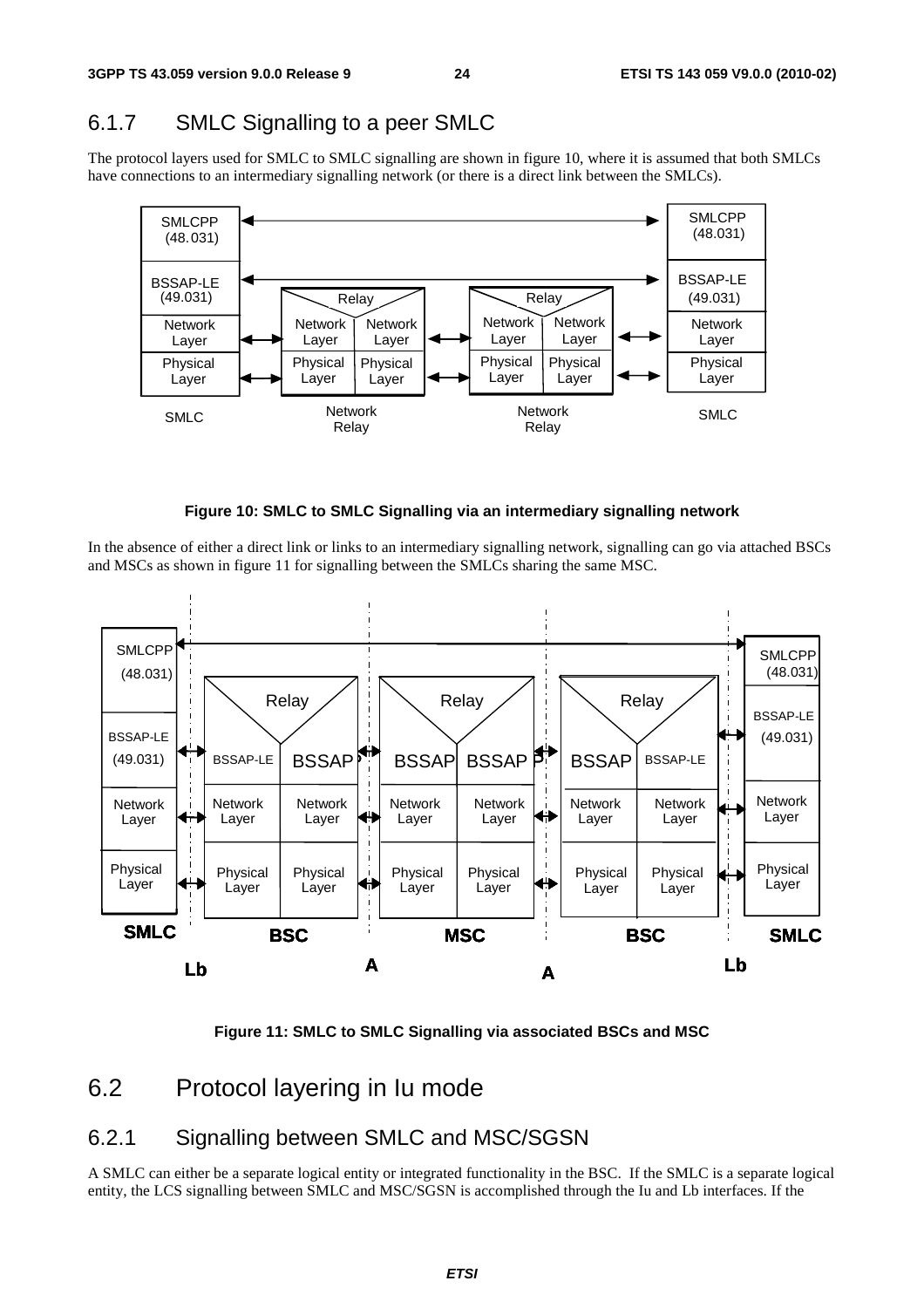## 6.1.7 SMLC Signalling to a peer SMLC

The protocol layers used for SMLC to SMLC signalling are shown in figure 10, where it is assumed that both SMLCs have connections to an intermediary signalling network (or there is a direct link between the SMLCs).





In the absence of either a direct link or links to an intermediary signalling network, signalling can go via attached BSCs and MSCs as shown in figure 11 for signalling between the SMLCs sharing the same MSC.



**Figure 11: SMLC to SMLC Signalling via associated BSCs and MSC** 

## 6.2 Protocol layering in Iu mode

## 6.2.1 Signalling between SMLC and MSC/SGSN

A SMLC can either be a separate logical entity or integrated functionality in the BSC. If the SMLC is a separate logical entity, the LCS signalling between SMLC and MSC/SGSN is accomplished through the Iu and Lb interfaces. If the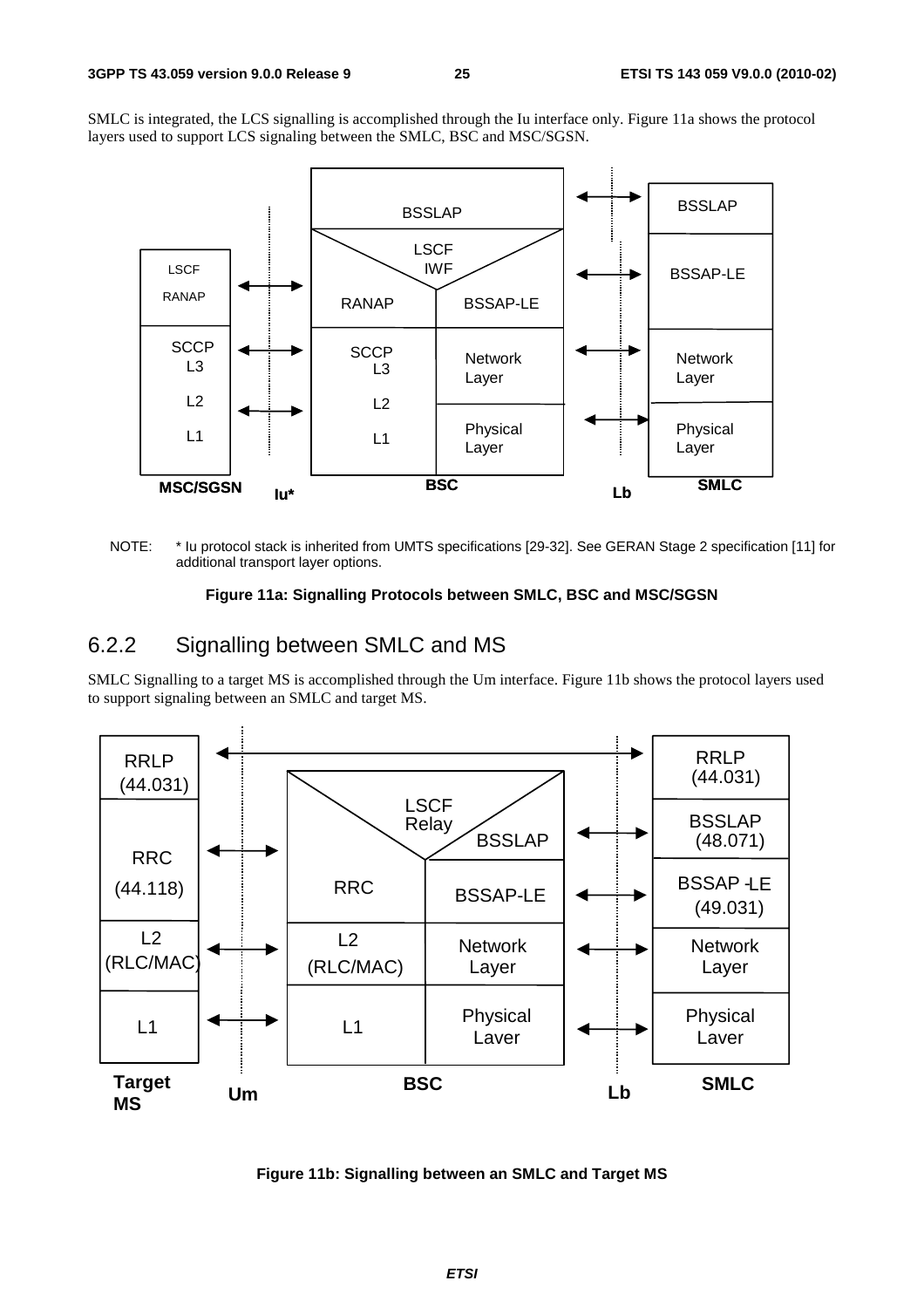SMLC is integrated, the LCS signalling is accomplished through the Iu interface only. Figure 11a shows the protocol layers used to support LCS signaling between the SMLC, BSC and MSC/SGSN.



NOTE: \* Iu protocol stack is inherited from UMTS specifications [29-32]. See GERAN Stage 2 specification [11] for additional transport layer options.

#### **Figure 11a: Signalling Protocols between SMLC, BSC and MSC/SGSN**

### 6.2.2 Signalling between SMLC and MS

SMLC Signalling to a target MS is accomplished through the Um interface. Figure 11b shows the protocol layers used to support signaling between an SMLC and target MS.



**Figure 11b: Signalling between an SMLC and Target MS**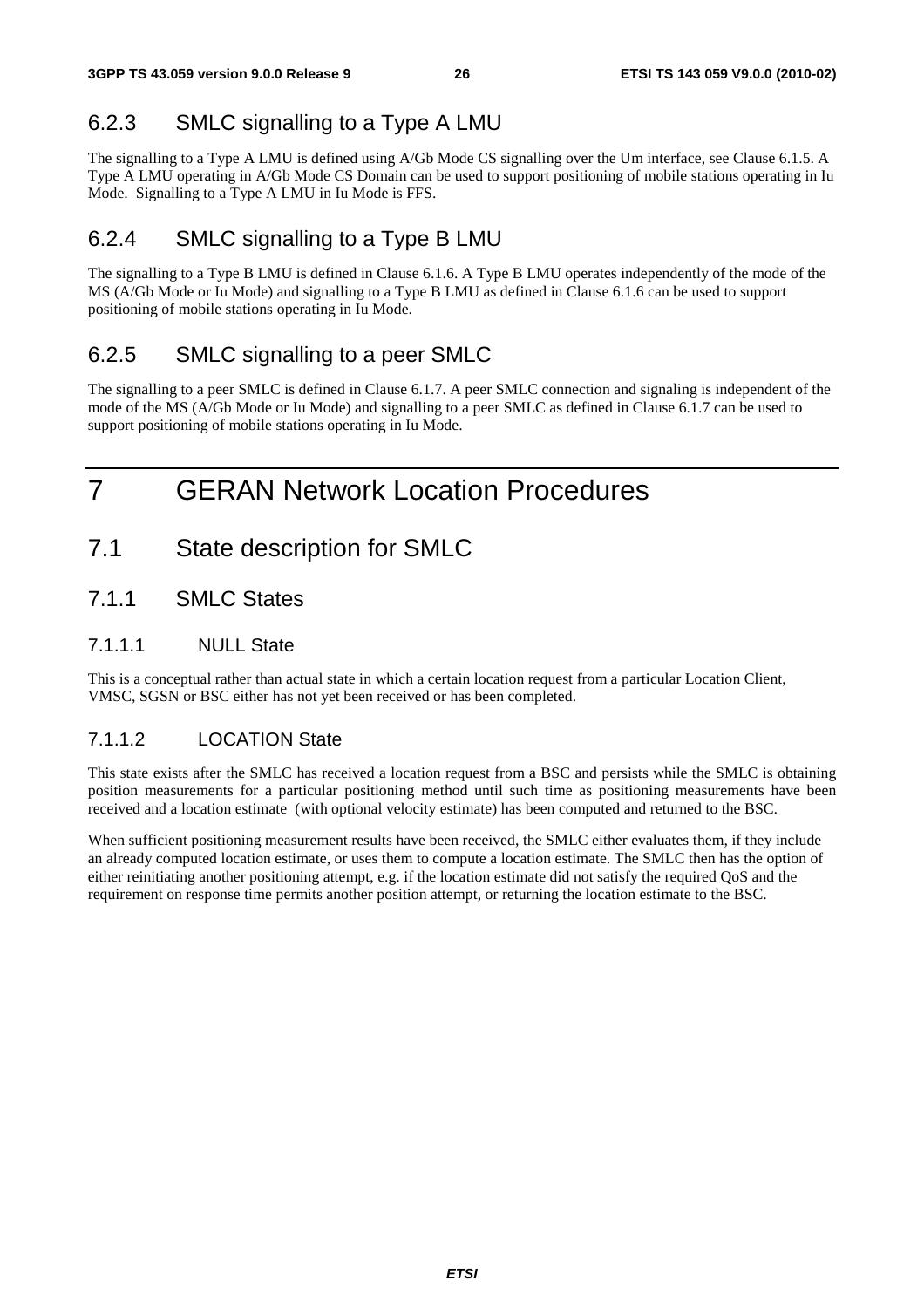## 6.2.3 SMLC signalling to a Type A LMU

The signalling to a Type A LMU is defined using A/Gb Mode CS signalling over the Um interface, see Clause 6.1.5. A Type A LMU operating in A/Gb Mode CS Domain can be used to support positioning of mobile stations operating in Iu Mode. Signalling to a Type A LMU in Iu Mode is FFS.

## 6.2.4 SMLC signalling to a Type B LMU

The signalling to a Type B LMU is defined in Clause 6.1.6. A Type B LMU operates independently of the mode of the MS (A/Gb Mode or Iu Mode) and signalling to a Type B LMU as defined in Clause 6.1.6 can be used to support positioning of mobile stations operating in Iu Mode.

## 6.2.5 SMLC signalling to a peer SMLC

The signalling to a peer SMLC is defined in Clause 6.1.7. A peer SMLC connection and signaling is independent of the mode of the MS (A/Gb Mode or Iu Mode) and signalling to a peer SMLC as defined in Clause 6.1.7 can be used to support positioning of mobile stations operating in Iu Mode.

## 7 GERAN Network Location Procedures

- 7.1 State description for SMLC
- 7.1.1 SMLC States

### 7.1.1.1 NULL State

This is a conceptual rather than actual state in which a certain location request from a particular Location Client, VMSC, SGSN or BSC either has not yet been received or has been completed.

### 7.1.1.2 LOCATION State

This state exists after the SMLC has received a location request from a BSC and persists while the SMLC is obtaining position measurements for a particular positioning method until such time as positioning measurements have been received and a location estimate (with optional velocity estimate) has been computed and returned to the BSC.

When sufficient positioning measurement results have been received, the SMLC either evaluates them, if they include an already computed location estimate, or uses them to compute a location estimate. The SMLC then has the option of either reinitiating another positioning attempt, e.g. if the location estimate did not satisfy the required QoS and the requirement on response time permits another position attempt, or returning the location estimate to the BSC.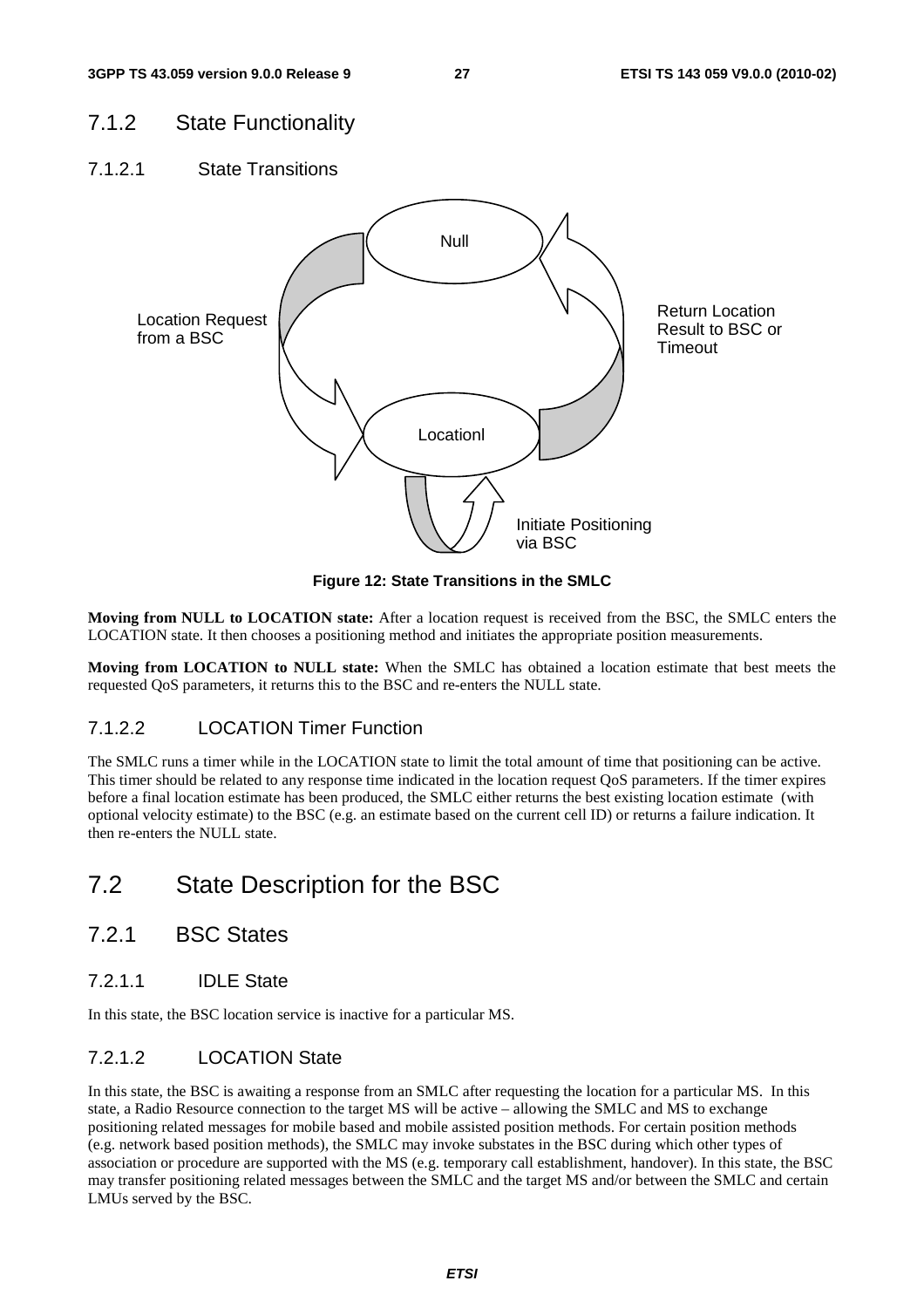### 7.1.2 State Functionality

7.1.2.1 State Transitions



**Figure 12: State Transitions in the SMLC** 

**Moving from NULL to LOCATION state:** After a location request is received from the BSC, the SMLC enters the LOCATION state. It then chooses a positioning method and initiates the appropriate position measurements.

**Moving from LOCATION to NULL state:** When the SMLC has obtained a location estimate that best meets the requested QoS parameters, it returns this to the BSC and re-enters the NULL state.

#### 7.1.2.2 LOCATION Timer Function

The SMLC runs a timer while in the LOCATION state to limit the total amount of time that positioning can be active. This timer should be related to any response time indicated in the location request QoS parameters. If the timer expires before a final location estimate has been produced, the SMLC either returns the best existing location estimate (with optional velocity estimate) to the BSC (e.g. an estimate based on the current cell ID) or returns a failure indication. It then re-enters the NULL state.

## 7.2 State Description for the BSC

- 7.2.1 BSC States
- 7.2.1.1 IDLE State

In this state, the BSC location service is inactive for a particular MS.

#### 7.2.1.2 LOCATION State

In this state, the BSC is awaiting a response from an SMLC after requesting the location for a particular MS. In this state, a Radio Resource connection to the target MS will be active – allowing the SMLC and MS to exchange positioning related messages for mobile based and mobile assisted position methods. For certain position methods (e.g. network based position methods), the SMLC may invoke substates in the BSC during which other types of association or procedure are supported with the MS (e.g. temporary call establishment, handover). In this state, the BSC may transfer positioning related messages between the SMLC and the target MS and/or between the SMLC and certain LMUs served by the BSC.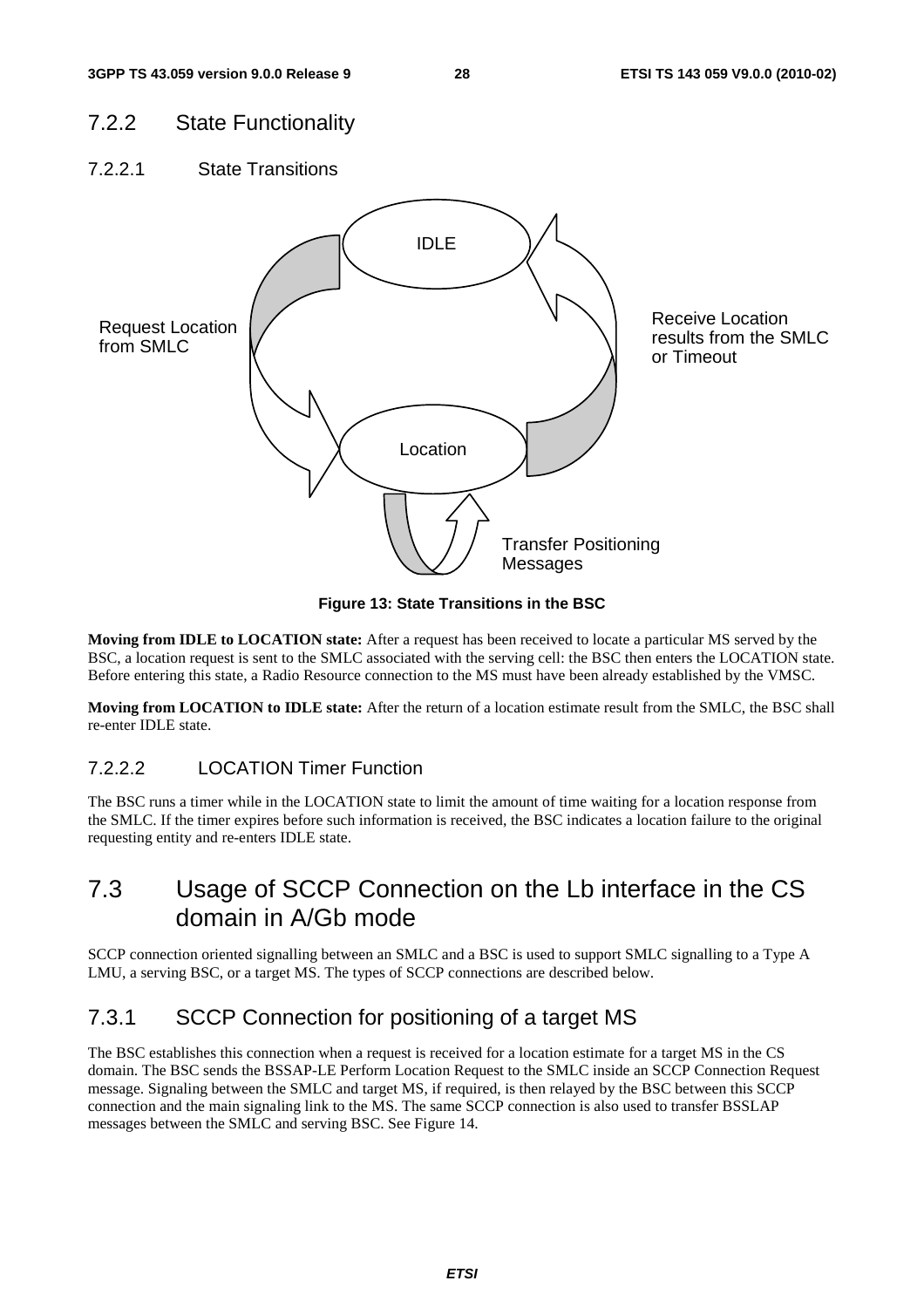### 7.2.2 State Functionality

7.2.2.1 State Transitions



**Figure 13: State Transitions in the BSC** 

**Moving from IDLE to LOCATION state:** After a request has been received to locate a particular MS served by the BSC, a location request is sent to the SMLC associated with the serving cell: the BSC then enters the LOCATION state. Before entering this state, a Radio Resource connection to the MS must have been already established by the VMSC.

**Moving from LOCATION to IDLE state:** After the return of a location estimate result from the SMLC, the BSC shall re-enter IDLE state.

### 7.2.2.2 LOCATION Timer Function

The BSC runs a timer while in the LOCATION state to limit the amount of time waiting for a location response from the SMLC. If the timer expires before such information is received, the BSC indicates a location failure to the original requesting entity and re-enters IDLE state.

## 7.3 Usage of SCCP Connection on the Lb interface in the CS domain in A/Gb mode

SCCP connection oriented signalling between an SMLC and a BSC is used to support SMLC signalling to a Type A LMU, a serving BSC, or a target MS. The types of SCCP connections are described below.

## 7.3.1 SCCP Connection for positioning of a target MS

The BSC establishes this connection when a request is received for a location estimate for a target MS in the CS domain. The BSC sends the BSSAP-LE Perform Location Request to the SMLC inside an SCCP Connection Request message. Signaling between the SMLC and target MS, if required, is then relayed by the BSC between this SCCP connection and the main signaling link to the MS. The same SCCP connection is also used to transfer BSSLAP messages between the SMLC and serving BSC. See Figure 14.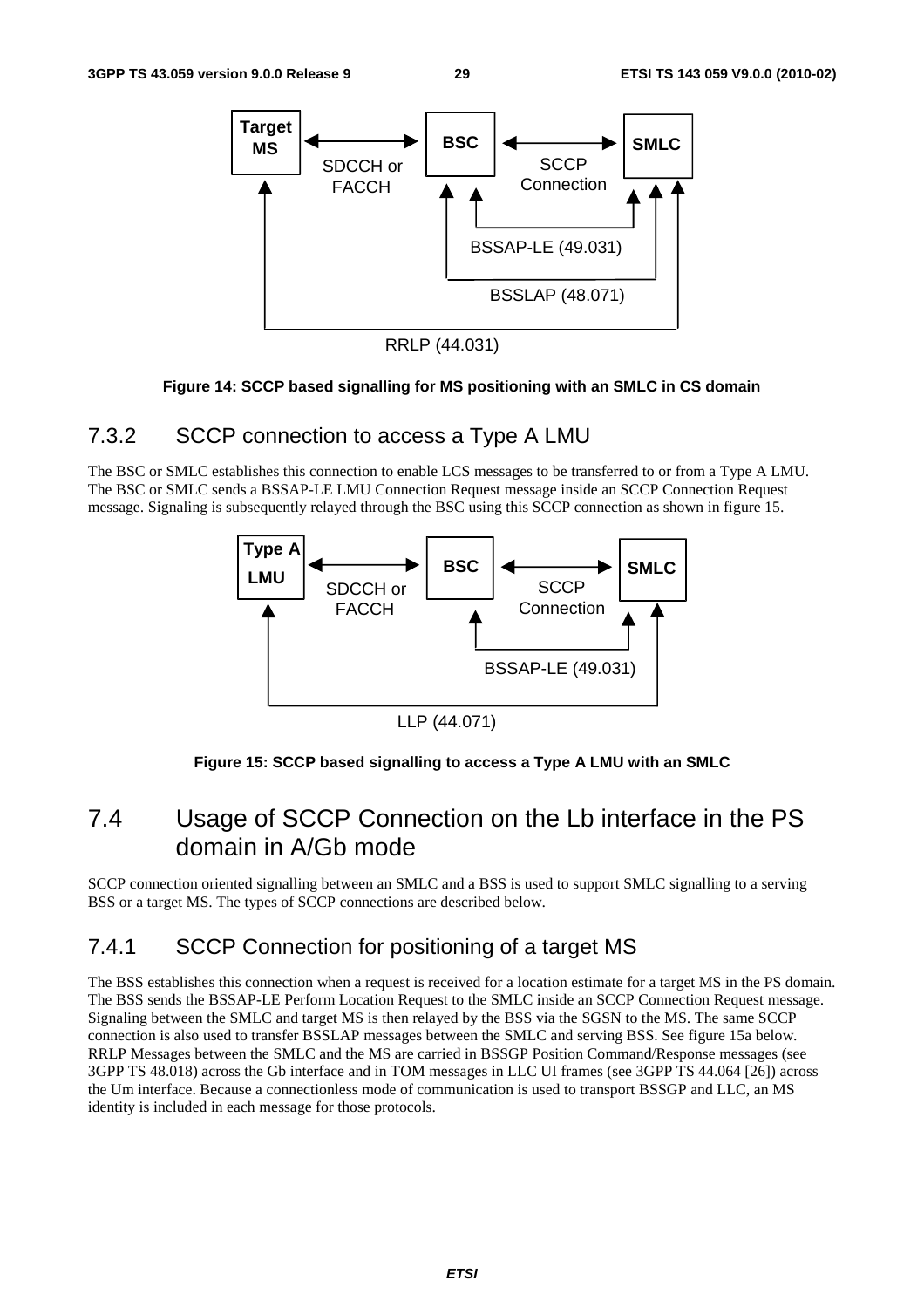

RRLP (44.031)

#### **Figure 14: SCCP based signalling for MS positioning with an SMLC in CS domain**

### 7.3.2 SCCP connection to access a Type A LMU

The BSC or SMLC establishes this connection to enable LCS messages to be transferred to or from a Type A LMU. The BSC or SMLC sends a BSSAP-LE LMU Connection Request message inside an SCCP Connection Request message. Signaling is subsequently relayed through the BSC using this SCCP connection as shown in figure 15.



LLP (44.071)

#### **Figure 15: SCCP based signalling to access a Type A LMU with an SMLC**

## 7.4 Usage of SCCP Connection on the Lb interface in the PS domain in A/Gb mode

SCCP connection oriented signalling between an SMLC and a BSS is used to support SMLC signalling to a serving BSS or a target MS. The types of SCCP connections are described below.

## 7.4.1 SCCP Connection for positioning of a target MS

The BSS establishes this connection when a request is received for a location estimate for a target MS in the PS domain. The BSS sends the BSSAP-LE Perform Location Request to the SMLC inside an SCCP Connection Request message. Signaling between the SMLC and target MS is then relayed by the BSS via the SGSN to the MS. The same SCCP connection is also used to transfer BSSLAP messages between the SMLC and serving BSS. See figure 15a below. RRLP Messages between the SMLC and the MS are carried in BSSGP Position Command/Response messages (see 3GPP TS 48.018) across the Gb interface and in TOM messages in LLC UI frames (see 3GPP TS 44.064 [26]) across the Um interface. Because a connectionless mode of communication is used to transport BSSGP and LLC, an MS identity is included in each message for those protocols.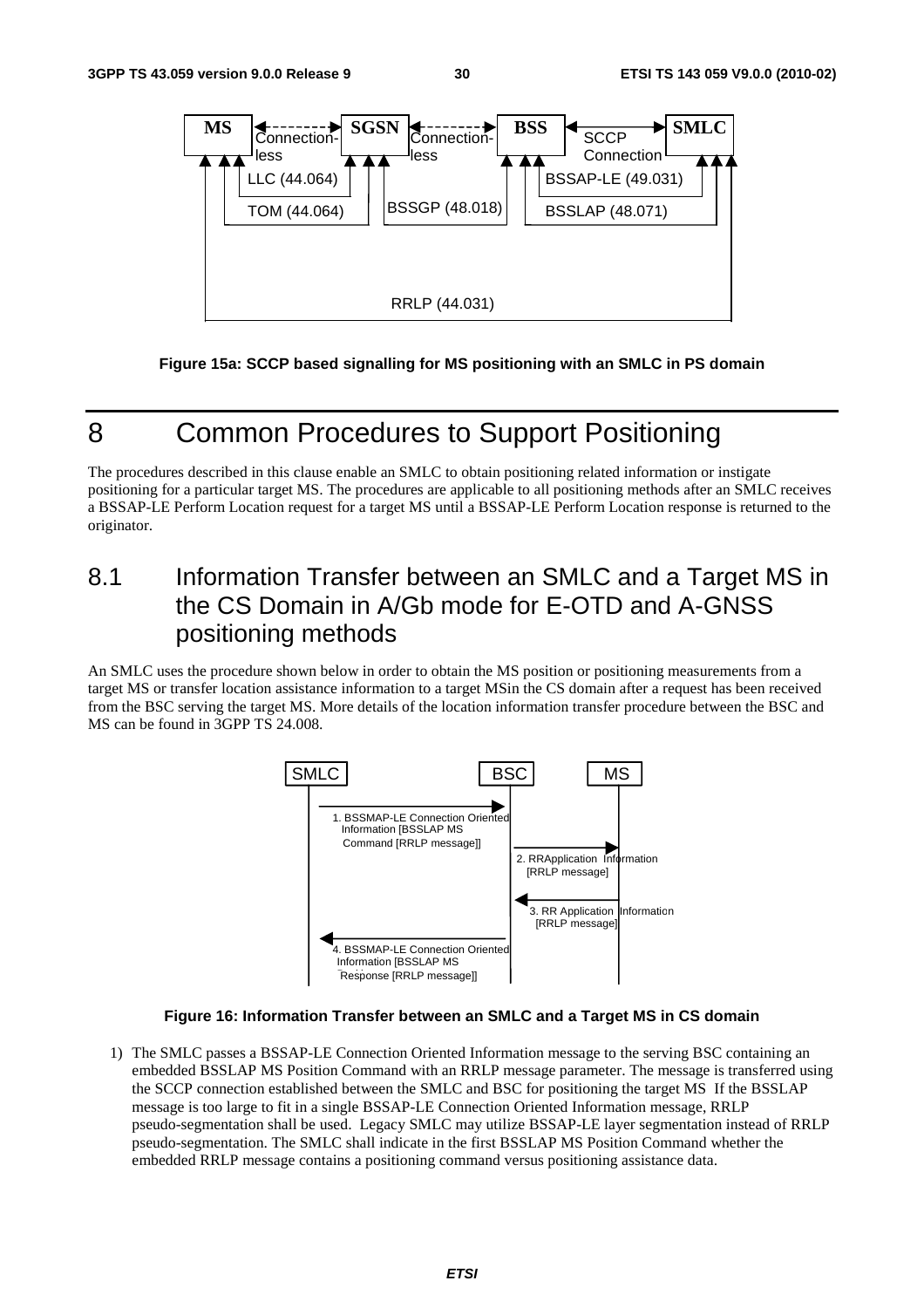

**Figure 15a: SCCP based signalling for MS positioning with an SMLC in PS domain** 

## 8 Common Procedures to Support Positioning

The procedures described in this clause enable an SMLC to obtain positioning related information or instigate positioning for a particular target MS. The procedures are applicable to all positioning methods after an SMLC receives a BSSAP-LE Perform Location request for a target MS until a BSSAP-LE Perform Location response is returned to the originator.

## 8.1 Information Transfer between an SMLC and a Target MS in the CS Domain in A/Gb mode for E-OTD and A-GNSS positioning methods

An SMLC uses the procedure shown below in order to obtain the MS position or positioning measurements from a target MS or transfer location assistance information to a target MSin the CS domain after a request has been received from the BSC serving the target MS. More details of the location information transfer procedure between the BSC and MS can be found in 3GPP TS 24.008.



#### **Figure 16: Information Transfer between an SMLC and a Target MS in CS domain**

1) The SMLC passes a BSSAP-LE Connection Oriented Information message to the serving BSC containing an embedded BSSLAP MS Position Command with an RRLP message parameter. The message is transferred using the SCCP connection established between the SMLC and BSC for positioning the target MS If the BSSLAP message is too large to fit in a single BSSAP-LE Connection Oriented Information message, RRLP pseudo-segmentation shall be used. Legacy SMLC may utilize BSSAP-LE layer segmentation instead of RRLP pseudo-segmentation. The SMLC shall indicate in the first BSSLAP MS Position Command whether the embedded RRLP message contains a positioning command versus positioning assistance data.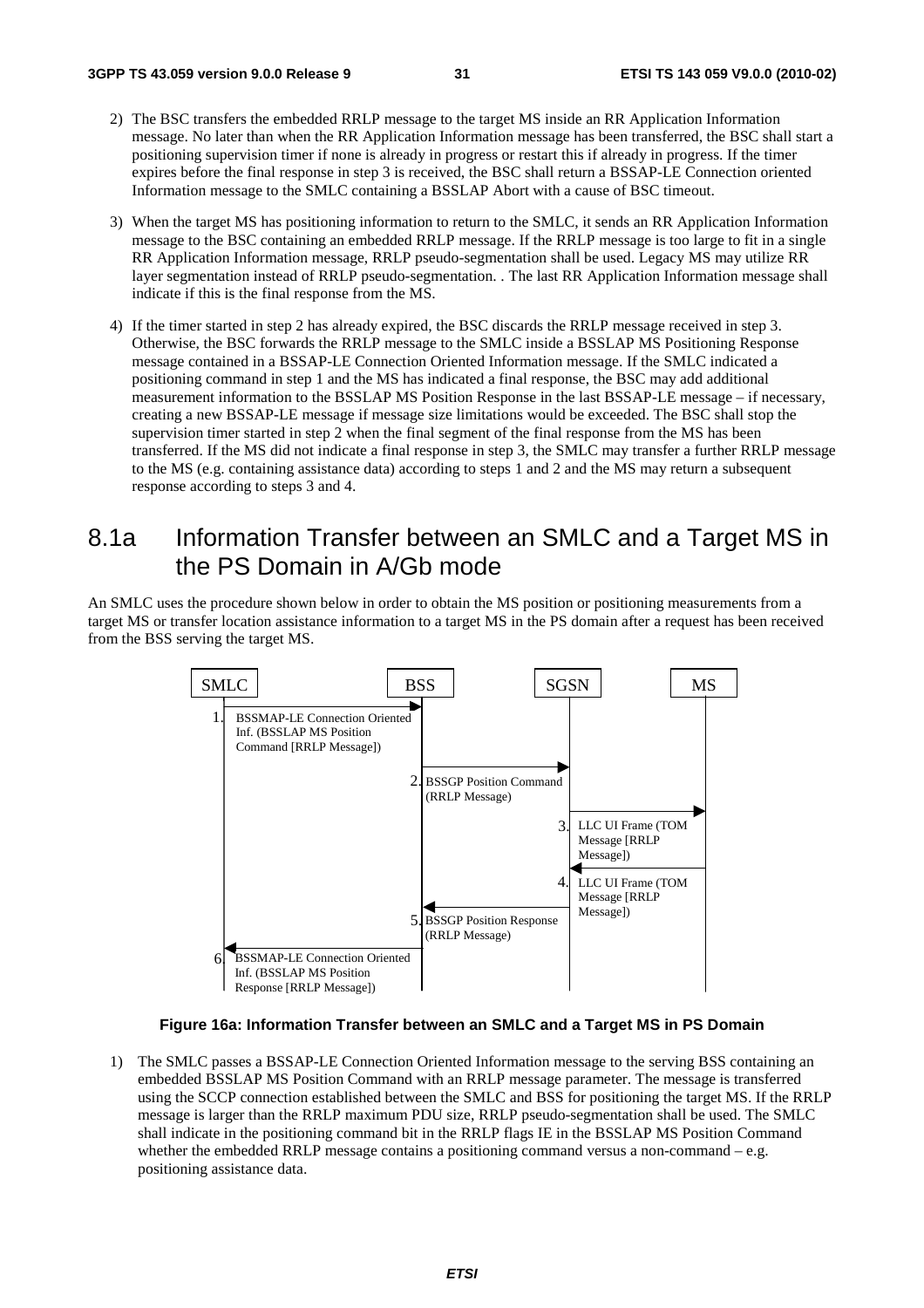- 2) The BSC transfers the embedded RRLP message to the target MS inside an RR Application Information message. No later than when the RR Application Information message has been transferred, the BSC shall start a positioning supervision timer if none is already in progress or restart this if already in progress. If the timer expires before the final response in step 3 is received, the BSC shall return a BSSAP-LE Connection oriented Information message to the SMLC containing a BSSLAP Abort with a cause of BSC timeout.
- 3) When the target MS has positioning information to return to the SMLC, it sends an RR Application Information message to the BSC containing an embedded RRLP message. If the RRLP message is too large to fit in a single RR Application Information message, RRLP pseudo-segmentation shall be used. Legacy MS may utilize RR layer segmentation instead of RRLP pseudo-segmentation. . The last RR Application Information message shall indicate if this is the final response from the MS.
- 4) If the timer started in step 2 has already expired, the BSC discards the RRLP message received in step 3. Otherwise, the BSC forwards the RRLP message to the SMLC inside a BSSLAP MS Positioning Response message contained in a BSSAP-LE Connection Oriented Information message. If the SMLC indicated a positioning command in step 1 and the MS has indicated a final response, the BSC may add additional measurement information to the BSSLAP MS Position Response in the last BSSAP-LE message – if necessary, creating a new BSSAP-LE message if message size limitations would be exceeded. The BSC shall stop the supervision timer started in step 2 when the final segment of the final response from the MS has been transferred. If the MS did not indicate a final response in step 3, the SMLC may transfer a further RRLP message to the MS (e.g. containing assistance data) according to steps 1 and 2 and the MS may return a subsequent response according to steps 3 and 4.

## 8.1a Information Transfer between an SMLC and a Target MS in the PS Domain in A/Gb mode

An SMLC uses the procedure shown below in order to obtain the MS position or positioning measurements from a target MS or transfer location assistance information to a target MS in the PS domain after a request has been received from the BSS serving the target MS.



#### **Figure 16a: Information Transfer between an SMLC and a Target MS in PS Domain**

1) The SMLC passes a BSSAP-LE Connection Oriented Information message to the serving BSS containing an embedded BSSLAP MS Position Command with an RRLP message parameter. The message is transferred using the SCCP connection established between the SMLC and BSS for positioning the target MS. If the RRLP message is larger than the RRLP maximum PDU size, RRLP pseudo-segmentation shall be used. The SMLC shall indicate in the positioning command bit in the RRLP flags IE in the BSSLAP MS Position Command whether the embedded RRLP message contains a positioning command versus a non-command  $-e.g.$ positioning assistance data.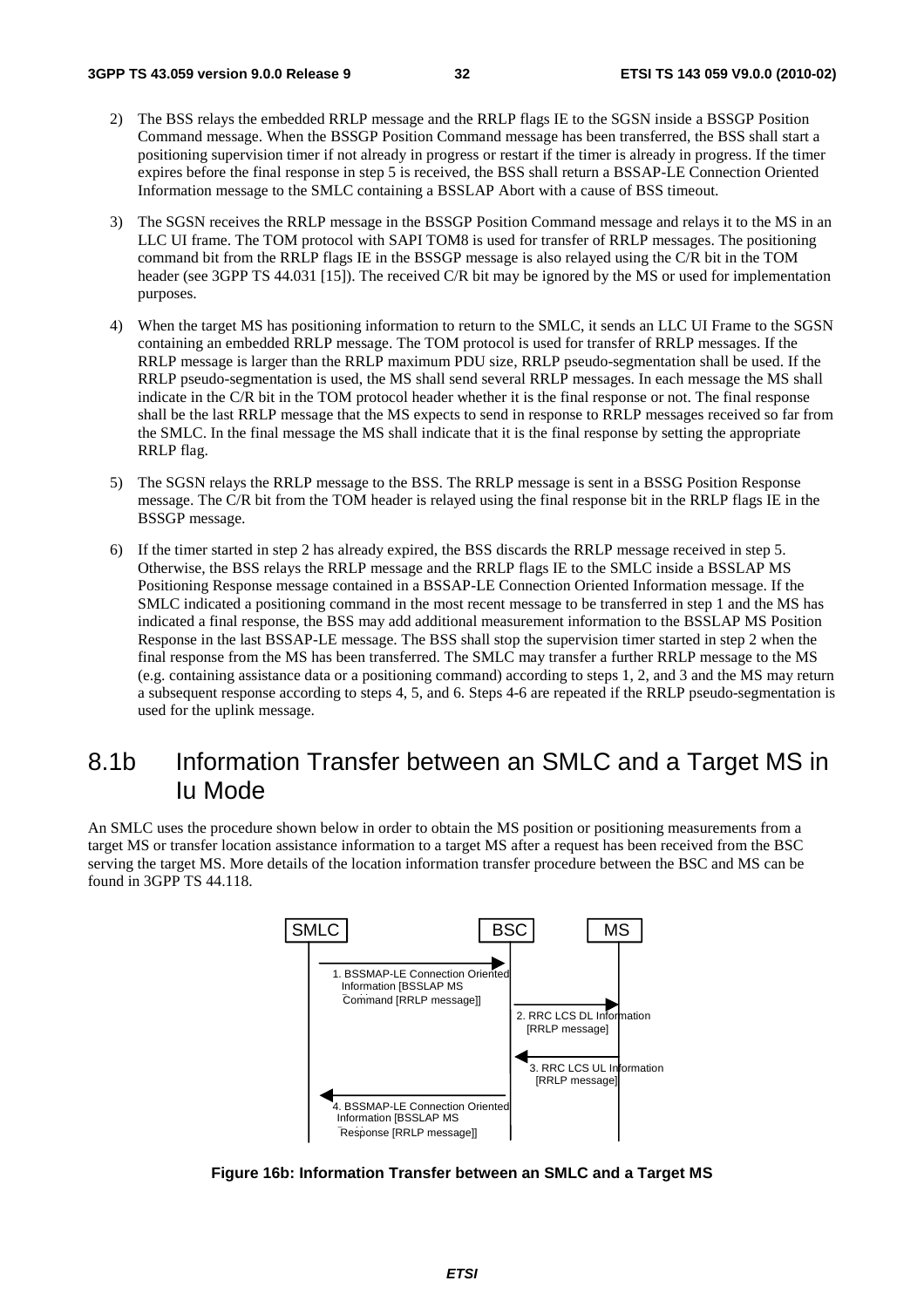- 2) The BSS relays the embedded RRLP message and the RRLP flags IE to the SGSN inside a BSSGP Position Command message. When the BSSGP Position Command message has been transferred, the BSS shall start a positioning supervision timer if not already in progress or restart if the timer is already in progress. If the timer expires before the final response in step 5 is received, the BSS shall return a BSSAP-LE Connection Oriented Information message to the SMLC containing a BSSLAP Abort with a cause of BSS timeout.
- 3) The SGSN receives the RRLP message in the BSSGP Position Command message and relays it to the MS in an LLC UI frame. The TOM protocol with SAPI TOM8 is used for transfer of RRLP messages. The positioning command bit from the RRLP flags IE in the BSSGP message is also relayed using the C/R bit in the TOM header (see 3GPP TS 44.031 [15]). The received C/R bit may be ignored by the MS or used for implementation purposes.
- 4) When the target MS has positioning information to return to the SMLC, it sends an LLC UI Frame to the SGSN containing an embedded RRLP message. The TOM protocol is used for transfer of RRLP messages. If the RRLP message is larger than the RRLP maximum PDU size, RRLP pseudo-segmentation shall be used. If the RRLP pseudo-segmentation is used, the MS shall send several RRLP messages. In each message the MS shall indicate in the C/R bit in the TOM protocol header whether it is the final response or not. The final response shall be the last RRLP message that the MS expects to send in response to RRLP messages received so far from the SMLC. In the final message the MS shall indicate that it is the final response by setting the appropriate RRLP flag.
- 5) The SGSN relays the RRLP message to the BSS. The RRLP message is sent in a BSSG Position Response message. The C/R bit from the TOM header is relayed using the final response bit in the RRLP flags IE in the BSSGP message.
- 6) If the timer started in step 2 has already expired, the BSS discards the RRLP message received in step 5. Otherwise, the BSS relays the RRLP message and the RRLP flags IE to the SMLC inside a BSSLAP MS Positioning Response message contained in a BSSAP-LE Connection Oriented Information message. If the SMLC indicated a positioning command in the most recent message to be transferred in step 1 and the MS has indicated a final response, the BSS may add additional measurement information to the BSSLAP MS Position Response in the last BSSAP-LE message. The BSS shall stop the supervision timer started in step 2 when the final response from the MS has been transferred. The SMLC may transfer a further RRLP message to the MS (e.g. containing assistance data or a positioning command) according to steps 1, 2, and 3 and the MS may return a subsequent response according to steps 4, 5, and 6. Steps 4-6 are repeated if the RRLP pseudo-segmentation is used for the uplink message.

## 8.1b Information Transfer between an SMLC and a Target MS in Iu Mode

An SMLC uses the procedure shown below in order to obtain the MS position or positioning measurements from a target MS or transfer location assistance information to a target MS after a request has been received from the BSC serving the target MS. More details of the location information transfer procedure between the BSC and MS can be found in 3GPP TS 44.118.



**Figure 16b: Information Transfer between an SMLC and a Target MS**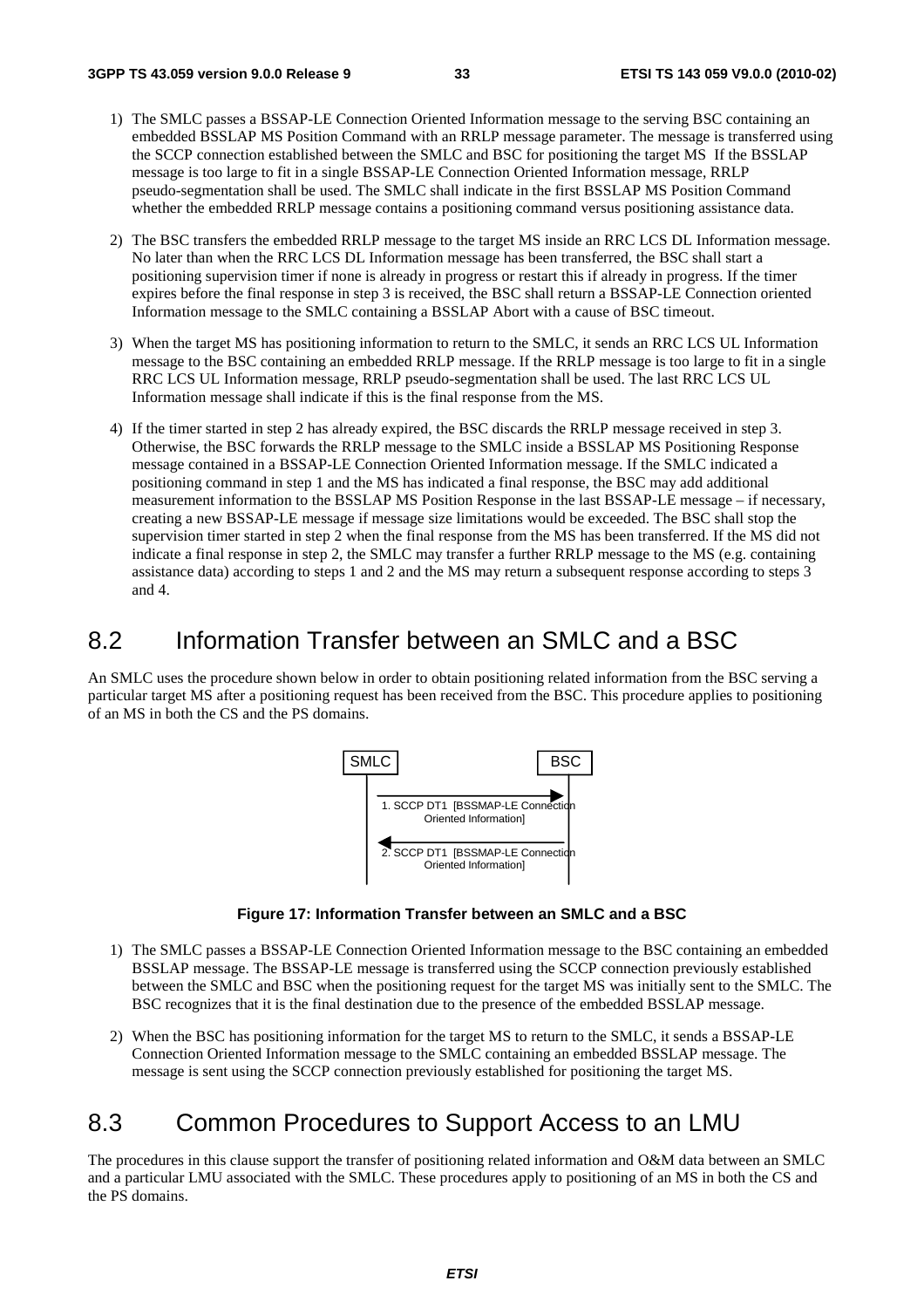- 1) The SMLC passes a BSSAP-LE Connection Oriented Information message to the serving BSC containing an embedded BSSLAP MS Position Command with an RRLP message parameter. The message is transferred using the SCCP connection established between the SMLC and BSC for positioning the target MS If the BSSLAP message is too large to fit in a single BSSAP-LE Connection Oriented Information message, RRLP pseudo-segmentation shall be used. The SMLC shall indicate in the first BSSLAP MS Position Command whether the embedded RRLP message contains a positioning command versus positioning assistance data.
- 2) The BSC transfers the embedded RRLP message to the target MS inside an RRC LCS DL Information message. No later than when the RRC LCS DL Information message has been transferred, the BSC shall start a positioning supervision timer if none is already in progress or restart this if already in progress. If the timer expires before the final response in step 3 is received, the BSC shall return a BSSAP-LE Connection oriented Information message to the SMLC containing a BSSLAP Abort with a cause of BSC timeout.
- 3) When the target MS has positioning information to return to the SMLC, it sends an RRC LCS UL Information message to the BSC containing an embedded RRLP message. If the RRLP message is too large to fit in a single RRC LCS UL Information message, RRLP pseudo-segmentation shall be used. The last RRC LCS UL Information message shall indicate if this is the final response from the MS.
- 4) If the timer started in step 2 has already expired, the BSC discards the RRLP message received in step 3. Otherwise, the BSC forwards the RRLP message to the SMLC inside a BSSLAP MS Positioning Response message contained in a BSSAP-LE Connection Oriented Information message. If the SMLC indicated a positioning command in step 1 and the MS has indicated a final response, the BSC may add additional measurement information to the BSSLAP MS Position Response in the last BSSAP-LE message – if necessary, creating a new BSSAP-LE message if message size limitations would be exceeded. The BSC shall stop the supervision timer started in step 2 when the final response from the MS has been transferred. If the MS did not indicate a final response in step 2, the SMLC may transfer a further RRLP message to the MS (e.g. containing assistance data) according to steps 1 and 2 and the MS may return a subsequent response according to steps 3 and 4.

## 8.2 Information Transfer between an SMLC and a BSC

An SMLC uses the procedure shown below in order to obtain positioning related information from the BSC serving a particular target MS after a positioning request has been received from the BSC. This procedure applies to positioning of an MS in both the CS and the PS domains.



**Figure 17: Information Transfer between an SMLC and a BSC** 

- 1) The SMLC passes a BSSAP-LE Connection Oriented Information message to the BSC containing an embedded BSSLAP message. The BSSAP-LE message is transferred using the SCCP connection previously established between the SMLC and BSC when the positioning request for the target MS was initially sent to the SMLC. The BSC recognizes that it is the final destination due to the presence of the embedded BSSLAP message.
- 2) When the BSC has positioning information for the target MS to return to the SMLC, it sends a BSSAP-LE Connection Oriented Information message to the SMLC containing an embedded BSSLAP message. The message is sent using the SCCP connection previously established for positioning the target MS.

## 8.3 Common Procedures to Support Access to an LMU

The procedures in this clause support the transfer of positioning related information and O&M data between an SMLC and a particular LMU associated with the SMLC. These procedures apply to positioning of an MS in both the CS and the PS domains.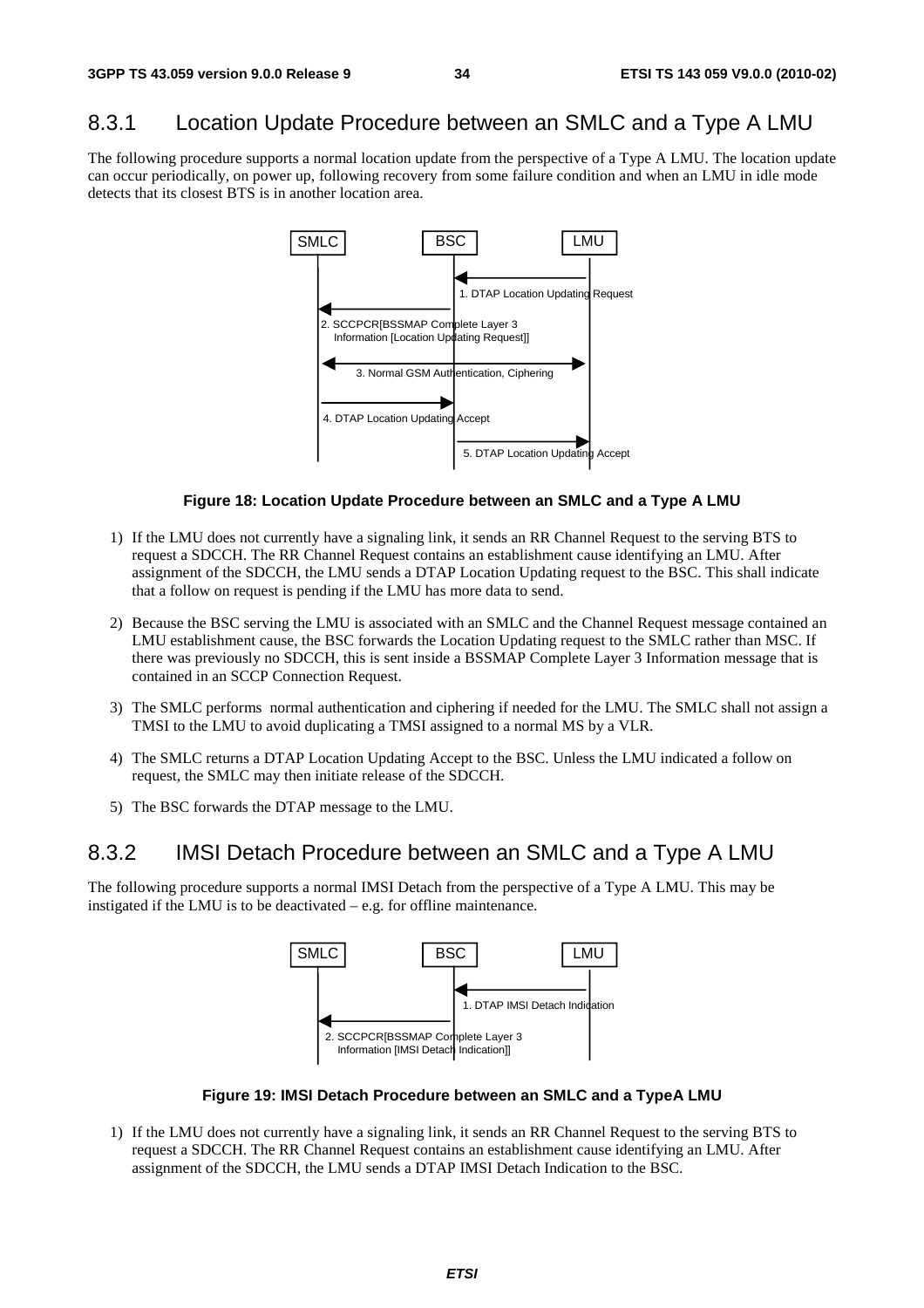## 8.3.1 Location Update Procedure between an SMLC and a Type A LMU

The following procedure supports a normal location update from the perspective of a Type A LMU. The location update can occur periodically, on power up, following recovery from some failure condition and when an LMU in idle mode detects that its closest BTS is in another location area.



#### **Figure 18: Location Update Procedure between an SMLC and a Type A LMU**

- 1) If the LMU does not currently have a signaling link, it sends an RR Channel Request to the serving BTS to request a SDCCH. The RR Channel Request contains an establishment cause identifying an LMU. After assignment of the SDCCH, the LMU sends a DTAP Location Updating request to the BSC. This shall indicate that a follow on request is pending if the LMU has more data to send.
- 2) Because the BSC serving the LMU is associated with an SMLC and the Channel Request message contained an LMU establishment cause, the BSC forwards the Location Updating request to the SMLC rather than MSC. If there was previously no SDCCH, this is sent inside a BSSMAP Complete Layer 3 Information message that is contained in an SCCP Connection Request.
- 3) The SMLC performs normal authentication and ciphering if needed for the LMU. The SMLC shall not assign a TMSI to the LMU to avoid duplicating a TMSI assigned to a normal MS by a VLR.
- 4) The SMLC returns a DTAP Location Updating Accept to the BSC. Unless the LMU indicated a follow on request, the SMLC may then initiate release of the SDCCH.
- 5) The BSC forwards the DTAP message to the LMU.

### 8.3.2 IMSI Detach Procedure between an SMLC and a Type A LMU

The following procedure supports a normal IMSI Detach from the perspective of a Type A LMU. This may be instigated if the LMU is to be deactivated – e.g. for offline maintenance.



**Figure 19: IMSI Detach Procedure between an SMLC and a TypeA LMU** 

1) If the LMU does not currently have a signaling link, it sends an RR Channel Request to the serving BTS to request a SDCCH. The RR Channel Request contains an establishment cause identifying an LMU. After assignment of the SDCCH, the LMU sends a DTAP IMSI Detach Indication to the BSC.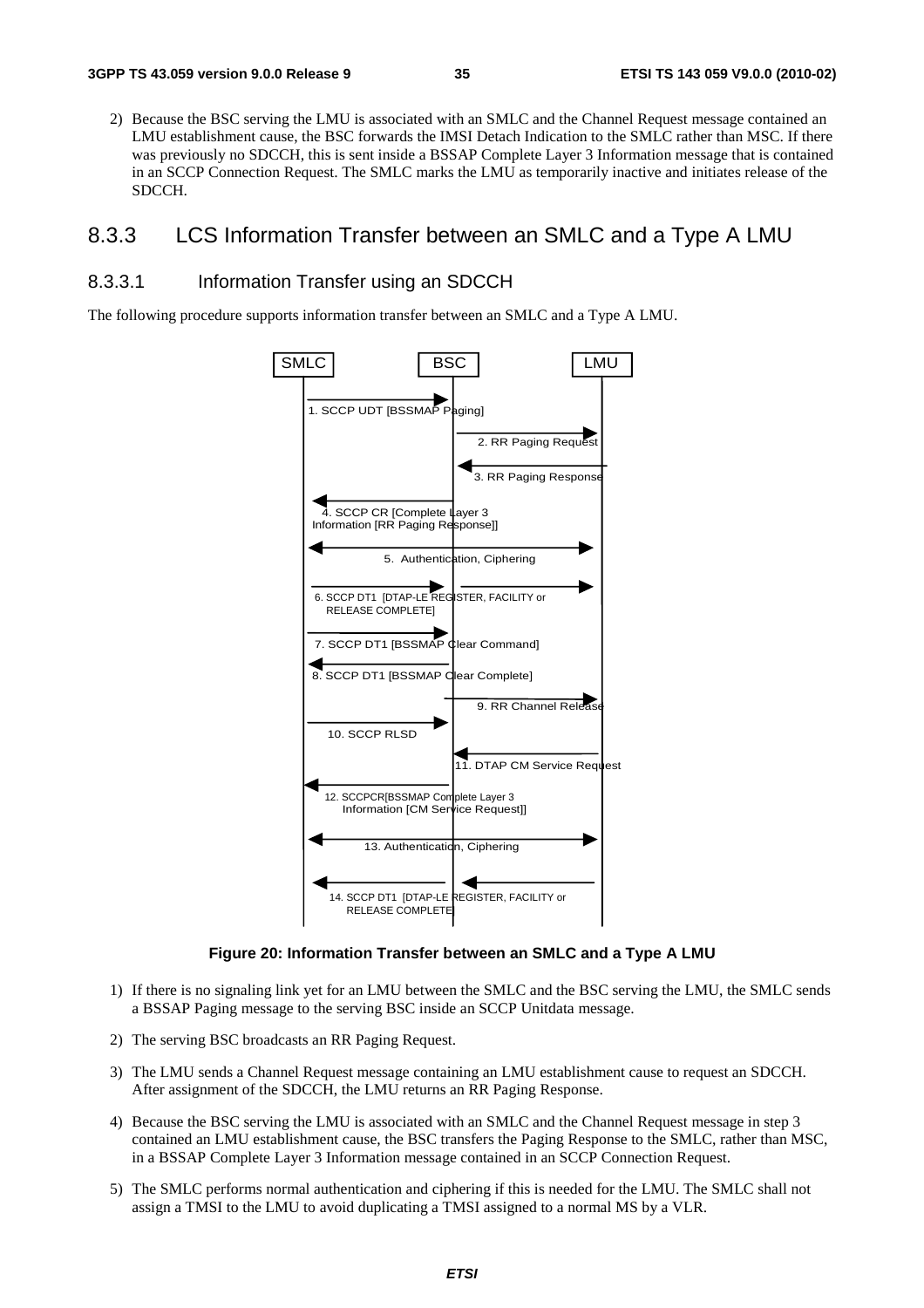2) Because the BSC serving the LMU is associated with an SMLC and the Channel Request message contained an LMU establishment cause, the BSC forwards the IMSI Detach Indication to the SMLC rather than MSC. If there was previously no SDCCH, this is sent inside a BSSAP Complete Layer 3 Information message that is contained in an SCCP Connection Request. The SMLC marks the LMU as temporarily inactive and initiates release of the SDCCH.

### 8.3.3 LCS Information Transfer between an SMLC and a Type A LMU

#### 8.3.3.1 Information Transfer using an SDCCH

The following procedure supports information transfer between an SMLC and a Type A LMU.



**Figure 20: Information Transfer between an SMLC and a Type A LMU** 

- 1) If there is no signaling link yet for an LMU between the SMLC and the BSC serving the LMU, the SMLC sends a BSSAP Paging message to the serving BSC inside an SCCP Unitdata message.
- 2) The serving BSC broadcasts an RR Paging Request.
- 3) The LMU sends a Channel Request message containing an LMU establishment cause to request an SDCCH. After assignment of the SDCCH, the LMU returns an RR Paging Response.
- 4) Because the BSC serving the LMU is associated with an SMLC and the Channel Request message in step 3 contained an LMU establishment cause, the BSC transfers the Paging Response to the SMLC, rather than MSC, in a BSSAP Complete Layer 3 Information message contained in an SCCP Connection Request.
- 5) The SMLC performs normal authentication and ciphering if this is needed for the LMU. The SMLC shall not assign a TMSI to the LMU to avoid duplicating a TMSI assigned to a normal MS by a VLR.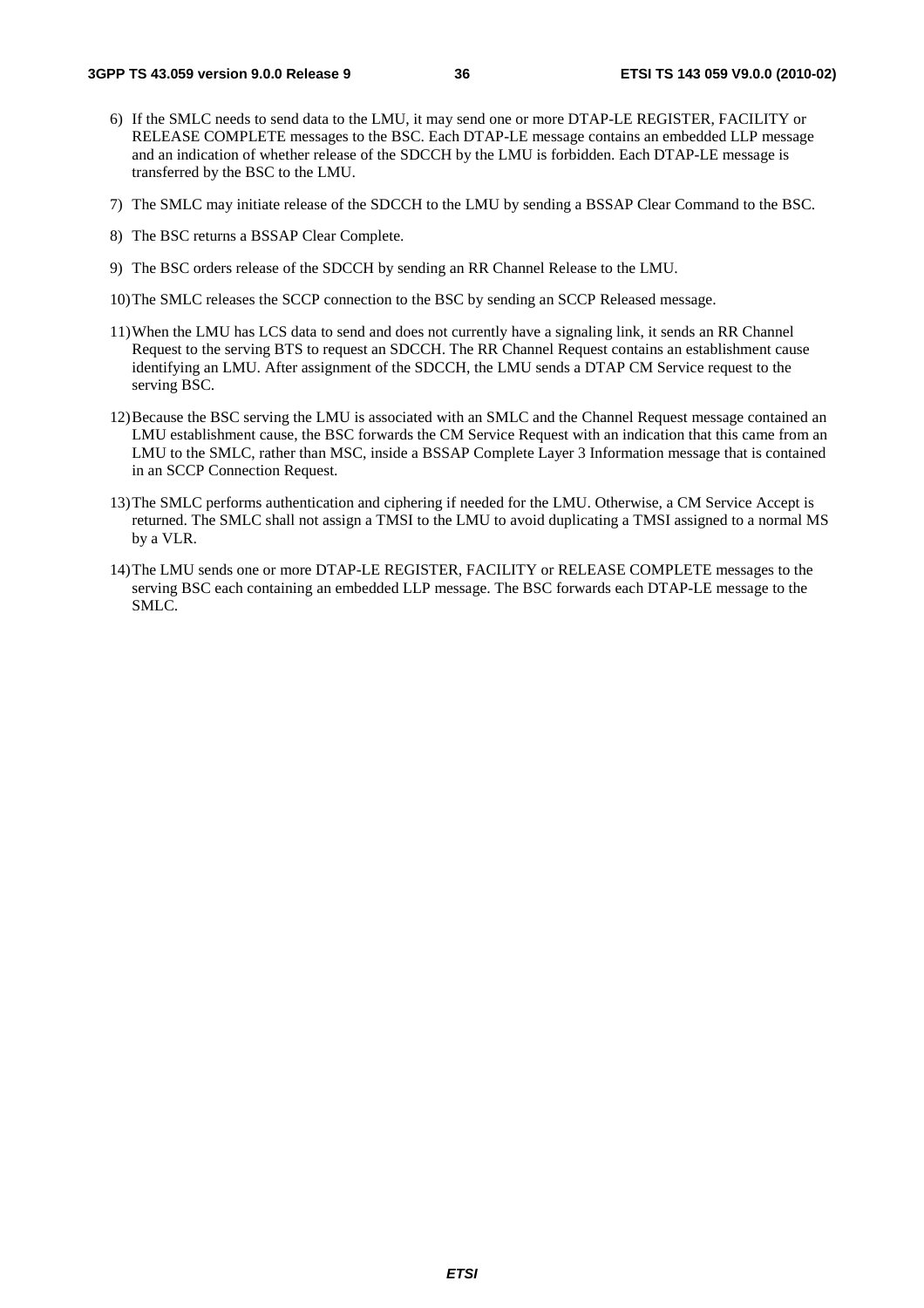- 6) If the SMLC needs to send data to the LMU, it may send one or more DTAP-LE REGISTER, FACILITY or RELEASE COMPLETE messages to the BSC. Each DTAP-LE message contains an embedded LLP message and an indication of whether release of the SDCCH by the LMU is forbidden. Each DTAP-LE message is transferred by the BSC to the LMU.
- 7) The SMLC may initiate release of the SDCCH to the LMU by sending a BSSAP Clear Command to the BSC.
- 8) The BSC returns a BSSAP Clear Complete.
- 9) The BSC orders release of the SDCCH by sending an RR Channel Release to the LMU.
- 10) The SMLC releases the SCCP connection to the BSC by sending an SCCP Released message.
- 11) When the LMU has LCS data to send and does not currently have a signaling link, it sends an RR Channel Request to the serving BTS to request an SDCCH. The RR Channel Request contains an establishment cause identifying an LMU. After assignment of the SDCCH, the LMU sends a DTAP CM Service request to the serving BSC.
- 12) Because the BSC serving the LMU is associated with an SMLC and the Channel Request message contained an LMU establishment cause, the BSC forwards the CM Service Request with an indication that this came from an LMU to the SMLC, rather than MSC, inside a BSSAP Complete Layer 3 Information message that is contained in an SCCP Connection Request.
- 13) The SMLC performs authentication and ciphering if needed for the LMU. Otherwise, a CM Service Accept is returned. The SMLC shall not assign a TMSI to the LMU to avoid duplicating a TMSI assigned to a normal MS by a VLR.
- 14) The LMU sends one or more DTAP-LE REGISTER, FACILITY or RELEASE COMPLETE messages to the serving BSC each containing an embedded LLP message. The BSC forwards each DTAP-LE message to the SMLC.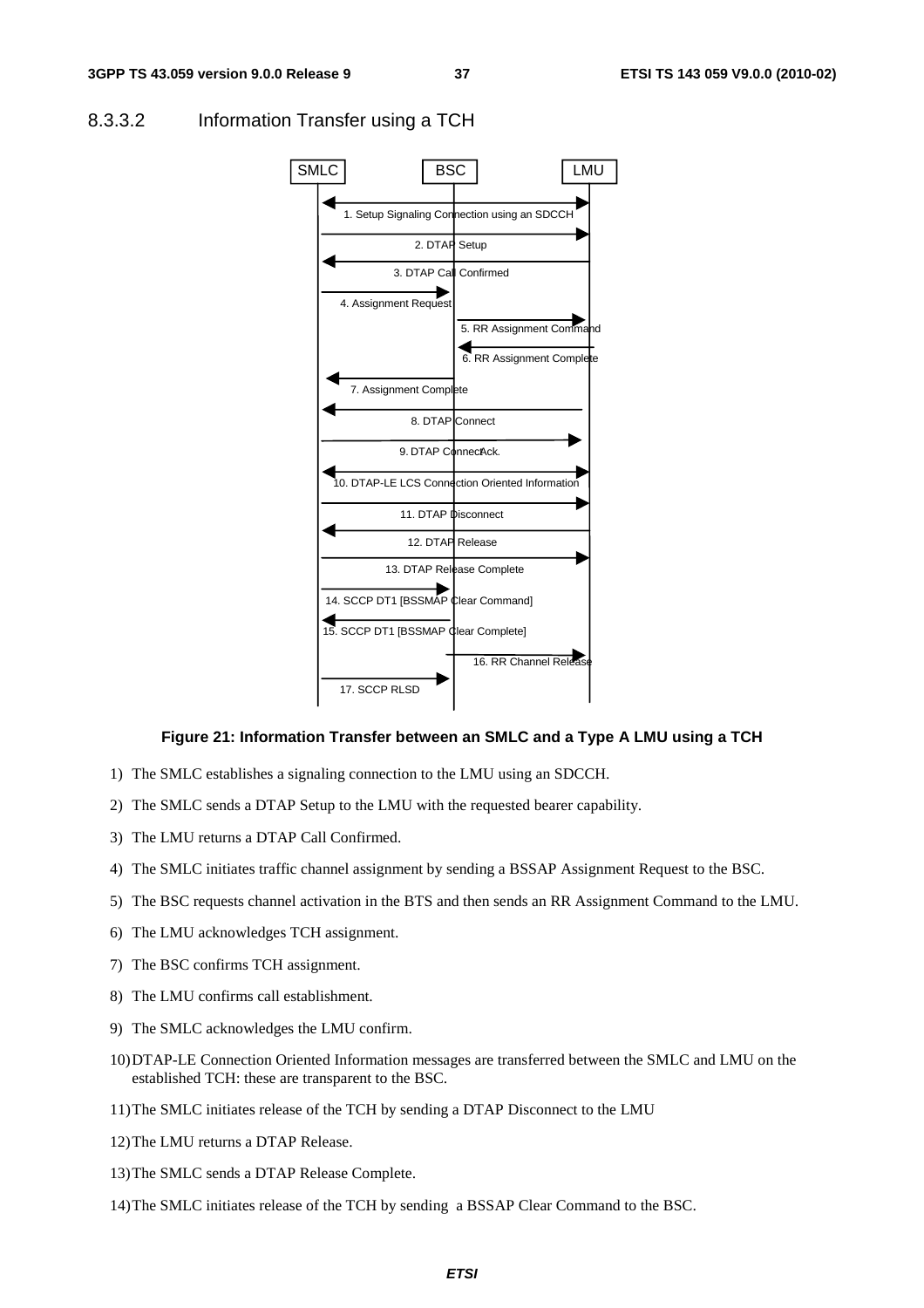

#### 8.3.3.2 Information Transfer using a TCH

#### **Figure 21: Information Transfer between an SMLC and a Type A LMU using a TCH**

- 1) The SMLC establishes a signaling connection to the LMU using an SDCCH.
- 2) The SMLC sends a DTAP Setup to the LMU with the requested bearer capability.
- 3) The LMU returns a DTAP Call Confirmed.
- 4) The SMLC initiates traffic channel assignment by sending a BSSAP Assignment Request to the BSC.
- 5) The BSC requests channel activation in the BTS and then sends an RR Assignment Command to the LMU.
- 6) The LMU acknowledges TCH assignment.
- 7) The BSC confirms TCH assignment.
- 8) The LMU confirms call establishment.
- 9) The SMLC acknowledges the LMU confirm.
- 10) DTAP-LE Connection Oriented Information messages are transferred between the SMLC and LMU on the established TCH: these are transparent to the BSC.
- 11) The SMLC initiates release of the TCH by sending a DTAP Disconnect to the LMU
- 12) The LMU returns a DTAP Release.
- 13) The SMLC sends a DTAP Release Complete.
- 14) The SMLC initiates release of the TCH by sending a BSSAP Clear Command to the BSC.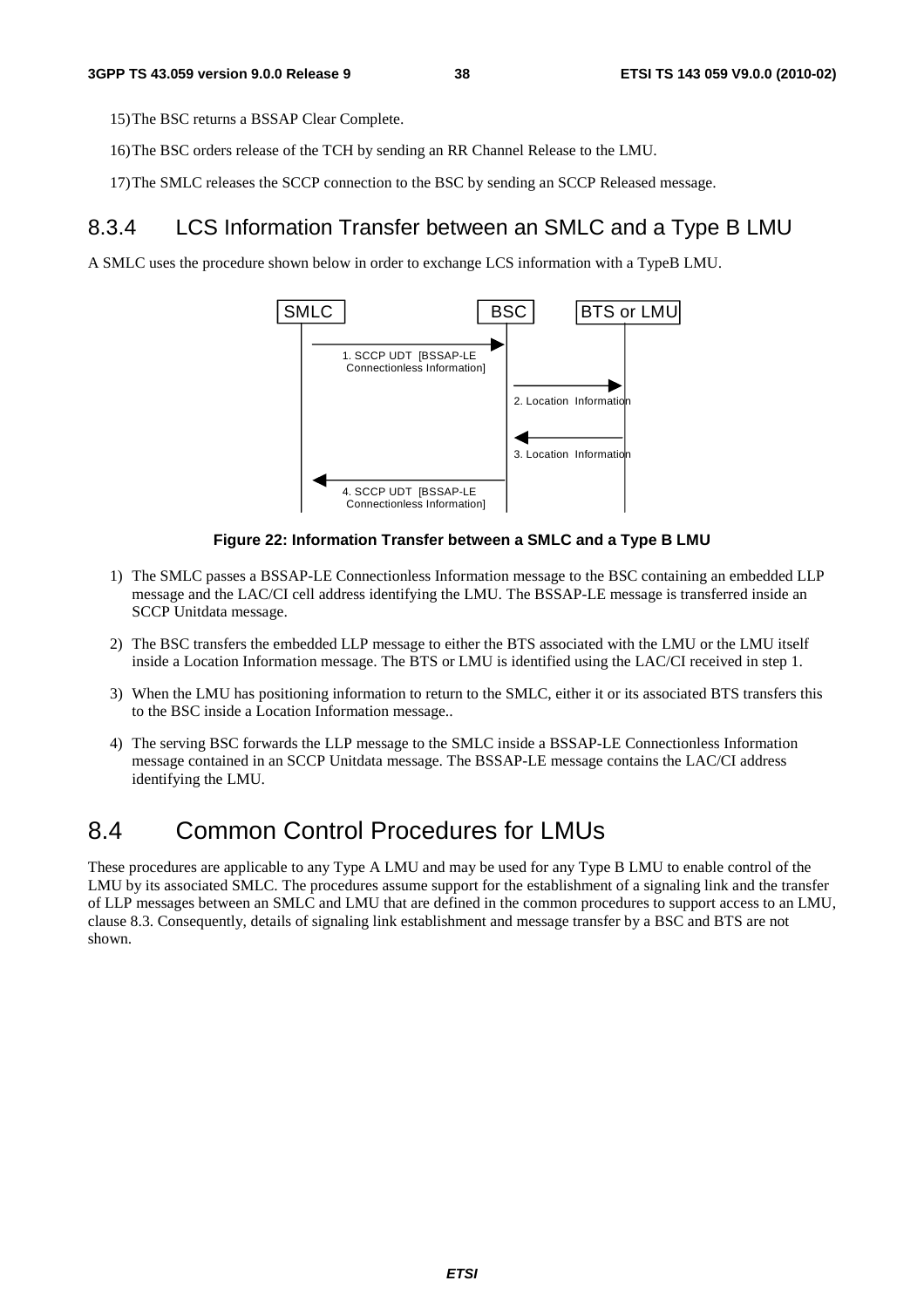15) The BSC returns a BSSAP Clear Complete.

- 16) The BSC orders release of the TCH by sending an RR Channel Release to the LMU.
- 17) The SMLC releases the SCCP connection to the BSC by sending an SCCP Released message.

### 8.3.4 LCS Information Transfer between an SMLC and a Type B LMU

A SMLC uses the procedure shown below in order to exchange LCS information with a TypeB LMU.



#### **Figure 22: Information Transfer between a SMLC and a Type B LMU**

- 1) The SMLC passes a BSSAP-LE Connectionless Information message to the BSC containing an embedded LLP message and the LAC/CI cell address identifying the LMU. The BSSAP-LE message is transferred inside an SCCP Unitdata message.
- 2) The BSC transfers the embedded LLP message to either the BTS associated with the LMU or the LMU itself inside a Location Information message. The BTS or LMU is identified using the LAC/CI received in step 1.
- 3) When the LMU has positioning information to return to the SMLC, either it or its associated BTS transfers this to the BSC inside a Location Information message..
- 4) The serving BSC forwards the LLP message to the SMLC inside a BSSAP-LE Connectionless Information message contained in an SCCP Unitdata message. The BSSAP-LE message contains the LAC/CI address identifying the LMU.

## 8.4 Common Control Procedures for LMUs

These procedures are applicable to any Type A LMU and may be used for any Type B LMU to enable control of the LMU by its associated SMLC. The procedures assume support for the establishment of a signaling link and the transfer of LLP messages between an SMLC and LMU that are defined in the common procedures to support access to an LMU, clause 8.3. Consequently, details of signaling link establishment and message transfer by a BSC and BTS are not shown.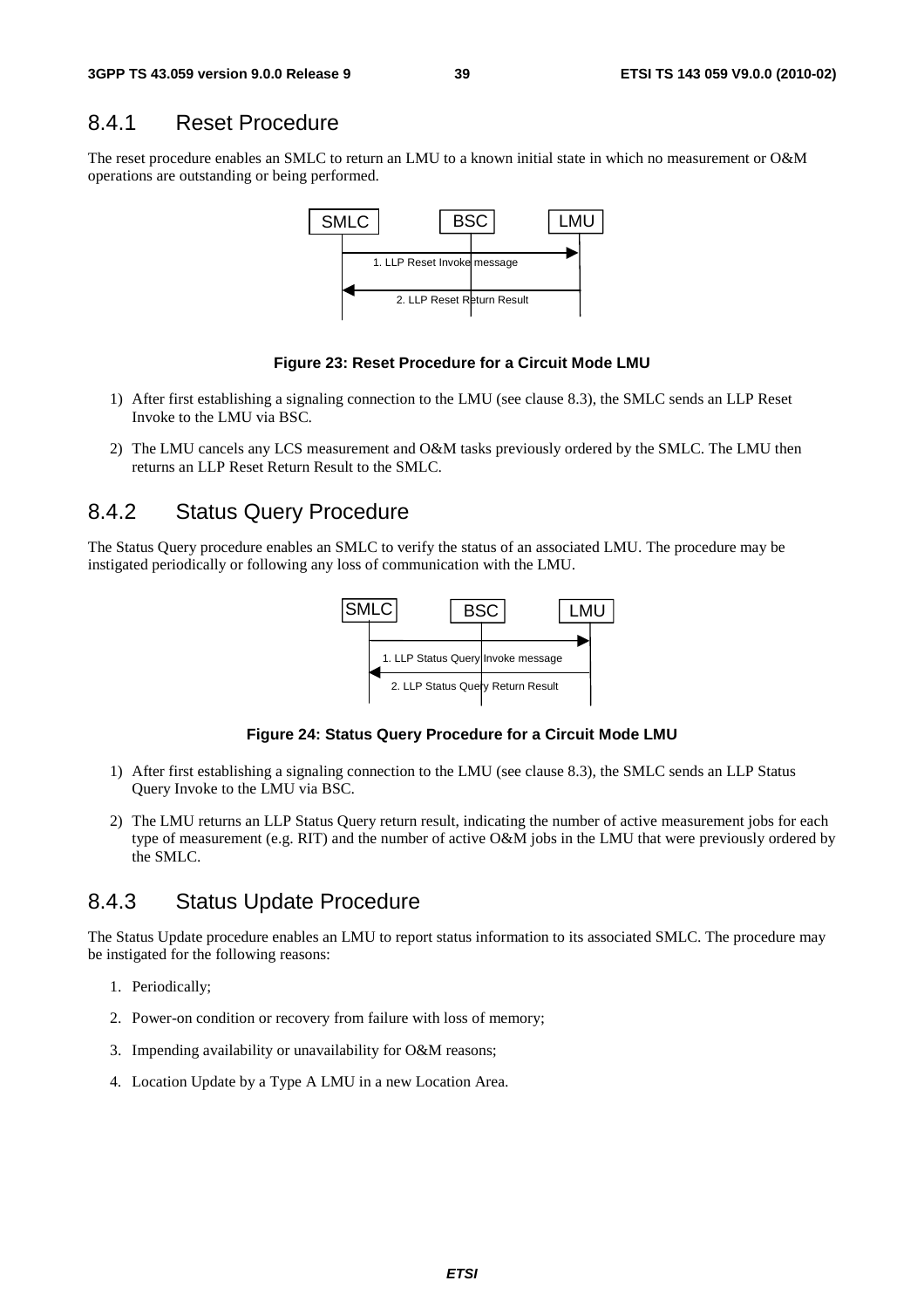#### 8.4.1 Reset Procedure

The reset procedure enables an SMLC to return an LMU to a known initial state in which no measurement or O&M operations are outstanding or being performed.



#### **Figure 23: Reset Procedure for a Circuit Mode LMU**

- 1) After first establishing a signaling connection to the LMU (see clause 8.3), the SMLC sends an LLP Reset Invoke to the LMU via BSC.
- 2) The LMU cancels any LCS measurement and O&M tasks previously ordered by the SMLC. The LMU then returns an LLP Reset Return Result to the SMLC.

### 8.4.2 Status Query Procedure

The Status Query procedure enables an SMLC to verify the status of an associated LMU. The procedure may be instigated periodically or following any loss of communication with the LMU.



**Figure 24: Status Query Procedure for a Circuit Mode LMU** 

- 1) After first establishing a signaling connection to the LMU (see clause 8.3), the SMLC sends an LLP Status Query Invoke to the LMU via BSC.
- 2) The LMU returns an LLP Status Query return result, indicating the number of active measurement jobs for each type of measurement (e.g. RIT) and the number of active O&M jobs in the LMU that were previously ordered by the SMLC.

### 8.4.3 Status Update Procedure

The Status Update procedure enables an LMU to report status information to its associated SMLC. The procedure may be instigated for the following reasons:

- 1. Periodically;
- 2. Power-on condition or recovery from failure with loss of memory;
- 3. Impending availability or unavailability for O&M reasons;
- 4. Location Update by a Type A LMU in a new Location Area.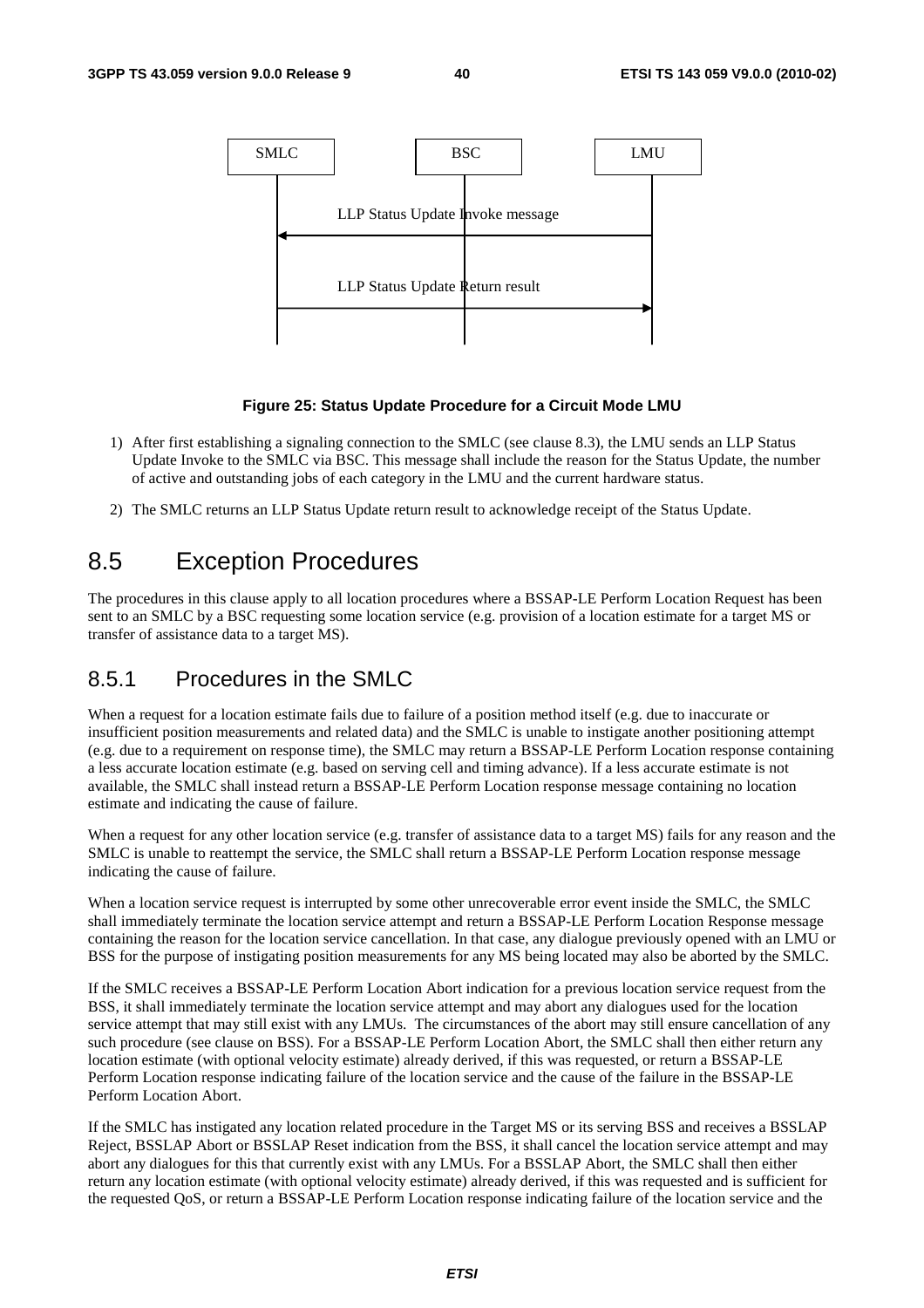

#### **Figure 25: Status Update Procedure for a Circuit Mode LMU**

- 1) After first establishing a signaling connection to the SMLC (see clause 8.3), the LMU sends an LLP Status Update Invoke to the SMLC via BSC. This message shall include the reason for the Status Update, the number of active and outstanding jobs of each category in the LMU and the current hardware status.
- 2) The SMLC returns an LLP Status Update return result to acknowledge receipt of the Status Update.

## 8.5 Exception Procedures

The procedures in this clause apply to all location procedures where a BSSAP-LE Perform Location Request has been sent to an SMLC by a BSC requesting some location service (e.g. provision of a location estimate for a target MS or transfer of assistance data to a target MS).

### 8.5.1 Procedures in the SMLC

When a request for a location estimate fails due to failure of a position method itself (e.g. due to inaccurate or insufficient position measurements and related data) and the SMLC is unable to instigate another positioning attempt (e.g. due to a requirement on response time), the SMLC may return a BSSAP-LE Perform Location response containing a less accurate location estimate (e.g. based on serving cell and timing advance). If a less accurate estimate is not available, the SMLC shall instead return a BSSAP-LE Perform Location response message containing no location estimate and indicating the cause of failure.

When a request for any other location service (e.g. transfer of assistance data to a target MS) fails for any reason and the SMLC is unable to reattempt the service, the SMLC shall return a BSSAP-LE Perform Location response message indicating the cause of failure.

When a location service request is interrupted by some other unrecoverable error event inside the SMLC, the SMLC shall immediately terminate the location service attempt and return a BSSAP-LE Perform Location Response message containing the reason for the location service cancellation. In that case, any dialogue previously opened with an LMU or BSS for the purpose of instigating position measurements for any MS being located may also be aborted by the SMLC.

If the SMLC receives a BSSAP-LE Perform Location Abort indication for a previous location service request from the BSS, it shall immediately terminate the location service attempt and may abort any dialogues used for the location service attempt that may still exist with any LMUs. The circumstances of the abort may still ensure cancellation of any such procedure (see clause on BSS). For a BSSAP-LE Perform Location Abort, the SMLC shall then either return any location estimate (with optional velocity estimate) already derived, if this was requested, or return a BSSAP-LE Perform Location response indicating failure of the location service and the cause of the failure in the BSSAP-LE Perform Location Abort.

If the SMLC has instigated any location related procedure in the Target MS or its serving BSS and receives a BSSLAP Reject, BSSLAP Abort or BSSLAP Reset indication from the BSS, it shall cancel the location service attempt and may abort any dialogues for this that currently exist with any LMUs. For a BSSLAP Abort, the SMLC shall then either return any location estimate (with optional velocity estimate) already derived, if this was requested and is sufficient for the requested QoS, or return a BSSAP-LE Perform Location response indicating failure of the location service and the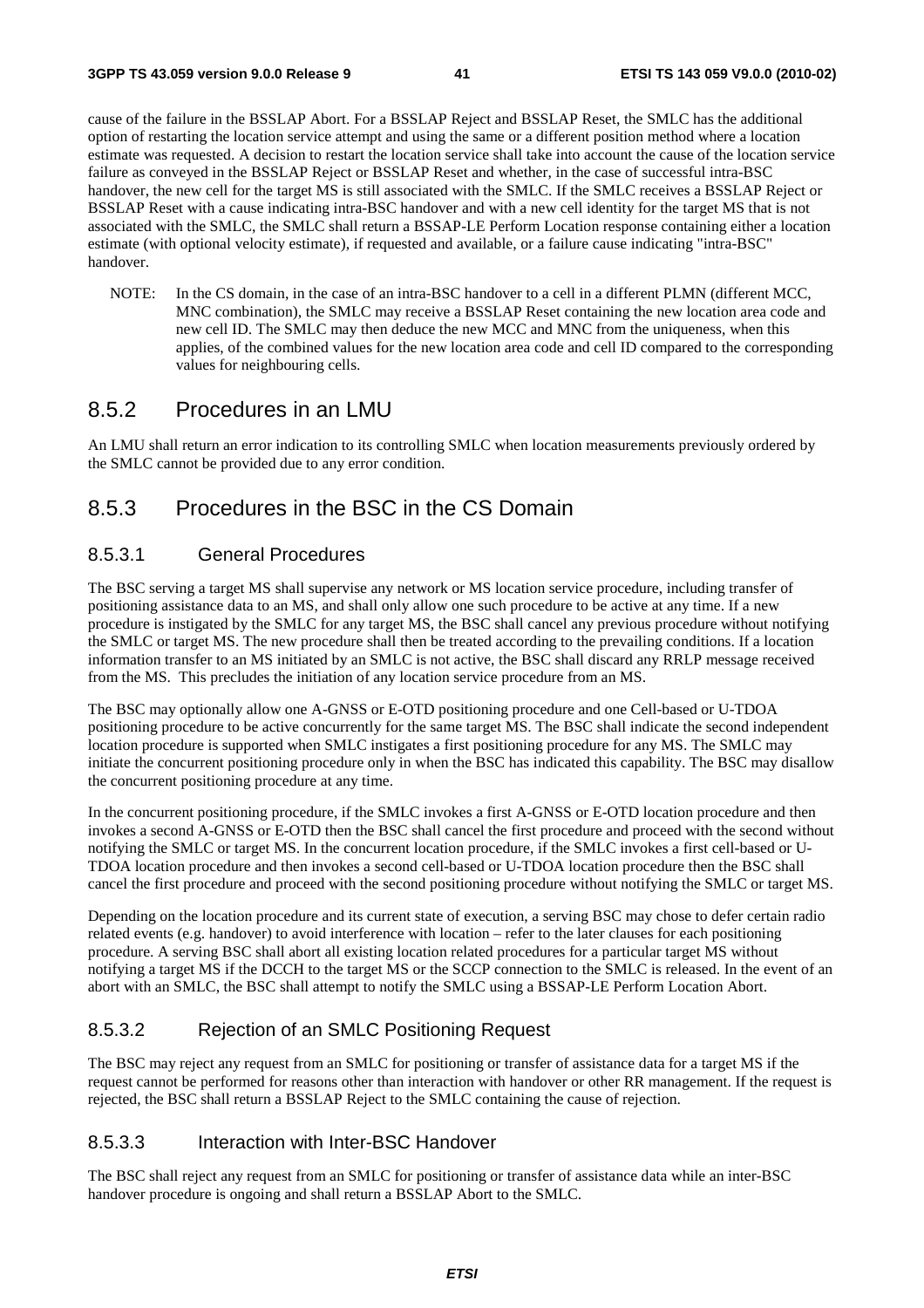cause of the failure in the BSSLAP Abort. For a BSSLAP Reject and BSSLAP Reset, the SMLC has the additional option of restarting the location service attempt and using the same or a different position method where a location estimate was requested. A decision to restart the location service shall take into account the cause of the location service failure as conveyed in the BSSLAP Reject or BSSLAP Reset and whether, in the case of successful intra-BSC handover, the new cell for the target MS is still associated with the SMLC. If the SMLC receives a BSSLAP Reject or BSSLAP Reset with a cause indicating intra-BSC handover and with a new cell identity for the target MS that is not associated with the SMLC, the SMLC shall return a BSSAP-LE Perform Location response containing either a location estimate (with optional velocity estimate), if requested and available, or a failure cause indicating "intra-BSC" handover.

NOTE: In the CS domain, in the case of an intra-BSC handover to a cell in a different PLMN (different MCC, MNC combination), the SMLC may receive a BSSLAP Reset containing the new location area code and new cell ID. The SMLC may then deduce the new MCC and MNC from the uniqueness, when this applies, of the combined values for the new location area code and cell ID compared to the corresponding values for neighbouring cells.

#### 8.5.2 Procedures in an LMU

An LMU shall return an error indication to its controlling SMLC when location measurements previously ordered by the SMLC cannot be provided due to any error condition.

## 8.5.3 Procedures in the BSC in the CS Domain

#### 8.5.3.1 General Procedures

The BSC serving a target MS shall supervise any network or MS location service procedure, including transfer of positioning assistance data to an MS, and shall only allow one such procedure to be active at any time. If a new procedure is instigated by the SMLC for any target MS, the BSC shall cancel any previous procedure without notifying the SMLC or target MS. The new procedure shall then be treated according to the prevailing conditions. If a location information transfer to an MS initiated by an SMLC is not active, the BSC shall discard any RRLP message received from the MS. This precludes the initiation of any location service procedure from an MS.

The BSC may optionally allow one A-GNSS or E-OTD positioning procedure and one Cell-based or U-TDOA positioning procedure to be active concurrently for the same target MS. The BSC shall indicate the second independent location procedure is supported when SMLC instigates a first positioning procedure for any MS. The SMLC may initiate the concurrent positioning procedure only in when the BSC has indicated this capability. The BSC may disallow the concurrent positioning procedure at any time.

In the concurrent positioning procedure, if the SMLC invokes a first A-GNSS or E-OTD location procedure and then invokes a second A-GNSS or E-OTD then the BSC shall cancel the first procedure and proceed with the second without notifying the SMLC or target MS. In the concurrent location procedure, if the SMLC invokes a first cell-based or U-TDOA location procedure and then invokes a second cell-based or U-TDOA location procedure then the BSC shall cancel the first procedure and proceed with the second positioning procedure without notifying the SMLC or target MS.

Depending on the location procedure and its current state of execution, a serving BSC may chose to defer certain radio related events (e.g. handover) to avoid interference with location – refer to the later clauses for each positioning procedure. A serving BSC shall abort all existing location related procedures for a particular target MS without notifying a target MS if the DCCH to the target MS or the SCCP connection to the SMLC is released. In the event of an abort with an SMLC, the BSC shall attempt to notify the SMLC using a BSSAP-LE Perform Location Abort.

#### 8.5.3.2 Rejection of an SMLC Positioning Request

The BSC may reject any request from an SMLC for positioning or transfer of assistance data for a target MS if the request cannot be performed for reasons other than interaction with handover or other RR management. If the request is rejected, the BSC shall return a BSSLAP Reject to the SMLC containing the cause of rejection.

#### 8.5.3.3 Interaction with Inter-BSC Handover

The BSC shall reject any request from an SMLC for positioning or transfer of assistance data while an inter-BSC handover procedure is ongoing and shall return a BSSLAP Abort to the SMLC.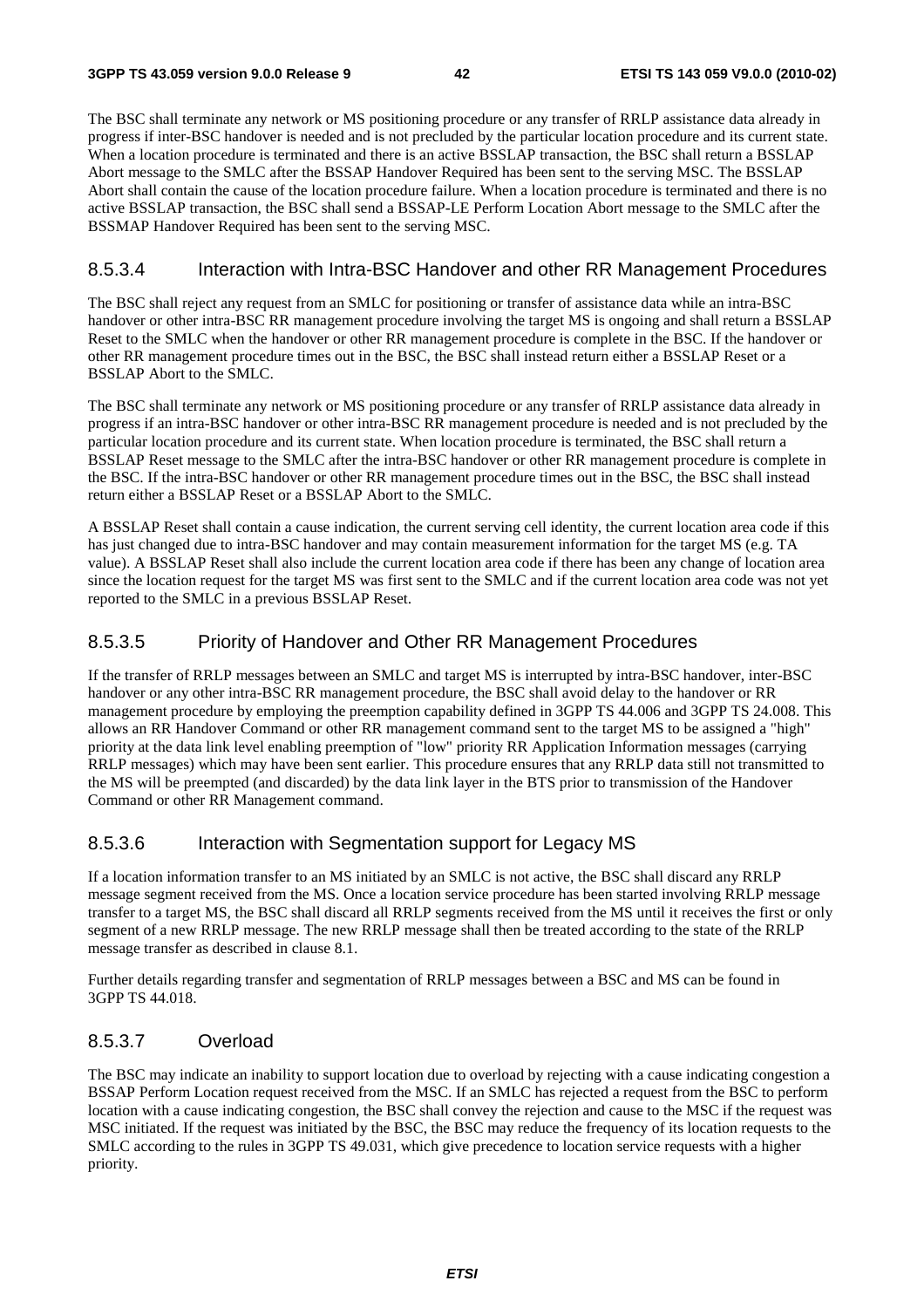The BSC shall terminate any network or MS positioning procedure or any transfer of RRLP assistance data already in progress if inter-BSC handover is needed and is not precluded by the particular location procedure and its current state. When a location procedure is terminated and there is an active BSSLAP transaction, the BSC shall return a BSSLAP Abort message to the SMLC after the BSSAP Handover Required has been sent to the serving MSC. The BSSLAP Abort shall contain the cause of the location procedure failure. When a location procedure is terminated and there is no active BSSLAP transaction, the BSC shall send a BSSAP-LE Perform Location Abort message to the SMLC after the BSSMAP Handover Required has been sent to the serving MSC.

#### 8.5.3.4 Interaction with Intra-BSC Handover and other RR Management Procedures

The BSC shall reject any request from an SMLC for positioning or transfer of assistance data while an intra-BSC handover or other intra-BSC RR management procedure involving the target MS is ongoing and shall return a BSSLAP Reset to the SMLC when the handover or other RR management procedure is complete in the BSC. If the handover or other RR management procedure times out in the BSC, the BSC shall instead return either a BSSLAP Reset or a BSSLAP Abort to the SMLC.

The BSC shall terminate any network or MS positioning procedure or any transfer of RRLP assistance data already in progress if an intra-BSC handover or other intra-BSC RR management procedure is needed and is not precluded by the particular location procedure and its current state. When location procedure is terminated, the BSC shall return a BSSLAP Reset message to the SMLC after the intra-BSC handover or other RR management procedure is complete in the BSC. If the intra-BSC handover or other RR management procedure times out in the BSC, the BSC shall instead return either a BSSLAP Reset or a BSSLAP Abort to the SMLC.

A BSSLAP Reset shall contain a cause indication, the current serving cell identity, the current location area code if this has just changed due to intra-BSC handover and may contain measurement information for the target MS (e.g. TA value). A BSSLAP Reset shall also include the current location area code if there has been any change of location area since the location request for the target MS was first sent to the SMLC and if the current location area code was not yet reported to the SMLC in a previous BSSLAP Reset.

#### 8.5.3.5 Priority of Handover and Other RR Management Procedures

If the transfer of RRLP messages between an SMLC and target MS is interrupted by intra-BSC handover, inter-BSC handover or any other intra-BSC RR management procedure, the BSC shall avoid delay to the handover or RR management procedure by employing the preemption capability defined in 3GPP TS 44.006 and 3GPP TS 24.008. This allows an RR Handover Command or other RR management command sent to the target MS to be assigned a "high" priority at the data link level enabling preemption of "low" priority RR Application Information messages (carrying RRLP messages) which may have been sent earlier. This procedure ensures that any RRLP data still not transmitted to the MS will be preempted (and discarded) by the data link layer in the BTS prior to transmission of the Handover Command or other RR Management command.

#### 8.5.3.6 Interaction with Segmentation support for Legacy MS

If a location information transfer to an MS initiated by an SMLC is not active, the BSC shall discard any RRLP message segment received from the MS. Once a location service procedure has been started involving RRLP message transfer to a target MS, the BSC shall discard all RRLP segments received from the MS until it receives the first or only segment of a new RRLP message. The new RRLP message shall then be treated according to the state of the RRLP message transfer as described in clause 8.1.

Further details regarding transfer and segmentation of RRLP messages between a BSC and MS can be found in 3GPP TS 44.018.

### 8.5.3.7 Overload

The BSC may indicate an inability to support location due to overload by rejecting with a cause indicating congestion a BSSAP Perform Location request received from the MSC. If an SMLC has rejected a request from the BSC to perform location with a cause indicating congestion, the BSC shall convey the rejection and cause to the MSC if the request was MSC initiated. If the request was initiated by the BSC, the BSC may reduce the frequency of its location requests to the SMLC according to the rules in 3GPP TS 49.031, which give precedence to location service requests with a higher priority.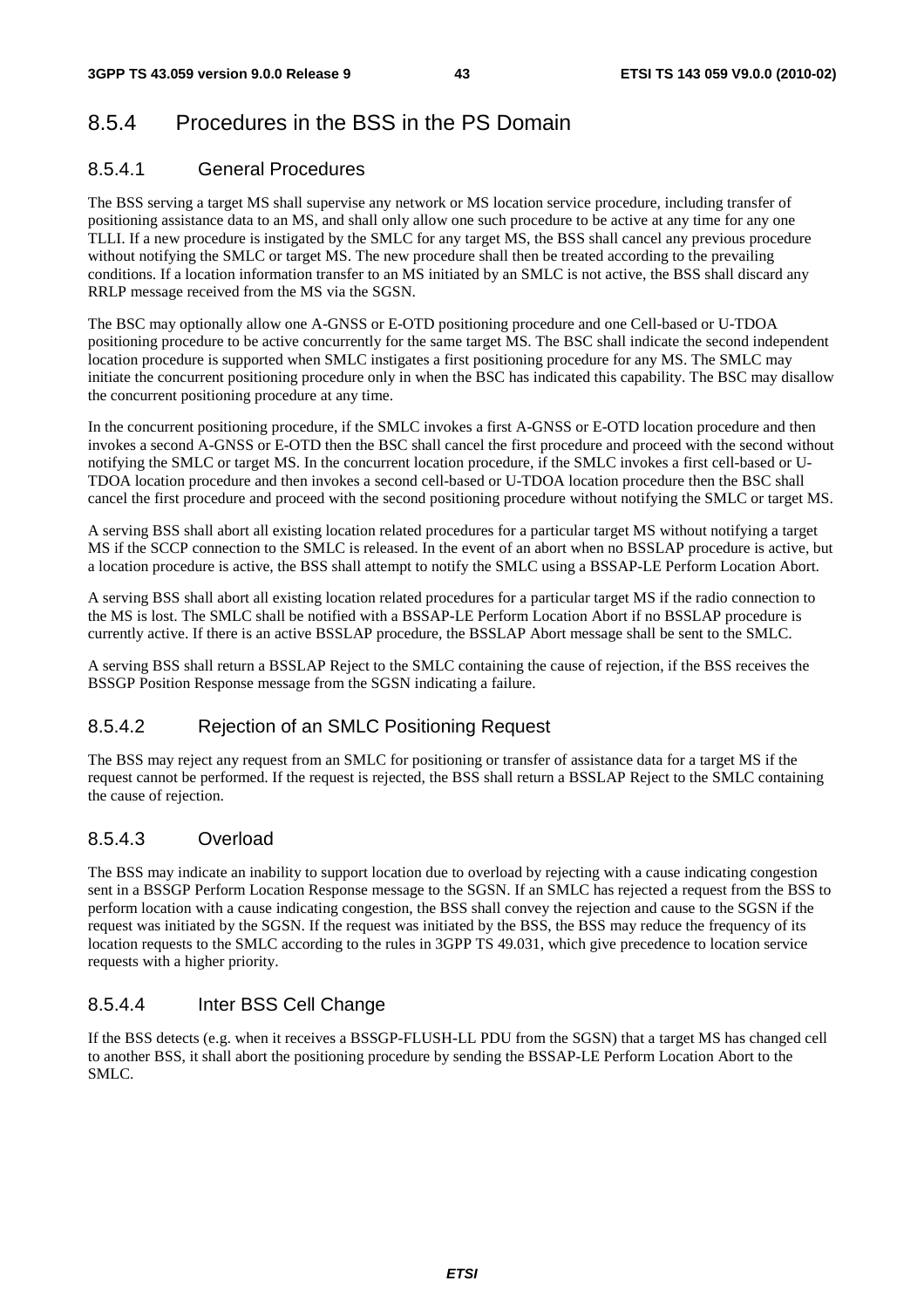## 8.5.4 Procedures in the BSS in the PS Domain

### 8.5.4.1 General Procedures

The BSS serving a target MS shall supervise any network or MS location service procedure, including transfer of positioning assistance data to an MS, and shall only allow one such procedure to be active at any time for any one TLLI. If a new procedure is instigated by the SMLC for any target MS, the BSS shall cancel any previous procedure without notifying the SMLC or target MS. The new procedure shall then be treated according to the prevailing conditions. If a location information transfer to an MS initiated by an SMLC is not active, the BSS shall discard any RRLP message received from the MS via the SGSN.

The BSC may optionally allow one A-GNSS or E-OTD positioning procedure and one Cell-based or U-TDOA positioning procedure to be active concurrently for the same target MS. The BSC shall indicate the second independent location procedure is supported when SMLC instigates a first positioning procedure for any MS. The SMLC may initiate the concurrent positioning procedure only in when the BSC has indicated this capability. The BSC may disallow the concurrent positioning procedure at any time.

In the concurrent positioning procedure, if the SMLC invokes a first A-GNSS or E-OTD location procedure and then invokes a second A-GNSS or E-OTD then the BSC shall cancel the first procedure and proceed with the second without notifying the SMLC or target MS. In the concurrent location procedure, if the SMLC invokes a first cell-based or U-TDOA location procedure and then invokes a second cell-based or U-TDOA location procedure then the BSC shall cancel the first procedure and proceed with the second positioning procedure without notifying the SMLC or target MS.

A serving BSS shall abort all existing location related procedures for a particular target MS without notifying a target MS if the SCCP connection to the SMLC is released. In the event of an abort when no BSSLAP procedure is active, but a location procedure is active, the BSS shall attempt to notify the SMLC using a BSSAP-LE Perform Location Abort.

A serving BSS shall abort all existing location related procedures for a particular target MS if the radio connection to the MS is lost. The SMLC shall be notified with a BSSAP-LE Perform Location Abort if no BSSLAP procedure is currently active. If there is an active BSSLAP procedure, the BSSLAP Abort message shall be sent to the SMLC.

A serving BSS shall return a BSSLAP Reject to the SMLC containing the cause of rejection, if the BSS receives the BSSGP Position Response message from the SGSN indicating a failure.

### 8.5.4.2 Rejection of an SMLC Positioning Request

The BSS may reject any request from an SMLC for positioning or transfer of assistance data for a target MS if the request cannot be performed. If the request is rejected, the BSS shall return a BSSLAP Reject to the SMLC containing the cause of rejection.

### 8.5.4.3 Overload

The BSS may indicate an inability to support location due to overload by rejecting with a cause indicating congestion sent in a BSSGP Perform Location Response message to the SGSN. If an SMLC has rejected a request from the BSS to perform location with a cause indicating congestion, the BSS shall convey the rejection and cause to the SGSN if the request was initiated by the SGSN. If the request was initiated by the BSS, the BSS may reduce the frequency of its location requests to the SMLC according to the rules in 3GPP TS 49.031, which give precedence to location service requests with a higher priority.

### 8.5.4.4 Inter BSS Cell Change

If the BSS detects (e.g. when it receives a BSSGP-FLUSH-LL PDU from the SGSN) that a target MS has changed cell to another BSS, it shall abort the positioning procedure by sending the BSSAP-LE Perform Location Abort to the SMLC.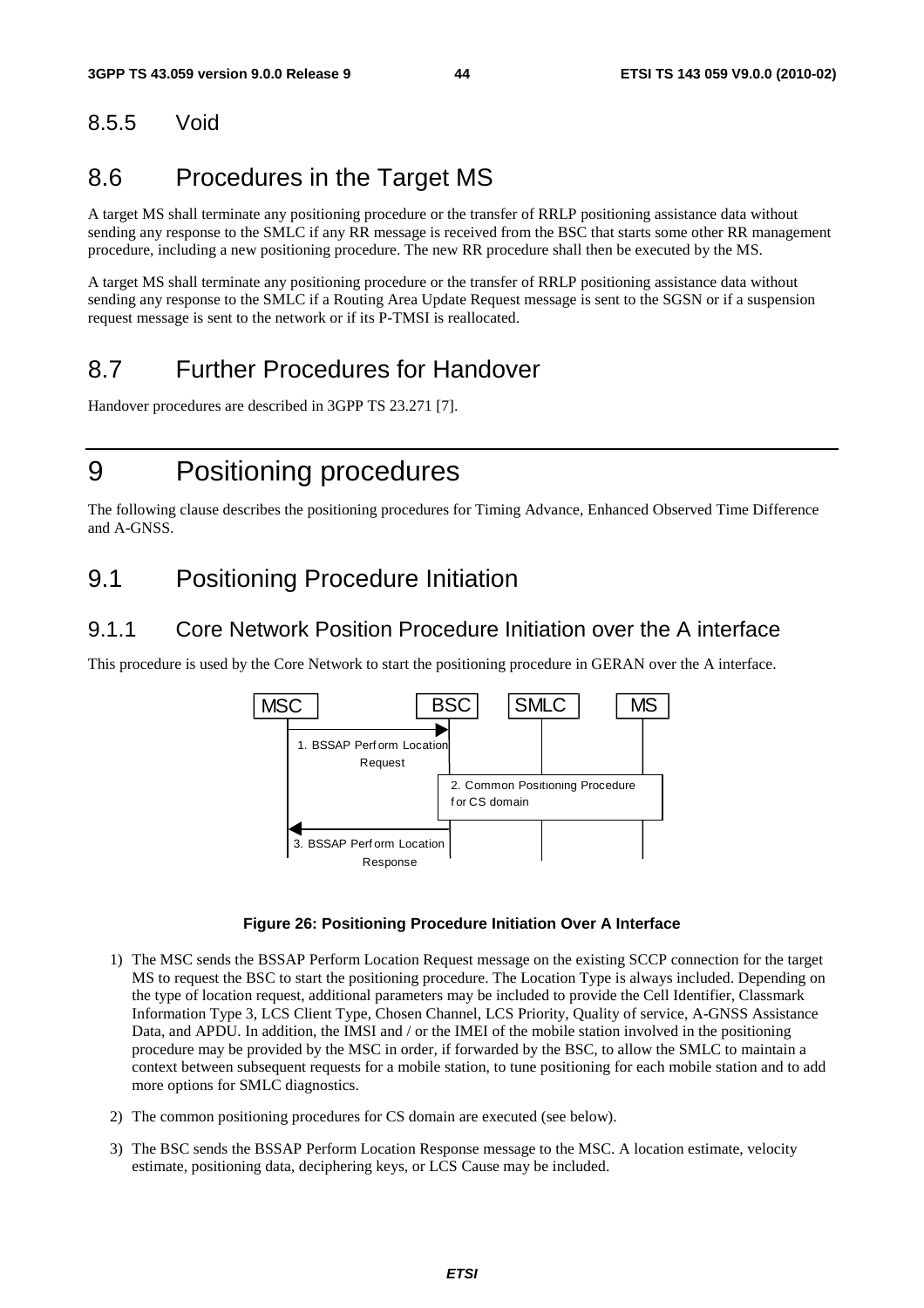### 8.5.5 Void

## 8.6 Procedures in the Target MS

A target MS shall terminate any positioning procedure or the transfer of RRLP positioning assistance data without sending any response to the SMLC if any RR message is received from the BSC that starts some other RR management procedure, including a new positioning procedure. The new RR procedure shall then be executed by the MS.

A target MS shall terminate any positioning procedure or the transfer of RRLP positioning assistance data without sending any response to the SMLC if a Routing Area Update Request message is sent to the SGSN or if a suspension request message is sent to the network or if its P-TMSI is reallocated.

## 8.7 Further Procedures for Handover

Handover procedures are described in 3GPP TS 23.271 [7].

## 9 Positioning procedures

The following clause describes the positioning procedures for Timing Advance, Enhanced Observed Time Difference and A-GNSS.

## 9.1 Positioning Procedure Initiation

### 9.1.1 Core Network Position Procedure Initiation over the A interface

This procedure is used by the Core Network to start the positioning procedure in GERAN over the A interface.



#### **Figure 26: Positioning Procedure Initiation Over A Interface**

- 1) The MSC sends the BSSAP Perform Location Request message on the existing SCCP connection for the target MS to request the BSC to start the positioning procedure. The Location Type is always included. Depending on the type of location request, additional parameters may be included to provide the Cell Identifier, Classmark Information Type 3, LCS Client Type, Chosen Channel, LCS Priority, Quality of service, A-GNSS Assistance Data, and APDU. In addition, the IMSI and / or the IMEI of the mobile station involved in the positioning procedure may be provided by the MSC in order, if forwarded by the BSC, to allow the SMLC to maintain a context between subsequent requests for a mobile station, to tune positioning for each mobile station and to add more options for SMLC diagnostics.
- 2) The common positioning procedures for CS domain are executed (see below).
- 3) The BSC sends the BSSAP Perform Location Response message to the MSC. A location estimate, velocity estimate, positioning data, deciphering keys, or LCS Cause may be included.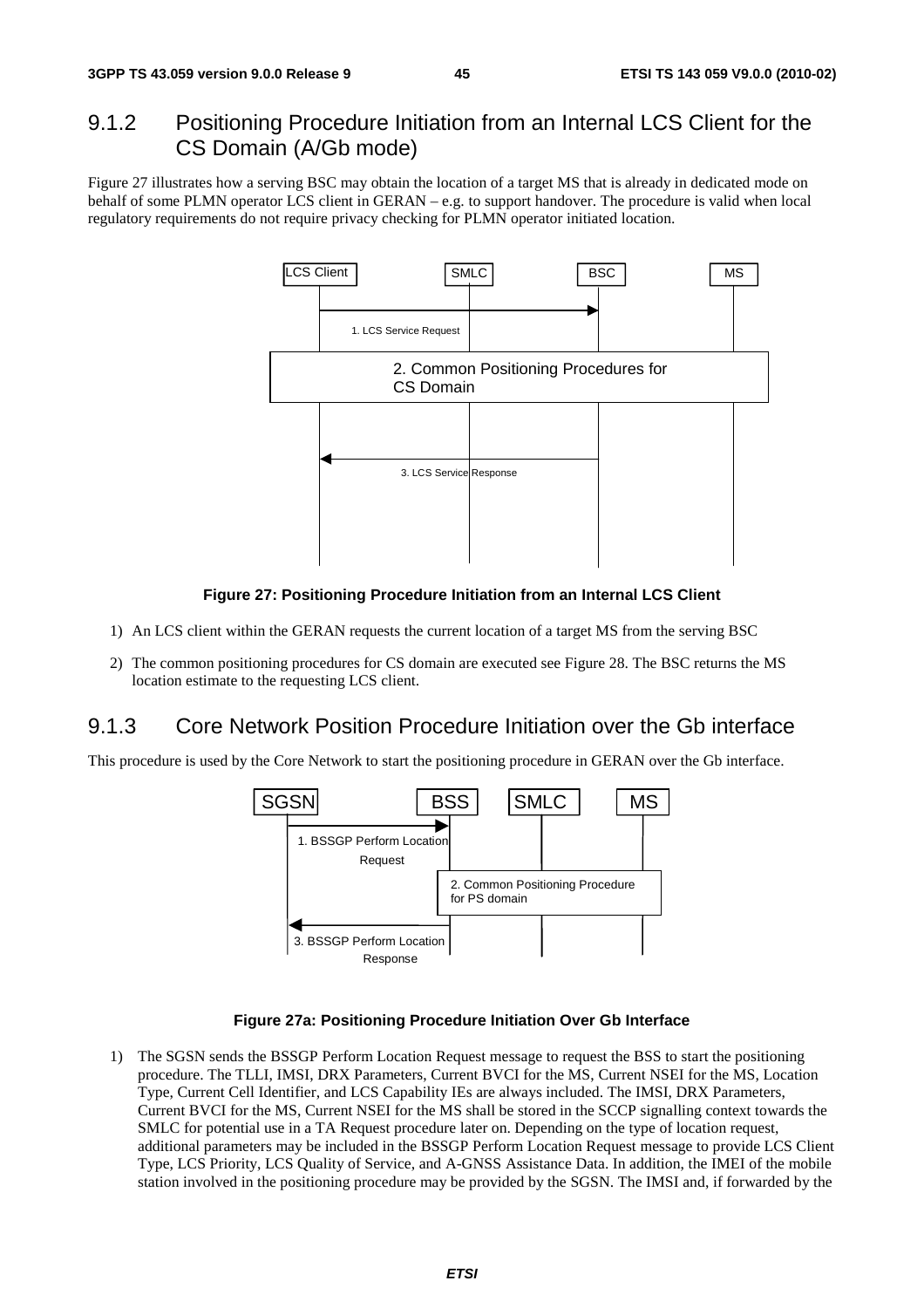### 9.1.2 Positioning Procedure Initiation from an Internal LCS Client for the CS Domain (A/Gb mode)

Figure 27 illustrates how a serving BSC may obtain the location of a target MS that is already in dedicated mode on behalf of some PLMN operator LCS client in GERAN – e.g. to support handover. The procedure is valid when local regulatory requirements do not require privacy checking for PLMN operator initiated location.



#### **Figure 27: Positioning Procedure Initiation from an Internal LCS Client**

- 1) An LCS client within the GERAN requests the current location of a target MS from the serving BSC
- 2) The common positioning procedures for CS domain are executed see Figure 28. The BSC returns the MS location estimate to the requesting LCS client.

### 9.1.3 Core Network Position Procedure Initiation over the Gb interface

This procedure is used by the Core Network to start the positioning procedure in GERAN over the Gb interface.



#### **Figure 27a: Positioning Procedure Initiation Over Gb Interface**

1) The SGSN sends the BSSGP Perform Location Request message to request the BSS to start the positioning procedure. The TLLI, IMSI, DRX Parameters, Current BVCI for the MS, Current NSEI for the MS, Location Type, Current Cell Identifier, and LCS Capability IEs are always included. The IMSI, DRX Parameters, Current BVCI for the MS, Current NSEI for the MS shall be stored in the SCCP signalling context towards the SMLC for potential use in a TA Request procedure later on. Depending on the type of location request, additional parameters may be included in the BSSGP Perform Location Request message to provide LCS Client Type, LCS Priority, LCS Quality of Service, and A-GNSS Assistance Data. In addition, the IMEI of the mobile station involved in the positioning procedure may be provided by the SGSN. The IMSI and, if forwarded by the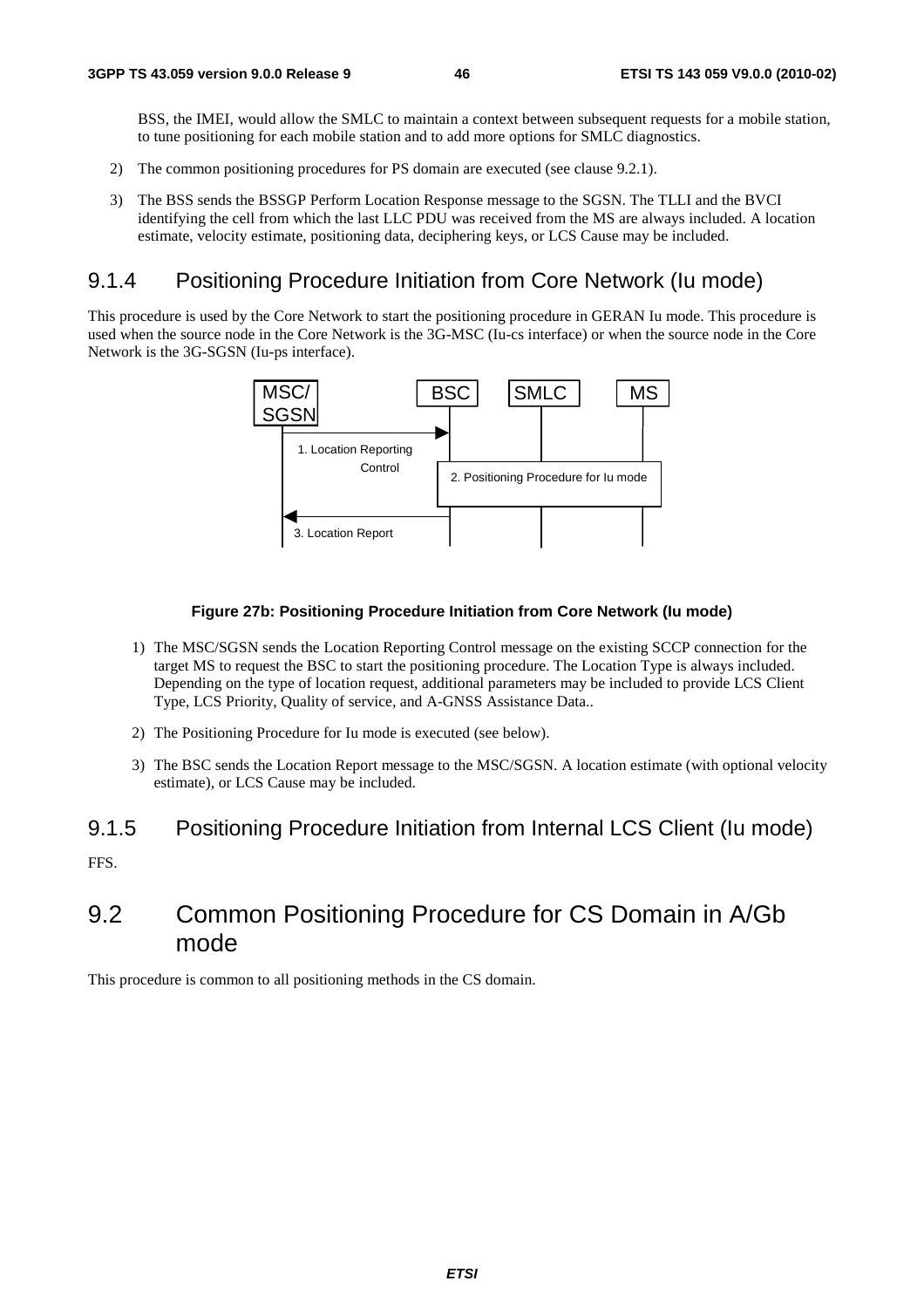BSS, the IMEI, would allow the SMLC to maintain a context between subsequent requests for a mobile station, to tune positioning for each mobile station and to add more options for SMLC diagnostics.

- 2) The common positioning procedures for PS domain are executed (see clause 9.2.1).
- 3) The BSS sends the BSSGP Perform Location Response message to the SGSN. The TLLI and the BVCI identifying the cell from which the last LLC PDU was received from the MS are always included. A location estimate, velocity estimate, positioning data, deciphering keys, or LCS Cause may be included.

### 9.1.4 Positioning Procedure Initiation from Core Network (Iu mode)

This procedure is used by the Core Network to start the positioning procedure in GERAN Iu mode. This procedure is used when the source node in the Core Network is the 3G-MSC (Iu-cs interface) or when the source node in the Core Network is the 3G-SGSN (Iu-ps interface).



#### **Figure 27b: Positioning Procedure Initiation from Core Network (Iu mode)**

- 1) The MSC/SGSN sends the Location Reporting Control message on the existing SCCP connection for the target MS to request the BSC to start the positioning procedure. The Location Type is always included. Depending on the type of location request, additional parameters may be included to provide LCS Client Type, LCS Priority, Quality of service, and A-GNSS Assistance Data..
- 2) The Positioning Procedure for Iu mode is executed (see below).
- 3) The BSC sends the Location Report message to the MSC/SGSN. A location estimate (with optional velocity estimate), or LCS Cause may be included.

#### 9.1.5 Positioning Procedure Initiation from Internal LCS Client (Iu mode)

FFS.

## 9.2 Common Positioning Procedure for CS Domain in A/Gb mode

This procedure is common to all positioning methods in the CS domain.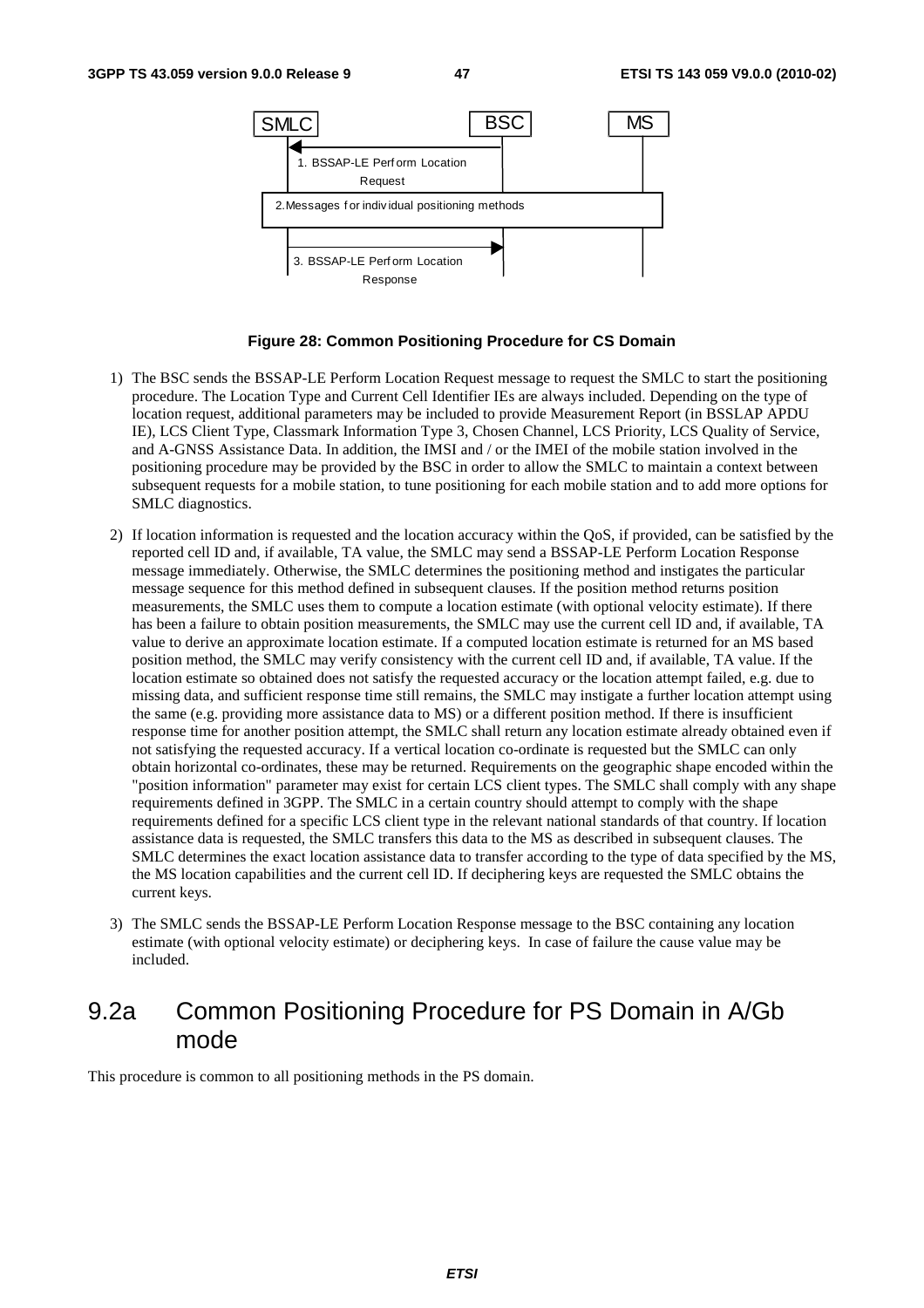

#### **Figure 28: Common Positioning Procedure for CS Domain**

- 1) The BSC sends the BSSAP-LE Perform Location Request message to request the SMLC to start the positioning procedure. The Location Type and Current Cell Identifier IEs are always included. Depending on the type of location request, additional parameters may be included to provide Measurement Report (in BSSLAP APDU IE), LCS Client Type, Classmark Information Type 3, Chosen Channel, LCS Priority, LCS Quality of Service, and A-GNSS Assistance Data. In addition, the IMSI and / or the IMEI of the mobile station involved in the positioning procedure may be provided by the BSC in order to allow the SMLC to maintain a context between subsequent requests for a mobile station, to tune positioning for each mobile station and to add more options for SMLC diagnostics.
- 2) If location information is requested and the location accuracy within the QoS, if provided, can be satisfied by the reported cell ID and, if available, TA value, the SMLC may send a BSSAP-LE Perform Location Response message immediately. Otherwise, the SMLC determines the positioning method and instigates the particular message sequence for this method defined in subsequent clauses. If the position method returns position measurements, the SMLC uses them to compute a location estimate (with optional velocity estimate). If there has been a failure to obtain position measurements, the SMLC may use the current cell ID and, if available, TA value to derive an approximate location estimate. If a computed location estimate is returned for an MS based position method, the SMLC may verify consistency with the current cell ID and, if available, TA value. If the location estimate so obtained does not satisfy the requested accuracy or the location attempt failed, e.g. due to missing data, and sufficient response time still remains, the SMLC may instigate a further location attempt using the same (e.g. providing more assistance data to MS) or a different position method. If there is insufficient response time for another position attempt, the SMLC shall return any location estimate already obtained even if not satisfying the requested accuracy. If a vertical location co-ordinate is requested but the SMLC can only obtain horizontal co-ordinates, these may be returned. Requirements on the geographic shape encoded within the "position information" parameter may exist for certain LCS client types. The SMLC shall comply with any shape requirements defined in 3GPP. The SMLC in a certain country should attempt to comply with the shape requirements defined for a specific LCS client type in the relevant national standards of that country. If location assistance data is requested, the SMLC transfers this data to the MS as described in subsequent clauses. The SMLC determines the exact location assistance data to transfer according to the type of data specified by the MS, the MS location capabilities and the current cell ID. If deciphering keys are requested the SMLC obtains the current keys.
- 3) The SMLC sends the BSSAP-LE Perform Location Response message to the BSC containing any location estimate (with optional velocity estimate) or deciphering keys. In case of failure the cause value may be included.

## 9.2a Common Positioning Procedure for PS Domain in A/Gb mode

This procedure is common to all positioning methods in the PS domain.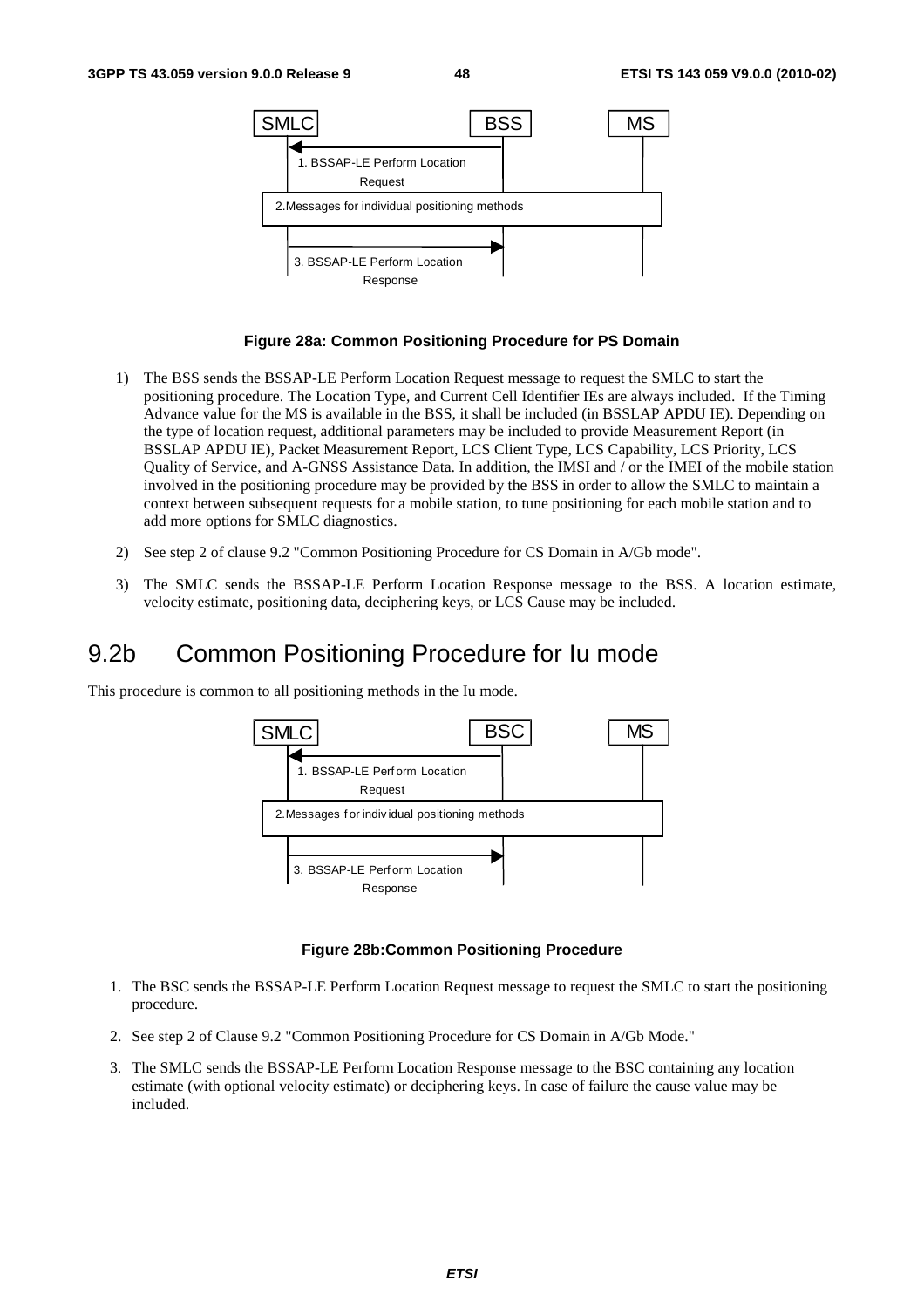

#### **Figure 28a: Common Positioning Procedure for PS Domain**

- 1) The BSS sends the BSSAP-LE Perform Location Request message to request the SMLC to start the positioning procedure. The Location Type, and Current Cell Identifier IEs are always included. If the Timing Advance value for the MS is available in the BSS, it shall be included (in BSSLAP APDU IE). Depending on the type of location request, additional parameters may be included to provide Measurement Report (in BSSLAP APDU IE), Packet Measurement Report, LCS Client Type, LCS Capability, LCS Priority, LCS Quality of Service, and A-GNSS Assistance Data. In addition, the IMSI and / or the IMEI of the mobile station involved in the positioning procedure may be provided by the BSS in order to allow the SMLC to maintain a context between subsequent requests for a mobile station, to tune positioning for each mobile station and to add more options for SMLC diagnostics.
- 2) See step 2 of clause 9.2 "Common Positioning Procedure for CS Domain in A/Gb mode".
- 3) The SMLC sends the BSSAP-LE Perform Location Response message to the BSS. A location estimate, velocity estimate, positioning data, deciphering keys, or LCS Cause may be included.

## 9.2b Common Positioning Procedure for Iu mode

This procedure is common to all positioning methods in the Iu mode.



#### **Figure 28b:Common Positioning Procedure**

- 1. The BSC sends the BSSAP-LE Perform Location Request message to request the SMLC to start the positioning procedure.
- 2. See step 2 of Clause 9.2 "Common Positioning Procedure for CS Domain in A/Gb Mode."
- 3. The SMLC sends the BSSAP-LE Perform Location Response message to the BSC containing any location estimate (with optional velocity estimate) or deciphering keys. In case of failure the cause value may be included.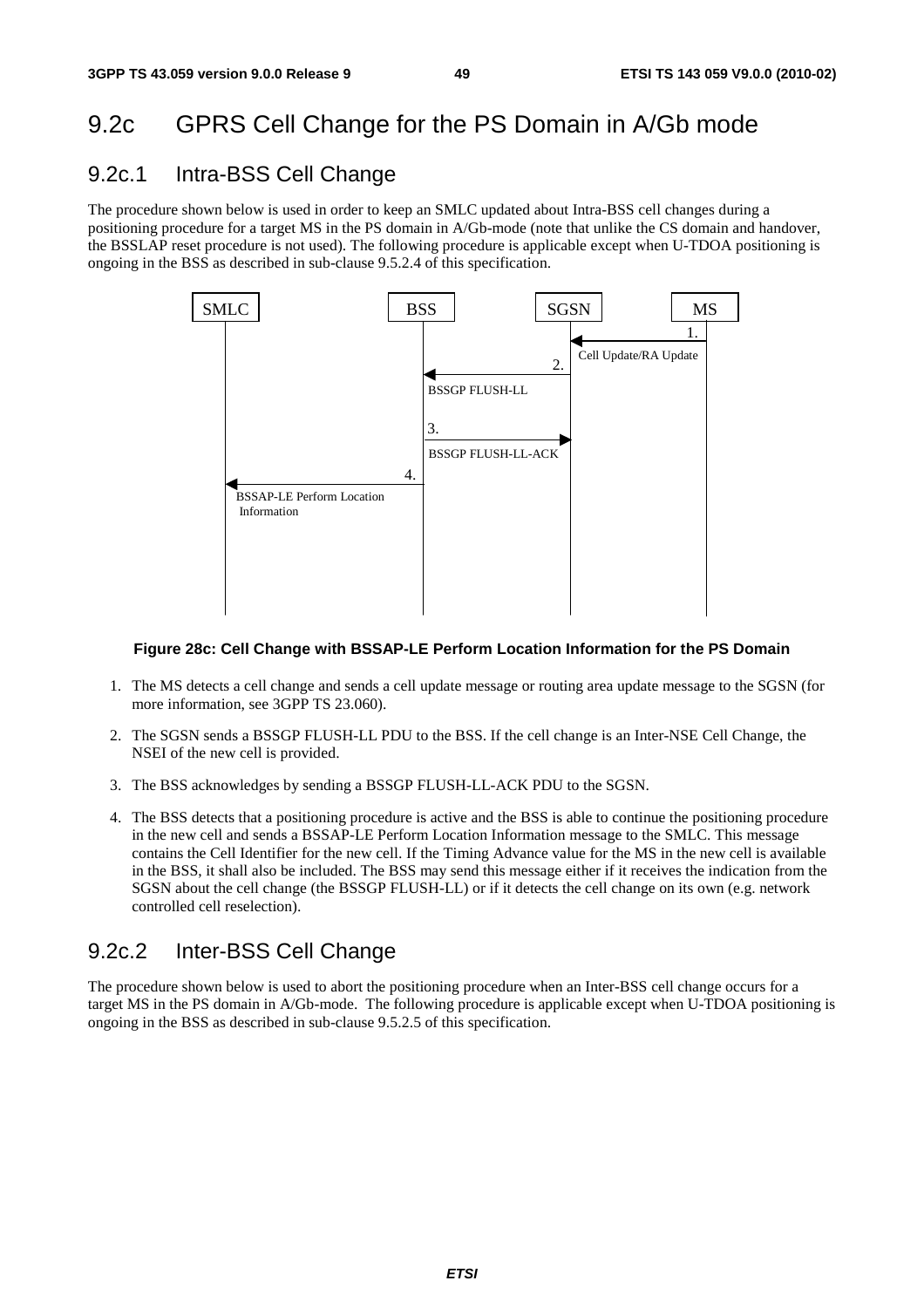## 9.2c GPRS Cell Change for the PS Domain in A/Gb mode

### 9.2c.1 Intra-BSS Cell Change

The procedure shown below is used in order to keep an SMLC updated about Intra-BSS cell changes during a positioning procedure for a target MS in the PS domain in A/Gb-mode (note that unlike the CS domain and handover, the BSSLAP reset procedure is not used). The following procedure is applicable except when U-TDOA positioning is ongoing in the BSS as described in sub-clause 9.5.2.4 of this specification.



#### **Figure 28c: Cell Change with BSSAP-LE Perform Location Information for the PS Domain**

- 1. The MS detects a cell change and sends a cell update message or routing area update message to the SGSN (for more information, see 3GPP TS 23.060).
- 2. The SGSN sends a BSSGP FLUSH-LL PDU to the BSS. If the cell change is an Inter-NSE Cell Change, the NSEI of the new cell is provided.
- 3. The BSS acknowledges by sending a BSSGP FLUSH-LL-ACK PDU to the SGSN.
- 4. The BSS detects that a positioning procedure is active and the BSS is able to continue the positioning procedure in the new cell and sends a BSSAP-LE Perform Location Information message to the SMLC. This message contains the Cell Identifier for the new cell. If the Timing Advance value for the MS in the new cell is available in the BSS, it shall also be included. The BSS may send this message either if it receives the indication from the SGSN about the cell change (the BSSGP FLUSH-LL) or if it detects the cell change on its own (e.g. network controlled cell reselection).

### 9.2c.2 Inter-BSS Cell Change

The procedure shown below is used to abort the positioning procedure when an Inter-BSS cell change occurs for a target MS in the PS domain in A/Gb-mode. The following procedure is applicable except when U-TDOA positioning is ongoing in the BSS as described in sub-clause 9.5.2.5 of this specification.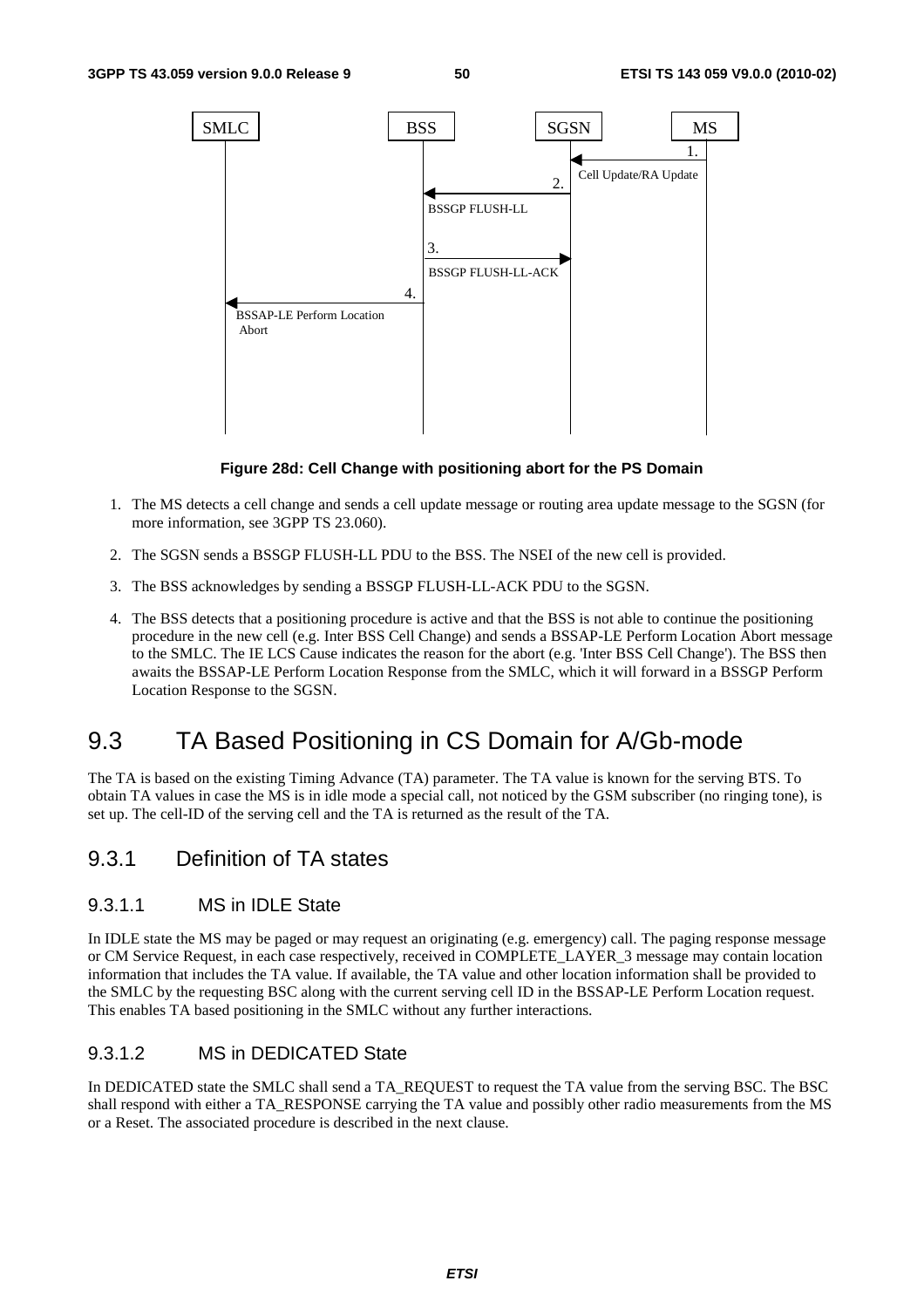

#### **Figure 28d: Cell Change with positioning abort for the PS Domain**

- 1. The MS detects a cell change and sends a cell update message or routing area update message to the SGSN (for more information, see 3GPP TS 23.060).
- 2. The SGSN sends a BSSGP FLUSH-LL PDU to the BSS. The NSEI of the new cell is provided.
- 3. The BSS acknowledges by sending a BSSGP FLUSH-LL-ACK PDU to the SGSN.
- 4. The BSS detects that a positioning procedure is active and that the BSS is not able to continue the positioning procedure in the new cell (e.g. Inter BSS Cell Change) and sends a BSSAP-LE Perform Location Abort message to the SMLC. The IE LCS Cause indicates the reason for the abort (e.g. 'Inter BSS Cell Change'). The BSS then awaits the BSSAP-LE Perform Location Response from the SMLC, which it will forward in a BSSGP Perform Location Response to the SGSN.

## 9.3 TA Based Positioning in CS Domain for A/Gb-mode

The TA is based on the existing Timing Advance (TA) parameter. The TA value is known for the serving BTS. To obtain TA values in case the MS is in idle mode a special call, not noticed by the GSM subscriber (no ringing tone), is set up. The cell-ID of the serving cell and the TA is returned as the result of the TA.

### 9.3.1 Definition of TA states

#### 9.3.1.1 MS in IDLE State

In IDLE state the MS may be paged or may request an originating (e.g. emergency) call. The paging response message or CM Service Request, in each case respectively, received in COMPLETE\_LAYER\_3 message may contain location information that includes the TA value. If available, the TA value and other location information shall be provided to the SMLC by the requesting BSC along with the current serving cell ID in the BSSAP-LE Perform Location request. This enables TA based positioning in the SMLC without any further interactions.

#### 9.3.1.2 MS in DEDICATED State

In DEDICATED state the SMLC shall send a TA\_REQUEST to request the TA value from the serving BSC. The BSC shall respond with either a TA\_RESPONSE carrying the TA value and possibly other radio measurements from the MS or a Reset. The associated procedure is described in the next clause.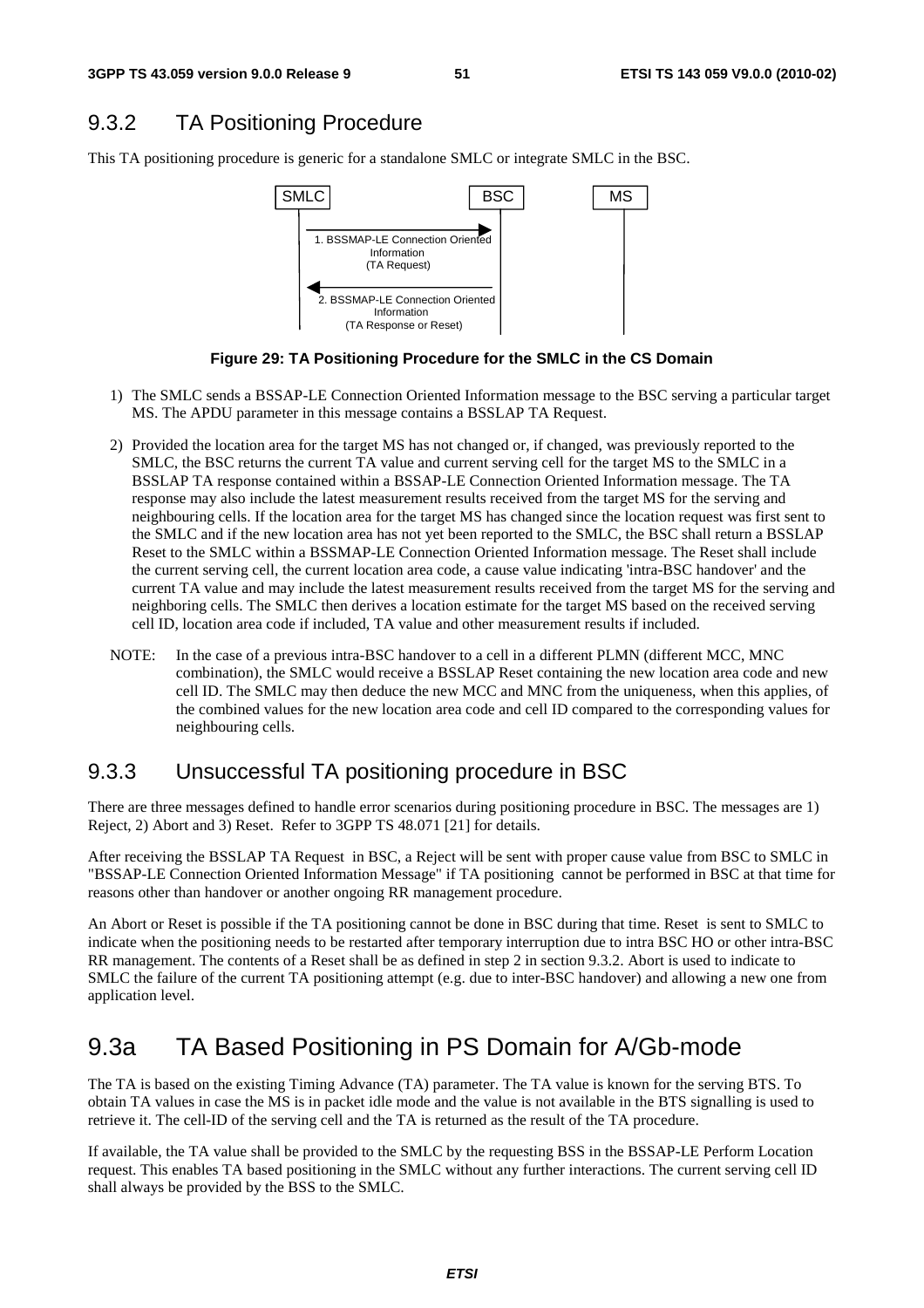## 9.3.2 TA Positioning Procedure

This TA positioning procedure is generic for a standalone SMLC or integrate SMLC in the BSC.





- 1) The SMLC sends a BSSAP-LE Connection Oriented Information message to the BSC serving a particular target MS. The APDU parameter in this message contains a BSSLAP TA Request.
- 2) Provided the location area for the target MS has not changed or, if changed, was previously reported to the SMLC, the BSC returns the current TA value and current serving cell for the target MS to the SMLC in a BSSLAP TA response contained within a BSSAP-LE Connection Oriented Information message. The TA response may also include the latest measurement results received from the target MS for the serving and neighbouring cells. If the location area for the target MS has changed since the location request was first sent to the SMLC and if the new location area has not yet been reported to the SMLC, the BSC shall return a BSSLAP Reset to the SMLC within a BSSMAP-LE Connection Oriented Information message. The Reset shall include the current serving cell, the current location area code, a cause value indicating 'intra-BSC handover' and the current TA value and may include the latest measurement results received from the target MS for the serving and neighboring cells. The SMLC then derives a location estimate for the target MS based on the received serving cell ID, location area code if included, TA value and other measurement results if included.
- NOTE: In the case of a previous intra-BSC handover to a cell in a different PLMN (different MCC, MNC combination), the SMLC would receive a BSSLAP Reset containing the new location area code and new cell ID. The SMLC may then deduce the new MCC and MNC from the uniqueness, when this applies, of the combined values for the new location area code and cell ID compared to the corresponding values for neighbouring cells.

### 9.3.3 Unsuccessful TA positioning procedure in BSC

There are three messages defined to handle error scenarios during positioning procedure in BSC. The messages are 1) Reject, 2) Abort and 3) Reset. Refer to 3GPP TS 48.071 [21] for details.

After receiving the BSSLAP TA Request in BSC, a Reject will be sent with proper cause value from BSC to SMLC in "BSSAP-LE Connection Oriented Information Message" if TA positioning cannot be performed in BSC at that time for reasons other than handover or another ongoing RR management procedure.

An Abort or Reset is possible if the TA positioning cannot be done in BSC during that time. Reset is sent to SMLC to indicate when the positioning needs to be restarted after temporary interruption due to intra BSC HO or other intra-BSC RR management. The contents of a Reset shall be as defined in step 2 in section 9.3.2. Abort is used to indicate to SMLC the failure of the current TA positioning attempt (e.g. due to inter-BSC handover) and allowing a new one from application level.

## 9.3a TA Based Positioning in PS Domain for A/Gb-mode

The TA is based on the existing Timing Advance (TA) parameter. The TA value is known for the serving BTS. To obtain TA values in case the MS is in packet idle mode and the value is not available in the BTS signalling is used to retrieve it. The cell-ID of the serving cell and the TA is returned as the result of the TA procedure.

If available, the TA value shall be provided to the SMLC by the requesting BSS in the BSSAP-LE Perform Location request. This enables TA based positioning in the SMLC without any further interactions. The current serving cell ID shall always be provided by the BSS to the SMLC.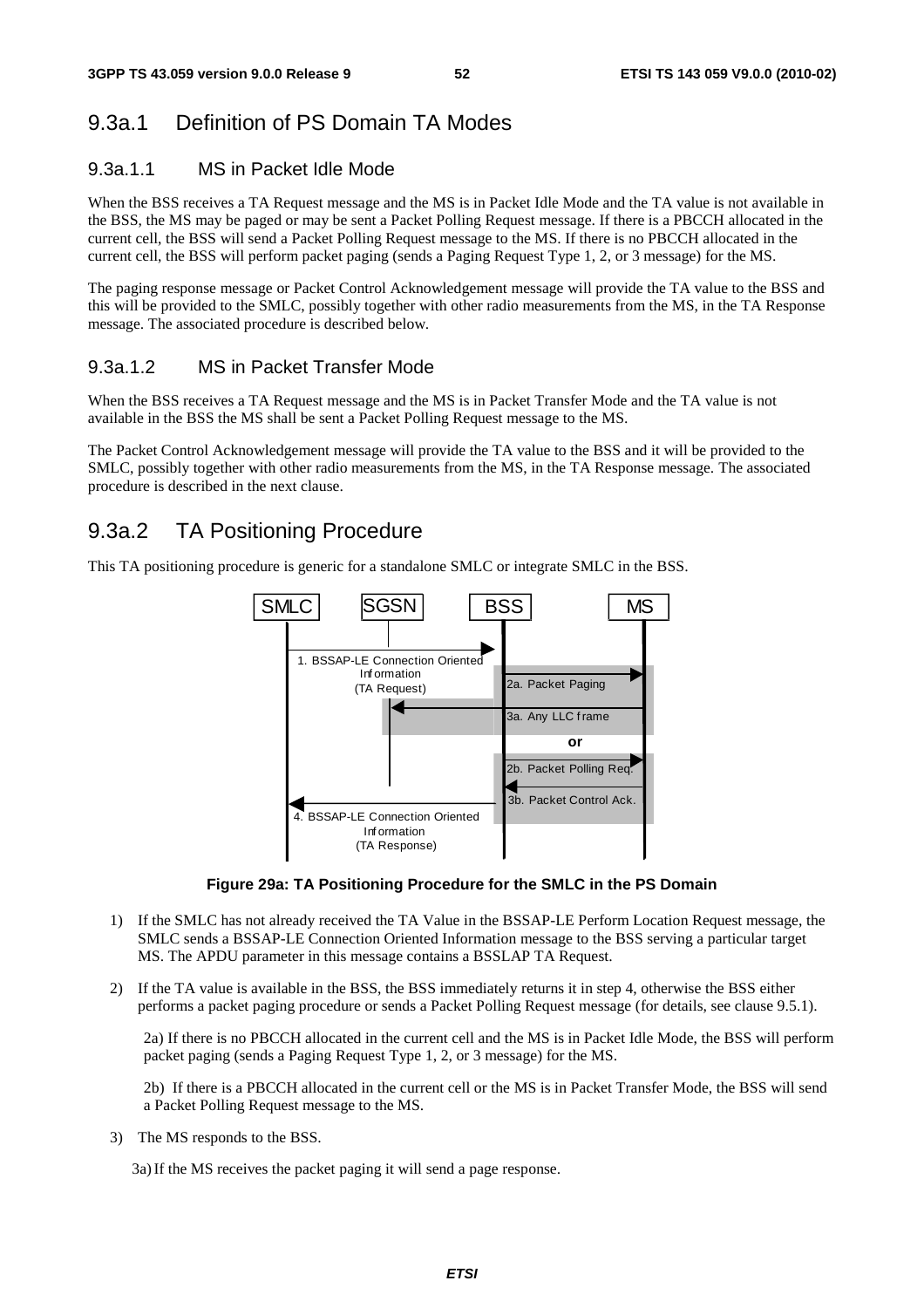### 9.3a.1 Definition of PS Domain TA Modes

#### 9.3a.1.1 MS in Packet Idle Mode

When the BSS receives a TA Request message and the MS is in Packet Idle Mode and the TA value is not available in the BSS, the MS may be paged or may be sent a Packet Polling Request message. If there is a PBCCH allocated in the current cell, the BSS will send a Packet Polling Request message to the MS. If there is no PBCCH allocated in the current cell, the BSS will perform packet paging (sends a Paging Request Type 1, 2, or 3 message) for the MS.

The paging response message or Packet Control Acknowledgement message will provide the TA value to the BSS and this will be provided to the SMLC, possibly together with other radio measurements from the MS, in the TA Response message. The associated procedure is described below.

### 9.3a.1.2 MS in Packet Transfer Mode

When the BSS receives a TA Request message and the MS is in Packet Transfer Mode and the TA value is not available in the BSS the MS shall be sent a Packet Polling Request message to the MS.

The Packet Control Acknowledgement message will provide the TA value to the BSS and it will be provided to the SMLC, possibly together with other radio measurements from the MS, in the TA Response message. The associated procedure is described in the next clause.

### 9.3a.2 TA Positioning Procedure

This TA positioning procedure is generic for a standalone SMLC or integrate SMLC in the BSS.



**Figure 29a: TA Positioning Procedure for the SMLC in the PS Domain** 

- 1) If the SMLC has not already received the TA Value in the BSSAP-LE Perform Location Request message, the SMLC sends a BSSAP-LE Connection Oriented Information message to the BSS serving a particular target MS. The APDU parameter in this message contains a BSSLAP TA Request.
- 2) If the TA value is available in the BSS, the BSS immediately returns it in step 4, otherwise the BSS either performs a packet paging procedure or sends a Packet Polling Request message (for details, see clause 9.5.1).

2a) If there is no PBCCH allocated in the current cell and the MS is in Packet Idle Mode, the BSS will perform packet paging (sends a Paging Request Type 1, 2, or 3 message) for the MS.

2b) If there is a PBCCH allocated in the current cell or the MS is in Packet Transfer Mode, the BSS will send a Packet Polling Request message to the MS.

3) The MS responds to the BSS.

3a) If the MS receives the packet paging it will send a page response.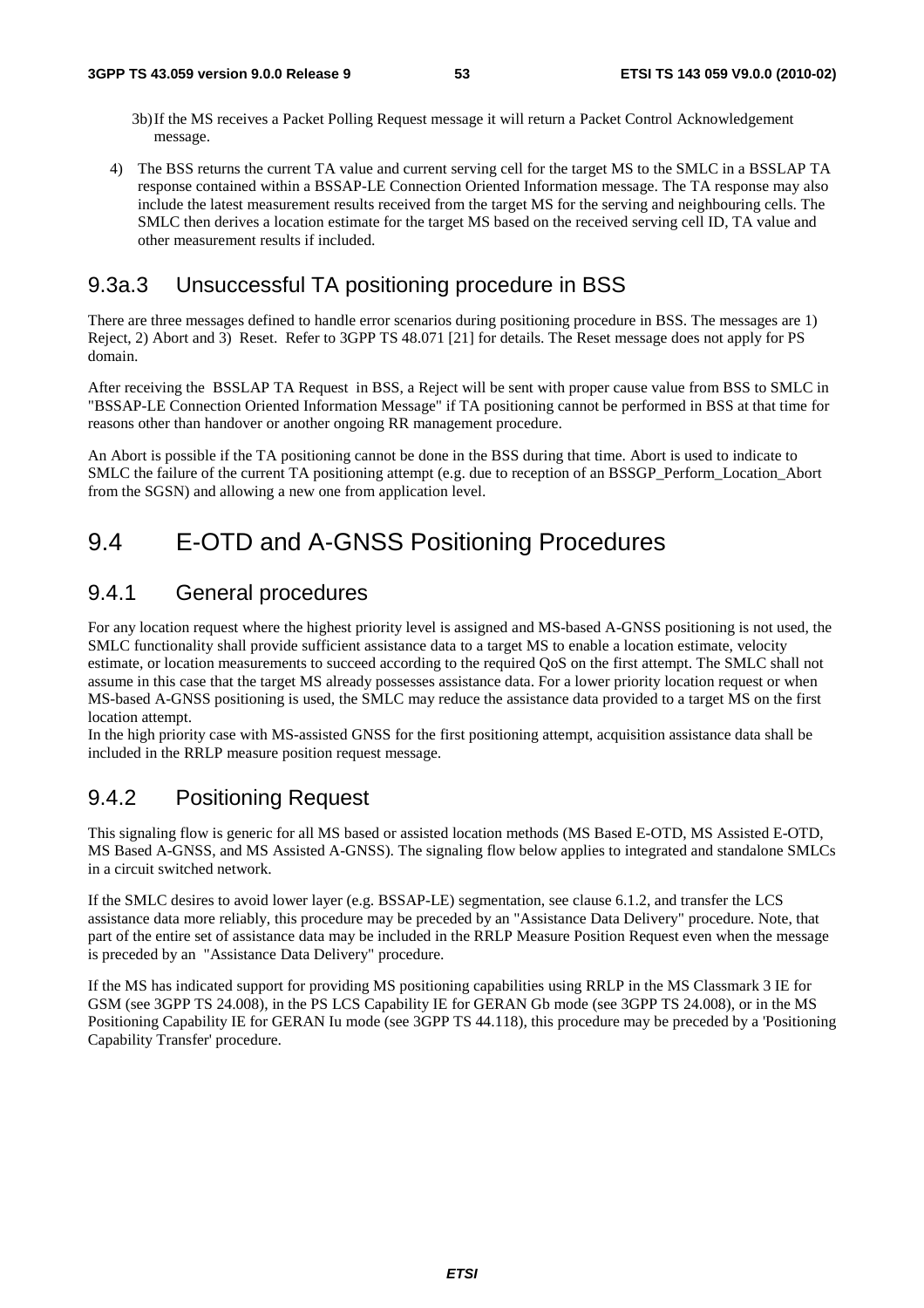- 3b) If the MS receives a Packet Polling Request message it will return a Packet Control Acknowledgement message.
- 4) The BSS returns the current TA value and current serving cell for the target MS to the SMLC in a BSSLAP TA response contained within a BSSAP-LE Connection Oriented Information message. The TA response may also include the latest measurement results received from the target MS for the serving and neighbouring cells. The SMLC then derives a location estimate for the target MS based on the received serving cell ID, TA value and other measurement results if included.

### 9.3a.3 Unsuccessful TA positioning procedure in BSS

There are three messages defined to handle error scenarios during positioning procedure in BSS. The messages are 1) Reject, 2) Abort and 3) Reset. Refer to 3GPP TS 48.071 [21] for details. The Reset message does not apply for PS domain.

After receiving the BSSLAP TA Request in BSS, a Reject will be sent with proper cause value from BSS to SMLC in "BSSAP-LE Connection Oriented Information Message" if TA positioning cannot be performed in BSS at that time for reasons other than handover or another ongoing RR management procedure.

An Abort is possible if the TA positioning cannot be done in the BSS during that time. Abort is used to indicate to SMLC the failure of the current TA positioning attempt (e.g. due to reception of an BSSGP\_Perform\_Location\_Abort from the SGSN) and allowing a new one from application level.

## 9.4 E-OTD and A-GNSS Positioning Procedures

### 9.4.1 General procedures

For any location request where the highest priority level is assigned and MS-based A-GNSS positioning is not used, the SMLC functionality shall provide sufficient assistance data to a target MS to enable a location estimate, velocity estimate, or location measurements to succeed according to the required QoS on the first attempt. The SMLC shall not assume in this case that the target MS already possesses assistance data. For a lower priority location request or when MS-based A-GNSS positioning is used, the SMLC may reduce the assistance data provided to a target MS on the first location attempt.

In the high priority case with MS-assisted GNSS for the first positioning attempt, acquisition assistance data shall be included in the RRLP measure position request message.

## 9.4.2 Positioning Request

This signaling flow is generic for all MS based or assisted location methods (MS Based E-OTD, MS Assisted E-OTD, MS Based A-GNSS, and MS Assisted A-GNSS). The signaling flow below applies to integrated and standalone SMLCs in a circuit switched network.

If the SMLC desires to avoid lower layer (e.g. BSSAP-LE) segmentation, see clause 6.1.2, and transfer the LCS assistance data more reliably, this procedure may be preceded by an "Assistance Data Delivery" procedure. Note, that part of the entire set of assistance data may be included in the RRLP Measure Position Request even when the message is preceded by an "Assistance Data Delivery" procedure.

If the MS has indicated support for providing MS positioning capabilities using RRLP in the MS Classmark 3 IE for GSM (see 3GPP TS 24.008), in the PS LCS Capability IE for GERAN Gb mode (see 3GPP TS 24.008), or in the MS Positioning Capability IE for GERAN Iu mode (see 3GPP TS 44.118), this procedure may be preceded by a 'Positioning Capability Transfer' procedure.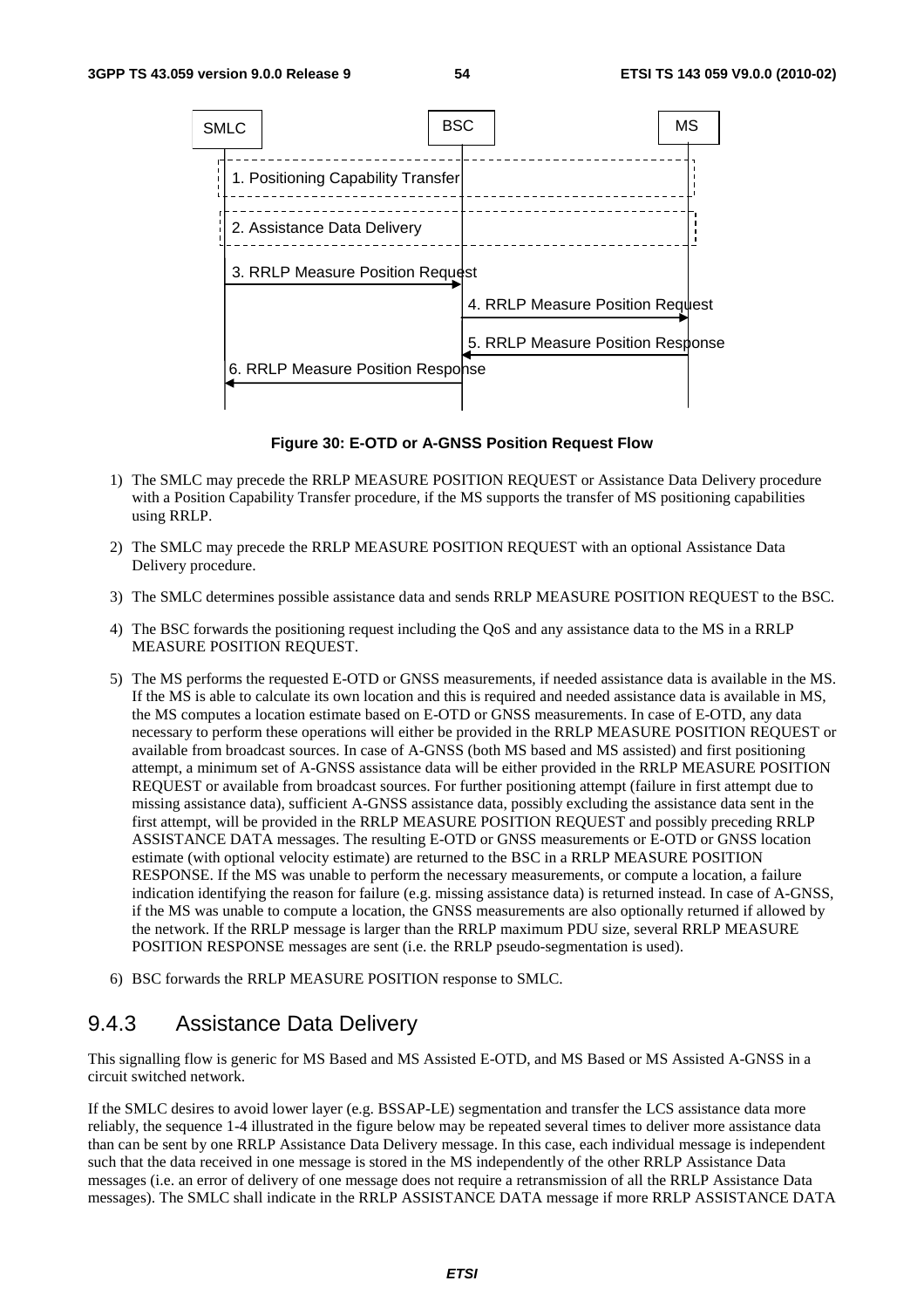

**Figure 30: E-OTD or A-GNSS Position Request Flow** 

- 1) The SMLC may precede the RRLP MEASURE POSITION REQUEST or Assistance Data Delivery procedure with a Position Capability Transfer procedure, if the MS supports the transfer of MS positioning capabilities using RRLP.
- 2) The SMLC may precede the RRLP MEASURE POSITION REQUEST with an optional Assistance Data Delivery procedure.
- 3) The SMLC determines possible assistance data and sends RRLP MEASURE POSITION REQUEST to the BSC.
- 4) The BSC forwards the positioning request including the QoS and any assistance data to the MS in a RRLP MEASURE POSITION REQUEST.
- 5) The MS performs the requested E-OTD or GNSS measurements, if needed assistance data is available in the MS. If the MS is able to calculate its own location and this is required and needed assistance data is available in MS, the MS computes a location estimate based on E-OTD or GNSS measurements. In case of E-OTD, any data necessary to perform these operations will either be provided in the RRLP MEASURE POSITION REQUEST or available from broadcast sources. In case of A-GNSS (both MS based and MS assisted) and first positioning attempt, a minimum set of A-GNSS assistance data will be either provided in the RRLP MEASURE POSITION REQUEST or available from broadcast sources. For further positioning attempt (failure in first attempt due to missing assistance data), sufficient A-GNSS assistance data, possibly excluding the assistance data sent in the first attempt, will be provided in the RRLP MEASURE POSITION REQUEST and possibly preceding RRLP ASSISTANCE DATA messages. The resulting E-OTD or GNSS measurements or E-OTD or GNSS location estimate (with optional velocity estimate) are returned to the BSC in a RRLP MEASURE POSITION RESPONSE. If the MS was unable to perform the necessary measurements, or compute a location, a failure indication identifying the reason for failure (e.g. missing assistance data) is returned instead. In case of A-GNSS, if the MS was unable to compute a location, the GNSS measurements are also optionally returned if allowed by the network. If the RRLP message is larger than the RRLP maximum PDU size, several RRLP MEASURE POSITION RESPONSE messages are sent (i.e. the RRLP pseudo-segmentation is used).
- 6) BSC forwards the RRLP MEASURE POSITION response to SMLC.

## 9.4.3 Assistance Data Delivery

This signalling flow is generic for MS Based and MS Assisted E-OTD, and MS Based or MS Assisted A-GNSS in a circuit switched network.

If the SMLC desires to avoid lower layer (e.g. BSSAP-LE) segmentation and transfer the LCS assistance data more reliably, the sequence 1-4 illustrated in the figure below may be repeated several times to deliver more assistance data than can be sent by one RRLP Assistance Data Delivery message. In this case, each individual message is independent such that the data received in one message is stored in the MS independently of the other RRLP Assistance Data messages (i.e. an error of delivery of one message does not require a retransmission of all the RRLP Assistance Data messages). The SMLC shall indicate in the RRLP ASSISTANCE DATA message if more RRLP ASSISTANCE DATA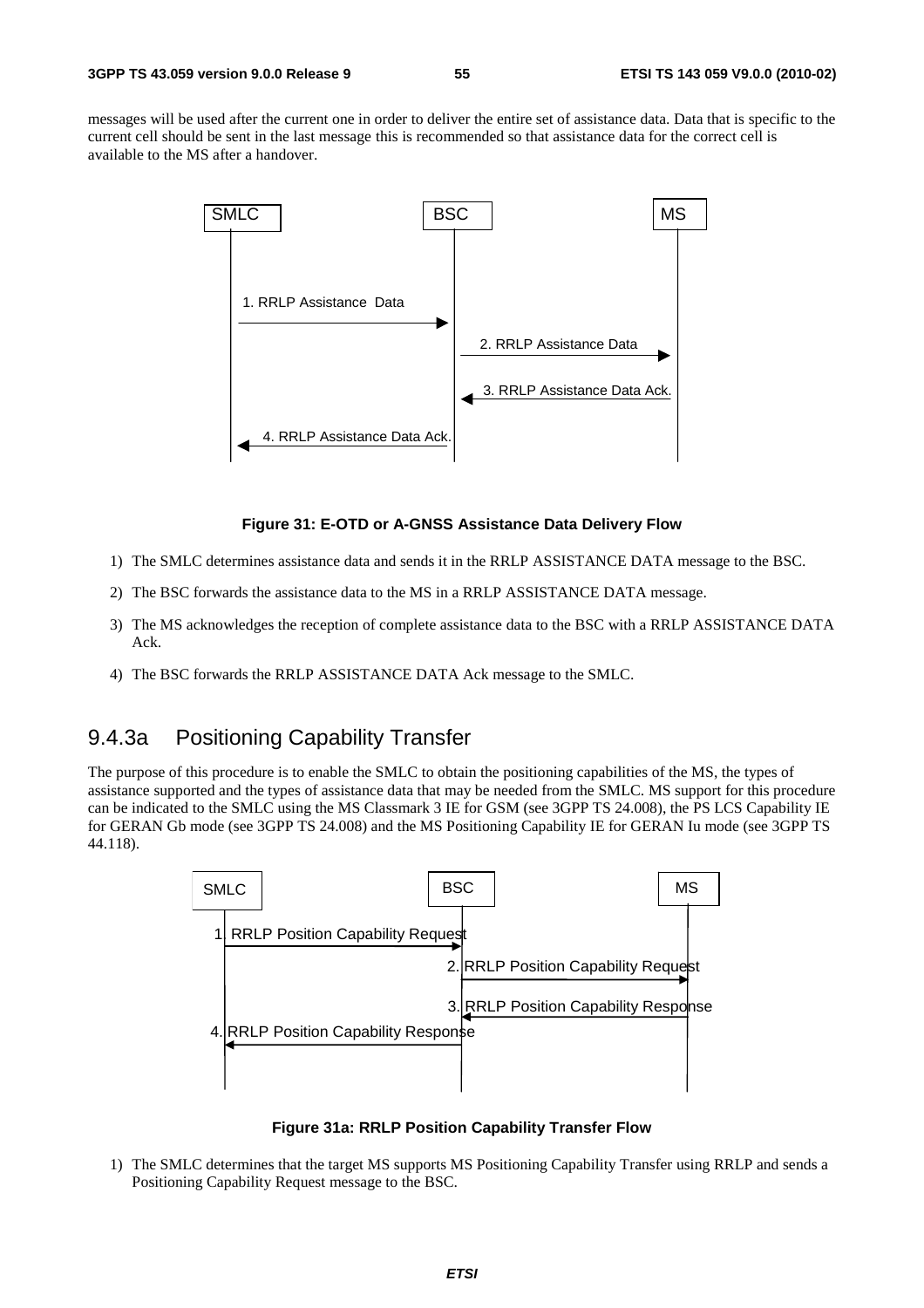messages will be used after the current one in order to deliver the entire set of assistance data. Data that is specific to the current cell should be sent in the last message this is recommended so that assistance data for the correct cell is available to the MS after a handover.



#### **Figure 31: E-OTD or A-GNSS Assistance Data Delivery Flow**

- 1) The SMLC determines assistance data and sends it in the RRLP ASSISTANCE DATA message to the BSC.
- 2) The BSC forwards the assistance data to the MS in a RRLP ASSISTANCE DATA message.
- 3) The MS acknowledges the reception of complete assistance data to the BSC with a RRLP ASSISTANCE DATA Ack.
- 4) The BSC forwards the RRLP ASSISTANCE DATA Ack message to the SMLC.

### 9.4.3a Positioning Capability Transfer

The purpose of this procedure is to enable the SMLC to obtain the positioning capabilities of the MS, the types of assistance supported and the types of assistance data that may be needed from the SMLC. MS support for this procedure can be indicated to the SMLC using the MS Classmark 3 IE for GSM (see 3GPP TS 24.008), the PS LCS Capability IE for GERAN Gb mode (see 3GPP TS 24.008) and the MS Positioning Capability IE for GERAN Iu mode (see 3GPP TS 44.118).



**Figure 31a: RRLP Position Capability Transfer Flow** 

1) The SMLC determines that the target MS supports MS Positioning Capability Transfer using RRLP and sends a Positioning Capability Request message to the BSC.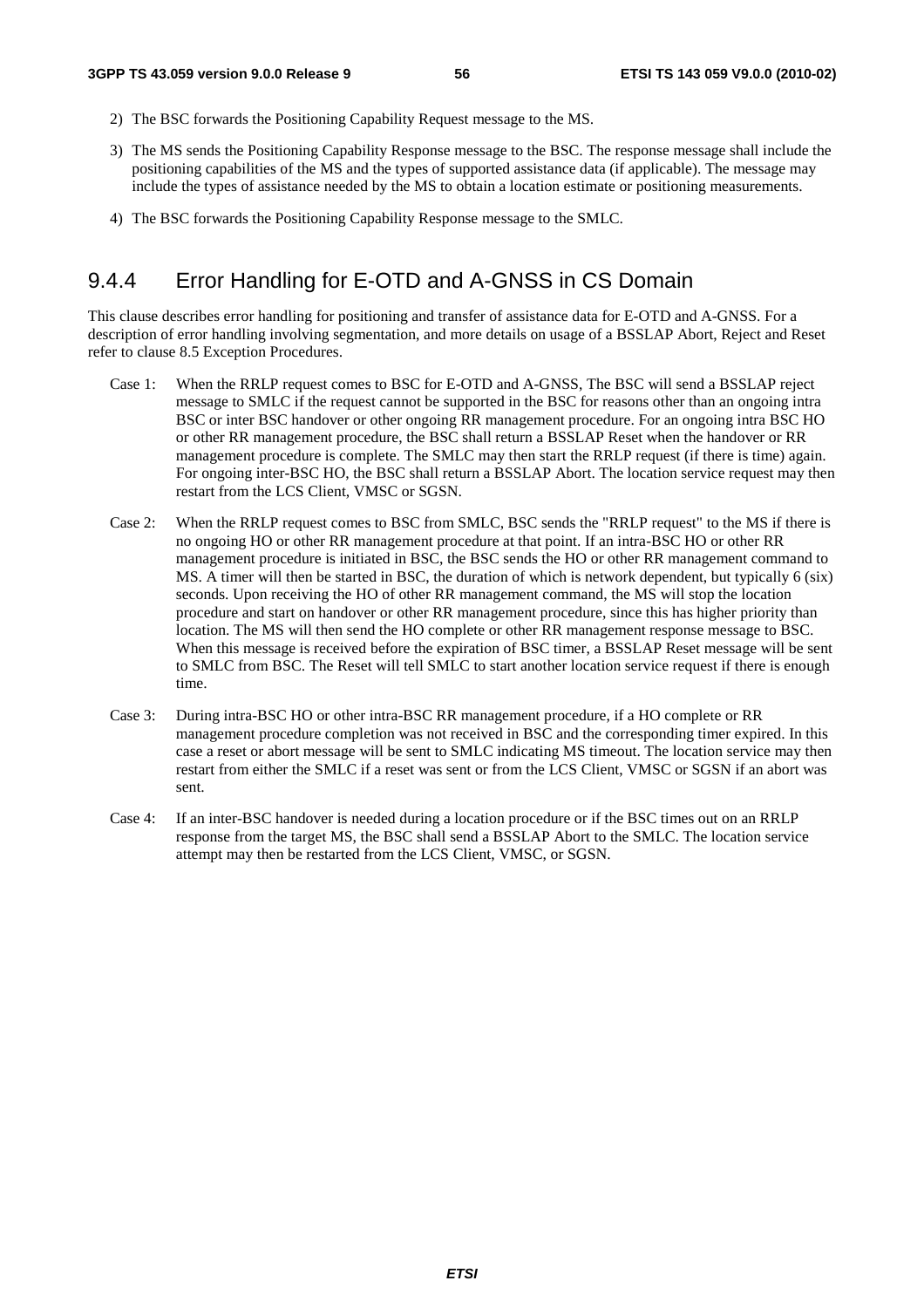- 2) The BSC forwards the Positioning Capability Request message to the MS.
- 3) The MS sends the Positioning Capability Response message to the BSC. The response message shall include the positioning capabilities of the MS and the types of supported assistance data (if applicable). The message may include the types of assistance needed by the MS to obtain a location estimate or positioning measurements.
- 4) The BSC forwards the Positioning Capability Response message to the SMLC.

## 9.4.4 Error Handling for E-OTD and A-GNSS in CS Domain

This clause describes error handling for positioning and transfer of assistance data for E-OTD and A-GNSS. For a description of error handling involving segmentation, and more details on usage of a BSSLAP Abort, Reject and Reset refer to clause 8.5 Exception Procedures.

- Case 1: When the RRLP request comes to BSC for E-OTD and A-GNSS, The BSC will send a BSSLAP reject message to SMLC if the request cannot be supported in the BSC for reasons other than an ongoing intra BSC or inter BSC handover or other ongoing RR management procedure. For an ongoing intra BSC HO or other RR management procedure, the BSC shall return a BSSLAP Reset when the handover or RR management procedure is complete. The SMLC may then start the RRLP request (if there is time) again. For ongoing inter-BSC HO, the BSC shall return a BSSLAP Abort. The location service request may then restart from the LCS Client, VMSC or SGSN.
- Case 2: When the RRLP request comes to BSC from SMLC, BSC sends the "RRLP request" to the MS if there is no ongoing HO or other RR management procedure at that point. If an intra-BSC HO or other RR management procedure is initiated in BSC, the BSC sends the HO or other RR management command to MS. A timer will then be started in BSC, the duration of which is network dependent, but typically 6 (six) seconds. Upon receiving the HO of other RR management command, the MS will stop the location procedure and start on handover or other RR management procedure, since this has higher priority than location. The MS will then send the HO complete or other RR management response message to BSC. When this message is received before the expiration of BSC timer, a BSSLAP Reset message will be sent to SMLC from BSC. The Reset will tell SMLC to start another location service request if there is enough time.
- Case 3: During intra-BSC HO or other intra-BSC RR management procedure, if a HO complete or RR management procedure completion was not received in BSC and the corresponding timer expired. In this case a reset or abort message will be sent to SMLC indicating MS timeout. The location service may then restart from either the SMLC if a reset was sent or from the LCS Client, VMSC or SGSN if an abort was sent.
- Case 4: If an inter-BSC handover is needed during a location procedure or if the BSC times out on an RRLP response from the target MS, the BSC shall send a BSSLAP Abort to the SMLC. The location service attempt may then be restarted from the LCS Client, VMSC, or SGSN.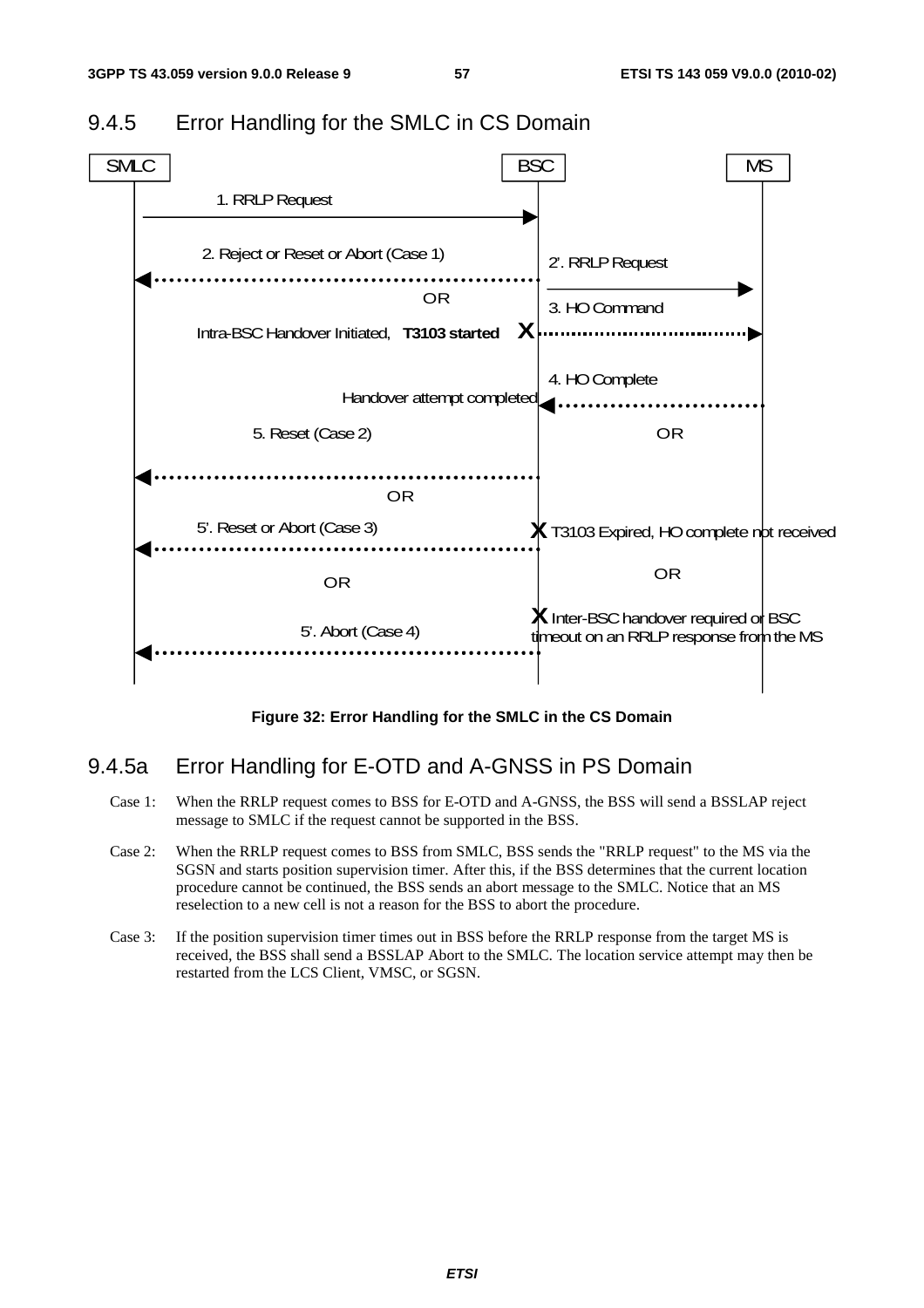

### 9.4.5 Error Handling for the SMLC in CS Domain

**Figure 32: Error Handling for the SMLC in the CS Domain** 

### 9.4.5a Error Handling for E-OTD and A-GNSS in PS Domain

- Case 1: When the RRLP request comes to BSS for E-OTD and A-GNSS, the BSS will send a BSSLAP reject message to SMLC if the request cannot be supported in the BSS.
- Case 2: When the RRLP request comes to BSS from SMLC, BSS sends the "RRLP request" to the MS via the SGSN and starts position supervision timer. After this, if the BSS determines that the current location procedure cannot be continued, the BSS sends an abort message to the SMLC. Notice that an MS reselection to a new cell is not a reason for the BSS to abort the procedure.
- Case 3: If the position supervision timer times out in BSS before the RRLP response from the target MS is received, the BSS shall send a BSSLAP Abort to the SMLC. The location service attempt may then be restarted from the LCS Client, VMSC, or SGSN.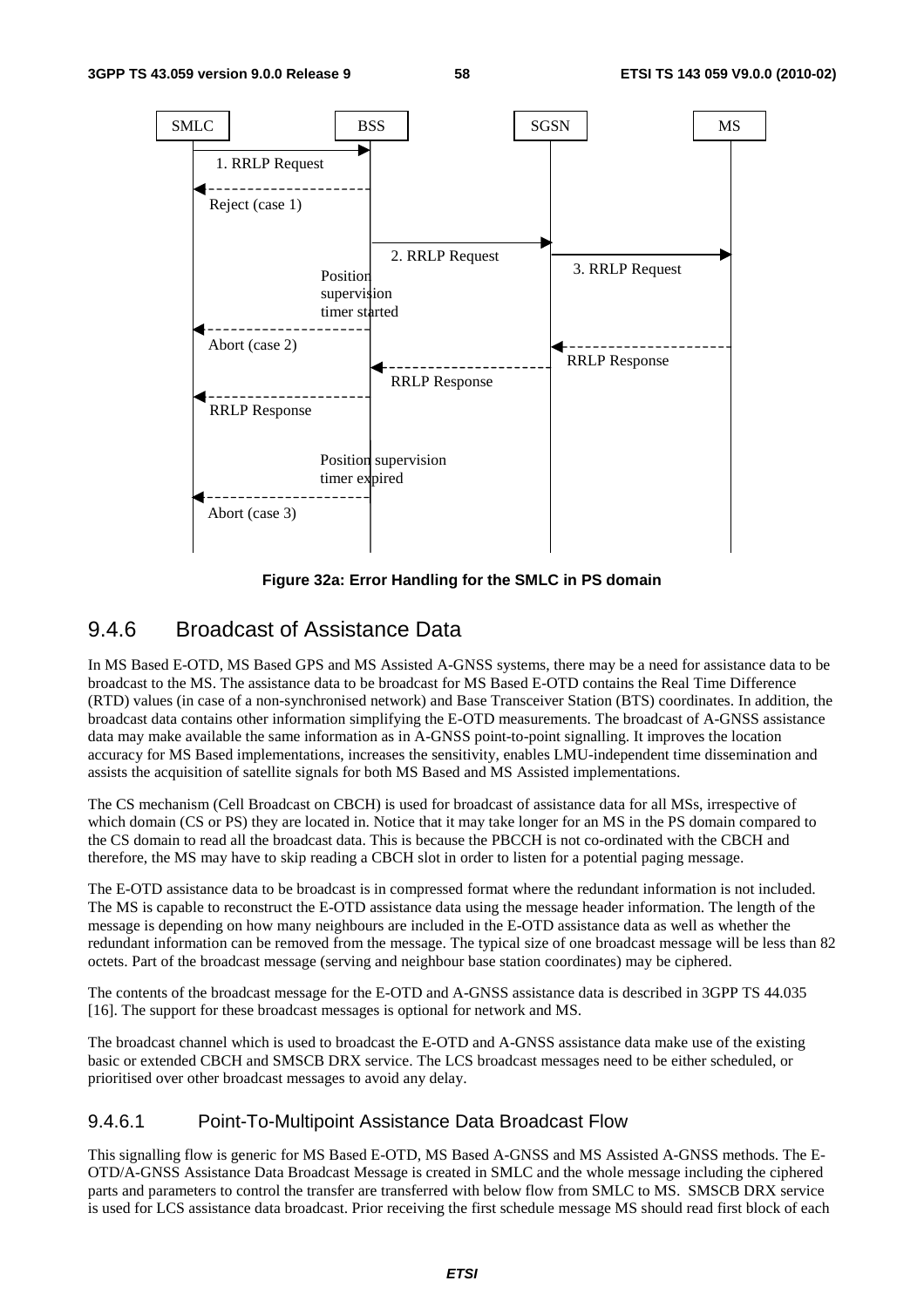

**Figure 32a: Error Handling for the SMLC in PS domain** 

### 9.4.6 Broadcast of Assistance Data

In MS Based E-OTD, MS Based GPS and MS Assisted A-GNSS systems, there may be a need for assistance data to be broadcast to the MS. The assistance data to be broadcast for MS Based E-OTD contains the Real Time Difference (RTD) values (in case of a non-synchronised network) and Base Transceiver Station (BTS) coordinates. In addition, the broadcast data contains other information simplifying the E-OTD measurements. The broadcast of A-GNSS assistance data may make available the same information as in A-GNSS point-to-point signalling. It improves the location accuracy for MS Based implementations, increases the sensitivity, enables LMU-independent time dissemination and assists the acquisition of satellite signals for both MS Based and MS Assisted implementations.

The CS mechanism (Cell Broadcast on CBCH) is used for broadcast of assistance data for all MSs, irrespective of which domain (CS or PS) they are located in. Notice that it may take longer for an MS in the PS domain compared to the CS domain to read all the broadcast data. This is because the PBCCH is not co-ordinated with the CBCH and therefore, the MS may have to skip reading a CBCH slot in order to listen for a potential paging message.

The E-OTD assistance data to be broadcast is in compressed format where the redundant information is not included. The MS is capable to reconstruct the E-OTD assistance data using the message header information. The length of the message is depending on how many neighbours are included in the E-OTD assistance data as well as whether the redundant information can be removed from the message. The typical size of one broadcast message will be less than 82 octets. Part of the broadcast message (serving and neighbour base station coordinates) may be ciphered.

The contents of the broadcast message for the E-OTD and A-GNSS assistance data is described in 3GPP TS 44.035 [16]. The support for these broadcast messages is optional for network and MS.

The broadcast channel which is used to broadcast the E-OTD and A-GNSS assistance data make use of the existing basic or extended CBCH and SMSCB DRX service. The LCS broadcast messages need to be either scheduled, or prioritised over other broadcast messages to avoid any delay.

#### 9.4.6.1 Point-To-Multipoint Assistance Data Broadcast Flow

This signalling flow is generic for MS Based E-OTD, MS Based A-GNSS and MS Assisted A-GNSS methods. The E-OTD/A-GNSS Assistance Data Broadcast Message is created in SMLC and the whole message including the ciphered parts and parameters to control the transfer are transferred with below flow from SMLC to MS. SMSCB DRX service is used for LCS assistance data broadcast. Prior receiving the first schedule message MS should read first block of each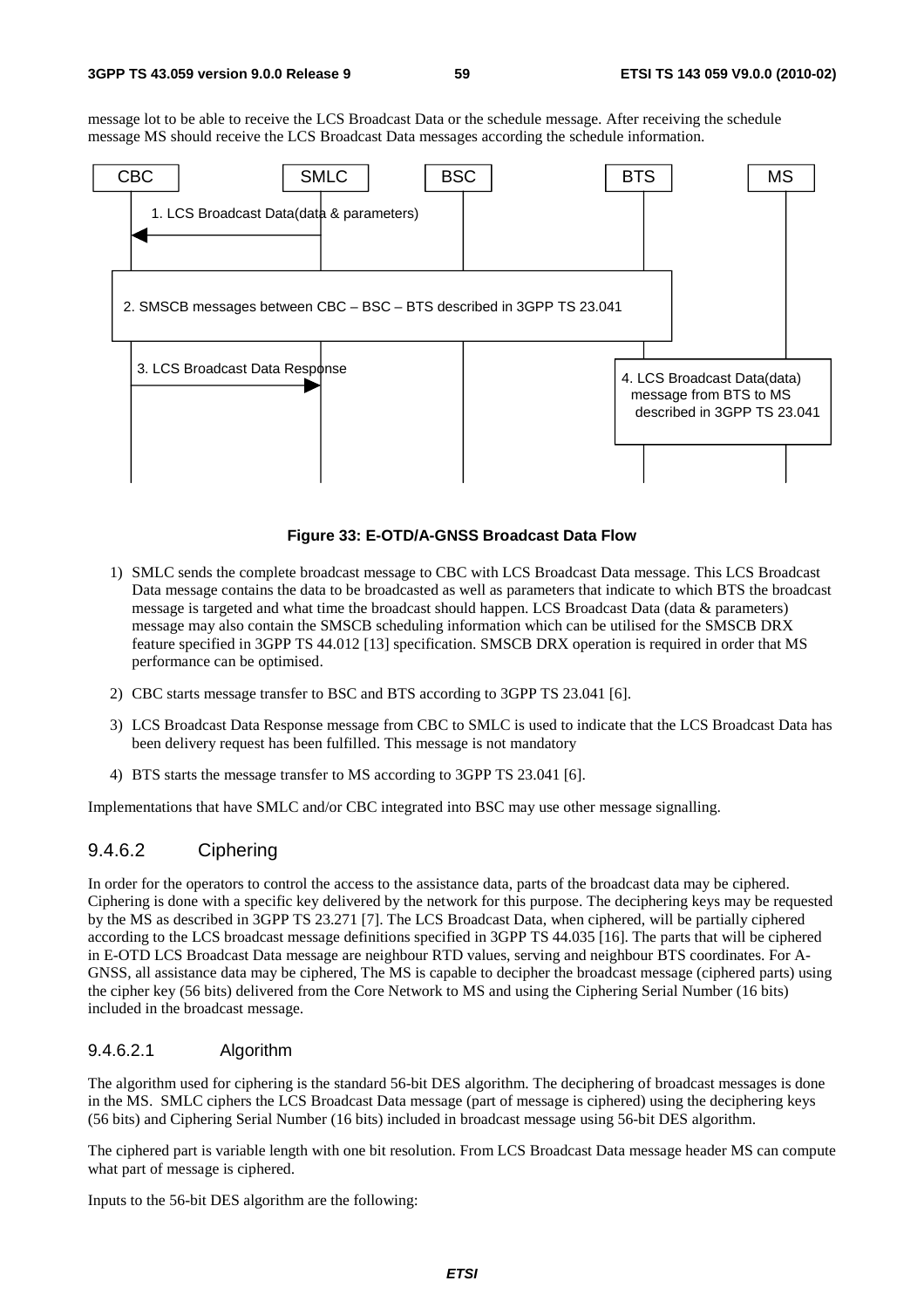message lot to be able to receive the LCS Broadcast Data or the schedule message. After receiving the schedule message MS should receive the LCS Broadcast Data messages according the schedule information.



#### **Figure 33: E-OTD/A-GNSS Broadcast Data Flow**

- 1) SMLC sends the complete broadcast message to CBC with LCS Broadcast Data message. This LCS Broadcast Data message contains the data to be broadcasted as well as parameters that indicate to which BTS the broadcast message is targeted and what time the broadcast should happen. LCS Broadcast Data (data & parameters) message may also contain the SMSCB scheduling information which can be utilised for the SMSCB DRX feature specified in 3GPP TS 44.012 [13] specification. SMSCB DRX operation is required in order that MS performance can be optimised.
- 2) CBC starts message transfer to BSC and BTS according to 3GPP TS 23.041 [6].
- 3) LCS Broadcast Data Response message from CBC to SMLC is used to indicate that the LCS Broadcast Data has been delivery request has been fulfilled. This message is not mandatory
- 4) BTS starts the message transfer to MS according to 3GPP TS 23.041 [6].

Implementations that have SMLC and/or CBC integrated into BSC may use other message signalling.

#### 9.4.6.2 Ciphering

In order for the operators to control the access to the assistance data, parts of the broadcast data may be ciphered. Ciphering is done with a specific key delivered by the network for this purpose. The deciphering keys may be requested by the MS as described in 3GPP TS 23.271 [7]. The LCS Broadcast Data, when ciphered, will be partially ciphered according to the LCS broadcast message definitions specified in 3GPP TS 44.035 [16]. The parts that will be ciphered in E-OTD LCS Broadcast Data message are neighbour RTD values, serving and neighbour BTS coordinates. For A-GNSS, all assistance data may be ciphered, The MS is capable to decipher the broadcast message (ciphered parts) using the cipher key (56 bits) delivered from the Core Network to MS and using the Ciphering Serial Number (16 bits) included in the broadcast message.

#### 9.4.6.2.1 Algorithm

The algorithm used for ciphering is the standard 56-bit DES algorithm. The deciphering of broadcast messages is done in the MS. SMLC ciphers the LCS Broadcast Data message (part of message is ciphered) using the deciphering keys (56 bits) and Ciphering Serial Number (16 bits) included in broadcast message using 56-bit DES algorithm.

The ciphered part is variable length with one bit resolution. From LCS Broadcast Data message header MS can compute what part of message is ciphered.

Inputs to the 56-bit DES algorithm are the following: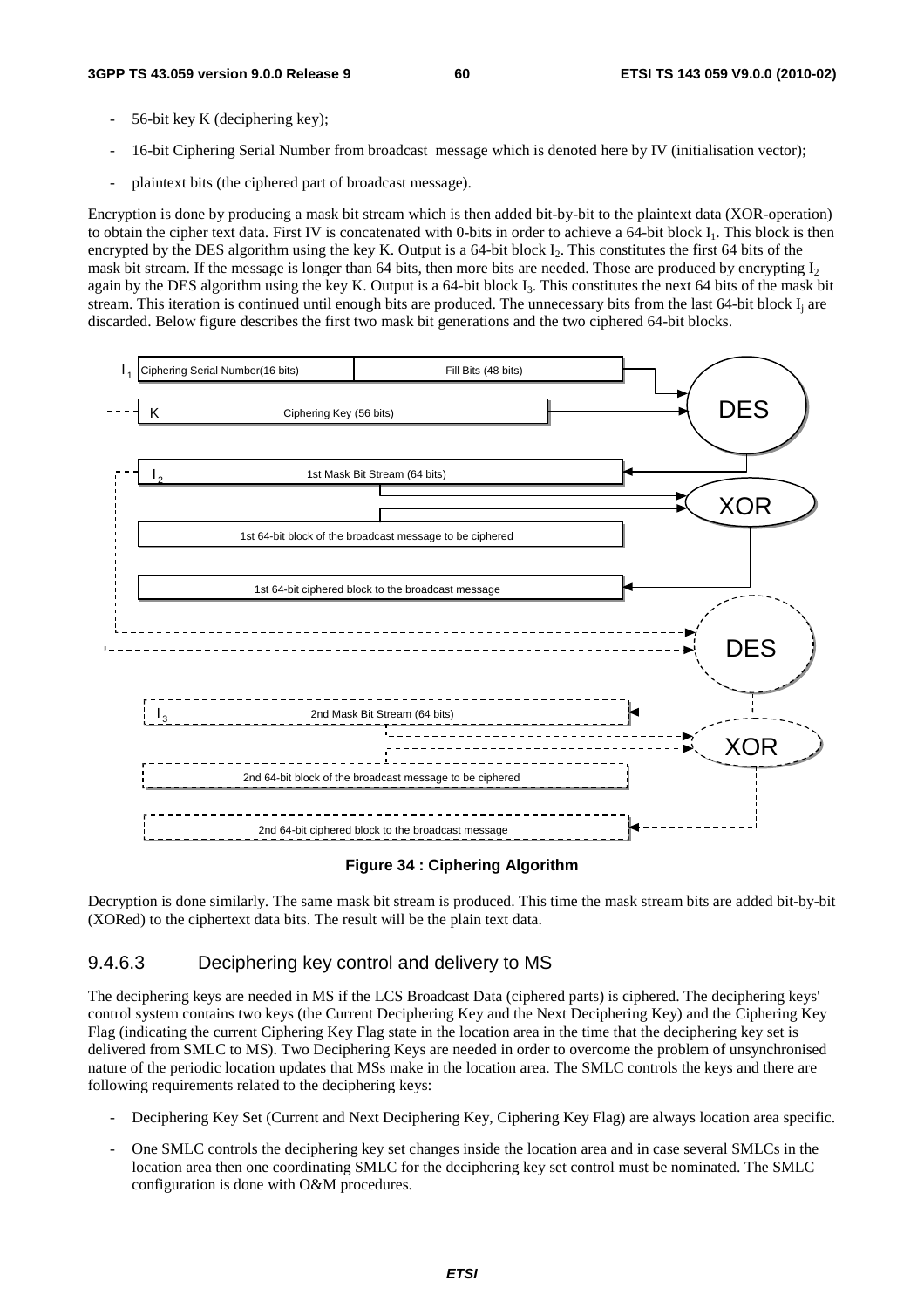- 56-bit key K (deciphering key);
- 16-bit Ciphering Serial Number from broadcast message which is denoted here by IV (initialisation vector);
- plaintext bits (the ciphered part of broadcast message).

Encryption is done by producing a mask bit stream which is then added bit-by-bit to the plaintext data (XOR-operation) to obtain the cipher text data. First IV is concatenated with 0-bits in order to achieve a 64-bit block I<sub>1</sub>. This block is then encrypted by the DES algorithm using the key K. Output is a 64-bit block  $I_2$ . This constitutes the first 64 bits of the mask bit stream. If the message is longer than 64 bits, then more bits are needed. Those are produced by encrypting  $I_2$ again by the DES algorithm using the key K. Output is a 64-bit block  $I_3$ . This constitutes the next 64 bits of the mask bit stream. This iteration is continued until enough bits are produced. The unnecessary bits from the last  $64$ -bit block  $I_i$  are discarded. Below figure describes the first two mask bit generations and the two ciphered 64-bit blocks.



#### **Figure 34 : Ciphering Algorithm**

Decryption is done similarly. The same mask bit stream is produced. This time the mask stream bits are added bit-by-bit (XORed) to the ciphertext data bits. The result will be the plain text data.

#### 9.4.6.3 Deciphering key control and delivery to MS

The deciphering keys are needed in MS if the LCS Broadcast Data (ciphered parts) is ciphered. The deciphering keys' control system contains two keys (the Current Deciphering Key and the Next Deciphering Key) and the Ciphering Key Flag (indicating the current Ciphering Key Flag state in the location area in the time that the deciphering key set is delivered from SMLC to MS). Two Deciphering Keys are needed in order to overcome the problem of unsynchronised nature of the periodic location updates that MSs make in the location area. The SMLC controls the keys and there are following requirements related to the deciphering keys:

- Deciphering Key Set (Current and Next Deciphering Key, Ciphering Key Flag) are always location area specific.
- One SMLC controls the deciphering key set changes inside the location area and in case several SMLCs in the location area then one coordinating SMLC for the deciphering key set control must be nominated. The SMLC configuration is done with O&M procedures.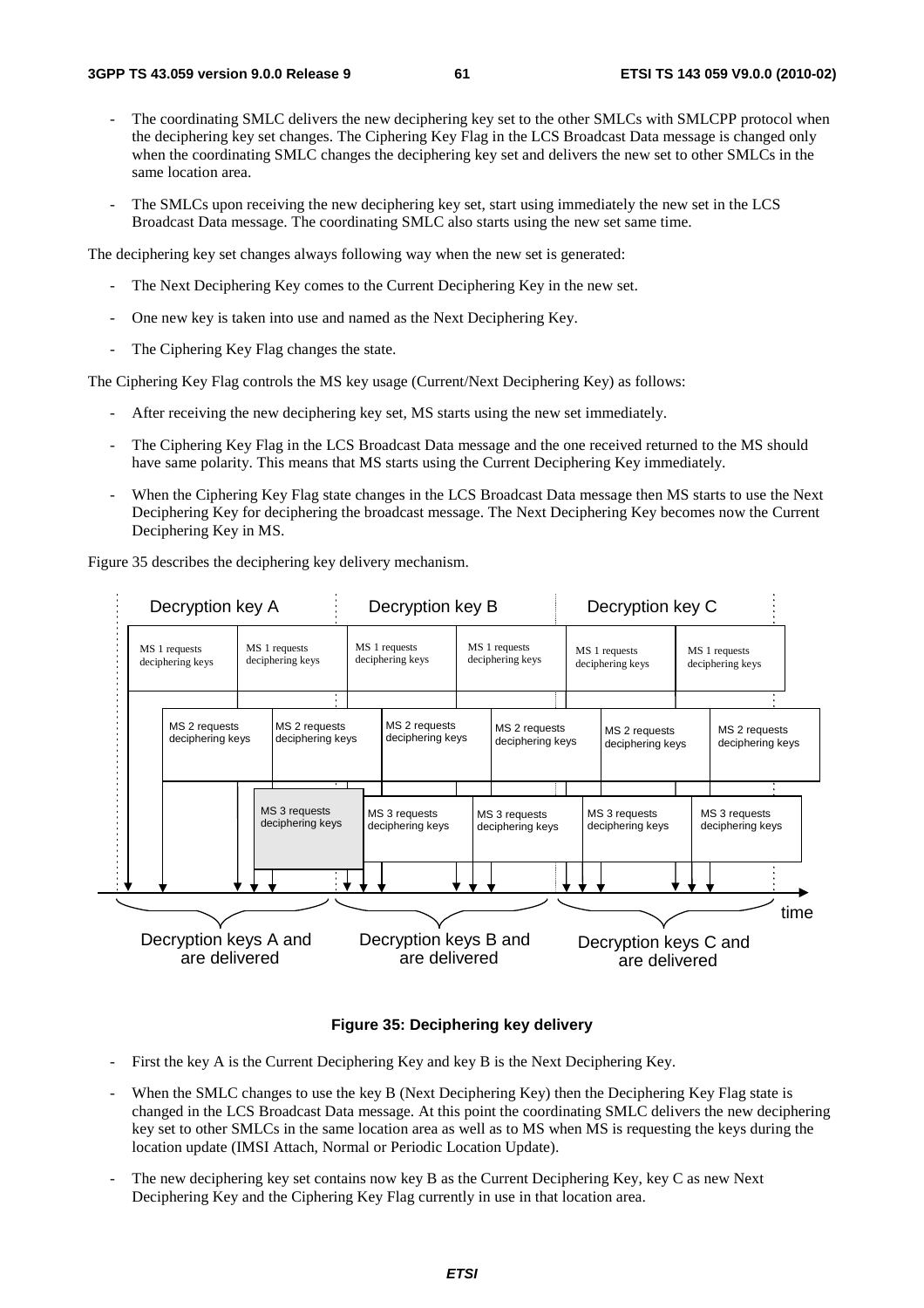- The coordinating SMLC delivers the new deciphering key set to the other SMLCs with SMLCPP protocol when the deciphering key set changes. The Ciphering Key Flag in the LCS Broadcast Data message is changed only when the coordinating SMLC changes the deciphering key set and delivers the new set to other SMLCs in the same location area.
- The SMLCs upon receiving the new deciphering key set, start using immediately the new set in the LCS Broadcast Data message. The coordinating SMLC also starts using the new set same time.

The deciphering key set changes always following way when the new set is generated:

- The Next Deciphering Key comes to the Current Deciphering Key in the new set.
- One new key is taken into use and named as the Next Deciphering Key.
- The Ciphering Key Flag changes the state.

The Ciphering Key Flag controls the MS key usage (Current/Next Deciphering Key) as follows:

- After receiving the new deciphering key set, MS starts using the new set immediately.
- The Ciphering Key Flag in the LCS Broadcast Data message and the one received returned to the MS should have same polarity. This means that MS starts using the Current Deciphering Key immediately.
- When the Ciphering Key Flag state changes in the LCS Broadcast Data message then MS starts to use the Next Deciphering Key for deciphering the broadcast message. The Next Deciphering Key becomes now the Current Deciphering Key in MS.

Figure 35 describes the deciphering key delivery mechanism.



#### **Figure 35: Deciphering key delivery**

- First the key A is the Current Deciphering Key and key B is the Next Deciphering Key.
- When the SMLC changes to use the key B (Next Deciphering Key) then the Deciphering Key Flag state is changed in the LCS Broadcast Data message. At this point the coordinating SMLC delivers the new deciphering key set to other SMLCs in the same location area as well as to MS when MS is requesting the keys during the location update (IMSI Attach, Normal or Periodic Location Update).
- The new deciphering key set contains now key B as the Current Deciphering Key, key C as new Next Deciphering Key and the Ciphering Key Flag currently in use in that location area.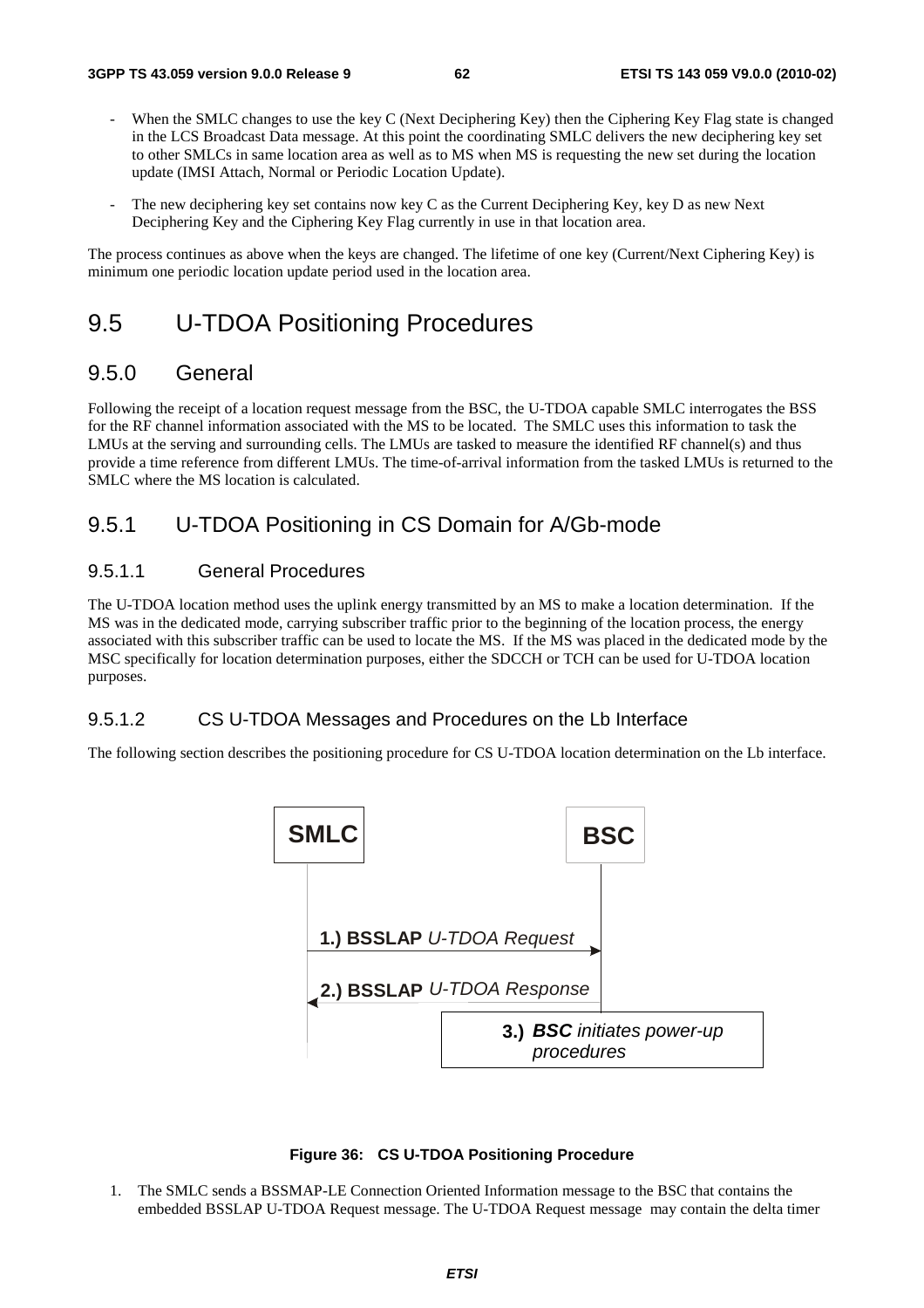- When the SMLC changes to use the key C (Next Deciphering Key) then the Ciphering Key Flag state is changed in the LCS Broadcast Data message. At this point the coordinating SMLC delivers the new deciphering key set to other SMLCs in same location area as well as to MS when MS is requesting the new set during the location update (IMSI Attach, Normal or Periodic Location Update).
- The new deciphering key set contains now key C as the Current Deciphering Key, key D as new Next Deciphering Key and the Ciphering Key Flag currently in use in that location area.

The process continues as above when the keys are changed. The lifetime of one key (Current/Next Ciphering Key) is minimum one periodic location update period used in the location area.

## 9.5 U-TDOA Positioning Procedures

### 9.5.0 General

Following the receipt of a location request message from the BSC, the U-TDOA capable SMLC interrogates the BSS for the RF channel information associated with the MS to be located. The SMLC uses this information to task the LMUs at the serving and surrounding cells. The LMUs are tasked to measure the identified RF channel(s) and thus provide a time reference from different LMUs. The time-of-arrival information from the tasked LMUs is returned to the SMLC where the MS location is calculated.

## 9.5.1 U-TDOA Positioning in CS Domain for A/Gb-mode

#### 9.5.1.1 General Procedures

The U-TDOA location method uses the uplink energy transmitted by an MS to make a location determination. If the MS was in the dedicated mode, carrying subscriber traffic prior to the beginning of the location process, the energy associated with this subscriber traffic can be used to locate the MS. If the MS was placed in the dedicated mode by the MSC specifically for location determination purposes, either the SDCCH or TCH can be used for U-TDOA location purposes.

#### 9.5.1.2 CS U-TDOA Messages and Procedures on the Lb Interface

The following section describes the positioning procedure for CS U-TDOA location determination on the Lb interface.



#### **Figure 36: CS U-TDOA Positioning Procedure**

1. The SMLC sends a BSSMAP-LE Connection Oriented Information message to the BSC that contains the embedded BSSLAP U-TDOA Request message. The U-TDOA Request message may contain the delta timer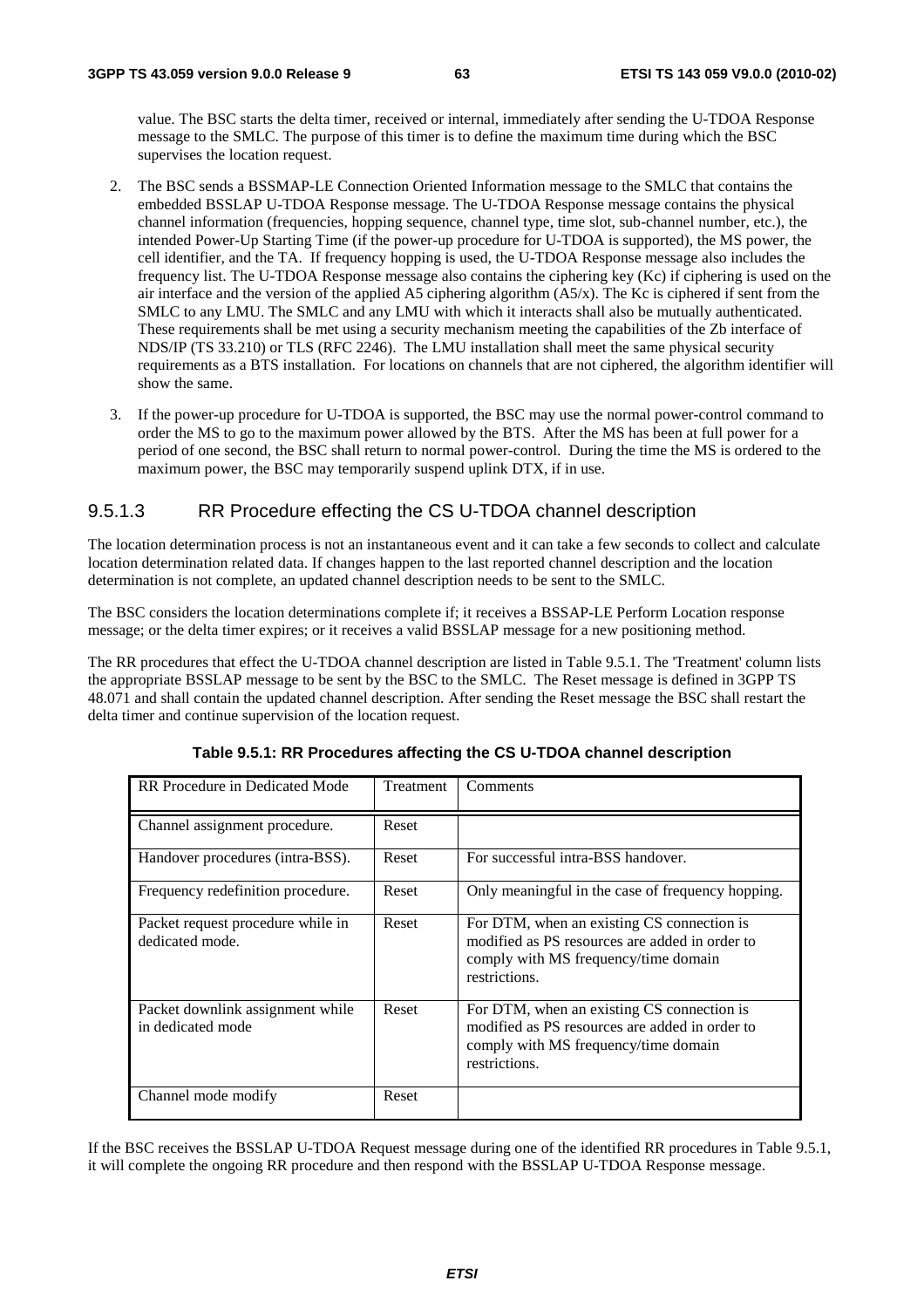value. The BSC starts the delta timer, received or internal, immediately after sending the U-TDOA Response message to the SMLC. The purpose of this timer is to define the maximum time during which the BSC supervises the location request.

- 2. The BSC sends a BSSMAP-LE Connection Oriented Information message to the SMLC that contains the embedded BSSLAP U-TDOA Response message. The U-TDOA Response message contains the physical channel information (frequencies, hopping sequence, channel type, time slot, sub-channel number, etc.), the intended Power-Up Starting Time (if the power-up procedure for U-TDOA is supported), the MS power, the cell identifier, and the TA. If frequency hopping is used, the U-TDOA Response message also includes the frequency list. The U-TDOA Response message also contains the ciphering key (Kc) if ciphering is used on the air interface and the version of the applied A5 ciphering algorithm (A5/x). The Kc is ciphered if sent from the SMLC to any LMU. The SMLC and any LMU with which it interacts shall also be mutually authenticated. These requirements shall be met using a security mechanism meeting the capabilities of the Zb interface of NDS/IP (TS 33.210) or TLS (RFC 2246). The LMU installation shall meet the same physical security requirements as a BTS installation. For locations on channels that are not ciphered, the algorithm identifier will show the same.
- 3. If the power-up procedure for U-TDOA is supported, the BSC may use the normal power-control command to order the MS to go to the maximum power allowed by the BTS. After the MS has been at full power for a period of one second, the BSC shall return to normal power-control. During the time the MS is ordered to the maximum power, the BSC may temporarily suspend uplink DTX, if in use.

#### 9.5.1.3 RR Procedure effecting the CS U-TDOA channel description

The location determination process is not an instantaneous event and it can take a few seconds to collect and calculate location determination related data. If changes happen to the last reported channel description and the location determination is not complete, an updated channel description needs to be sent to the SMLC.

The BSC considers the location determinations complete if; it receives a BSSAP-LE Perform Location response message; or the delta timer expires; or it receives a valid BSSLAP message for a new positioning method.

The RR procedures that effect the U-TDOA channel description are listed in Table 9.5.1. The 'Treatment' column lists the appropriate BSSLAP message to be sent by the BSC to the SMLC. The Reset message is defined in 3GPP TS 48.071 and shall contain the updated channel description. After sending the Reset message the BSC shall restart the delta timer and continue supervision of the location request.

| RR Procedure in Dedicated Mode                        | Treatment | Comments                                                                                                                                              |
|-------------------------------------------------------|-----------|-------------------------------------------------------------------------------------------------------------------------------------------------------|
| Channel assignment procedure.                         | Reset     |                                                                                                                                                       |
| Handover procedures (intra-BSS).                      | Reset     | For successful intra-BSS handover.                                                                                                                    |
| Frequency redefinition procedure.                     | Reset     | Only meaningful in the case of frequency hopping.                                                                                                     |
| Packet request procedure while in<br>dedicated mode.  | Reset     | For DTM, when an existing CS connection is<br>modified as PS resources are added in order to<br>comply with MS frequency/time domain<br>restrictions. |
| Packet downlink assignment while<br>in dedicated mode | Reset     | For DTM, when an existing CS connection is<br>modified as PS resources are added in order to<br>comply with MS frequency/time domain<br>restrictions. |
| Channel mode modify                                   | Reset     |                                                                                                                                                       |

| Table 9.5.1: RR Procedures affecting the CS U-TDOA channel description |  |  |  |  |  |  |
|------------------------------------------------------------------------|--|--|--|--|--|--|
|------------------------------------------------------------------------|--|--|--|--|--|--|

If the BSC receives the BSSLAP U-TDOA Request message during one of the identified RR procedures in Table 9.5.1, it will complete the ongoing RR procedure and then respond with the BSSLAP U-TDOA Response message.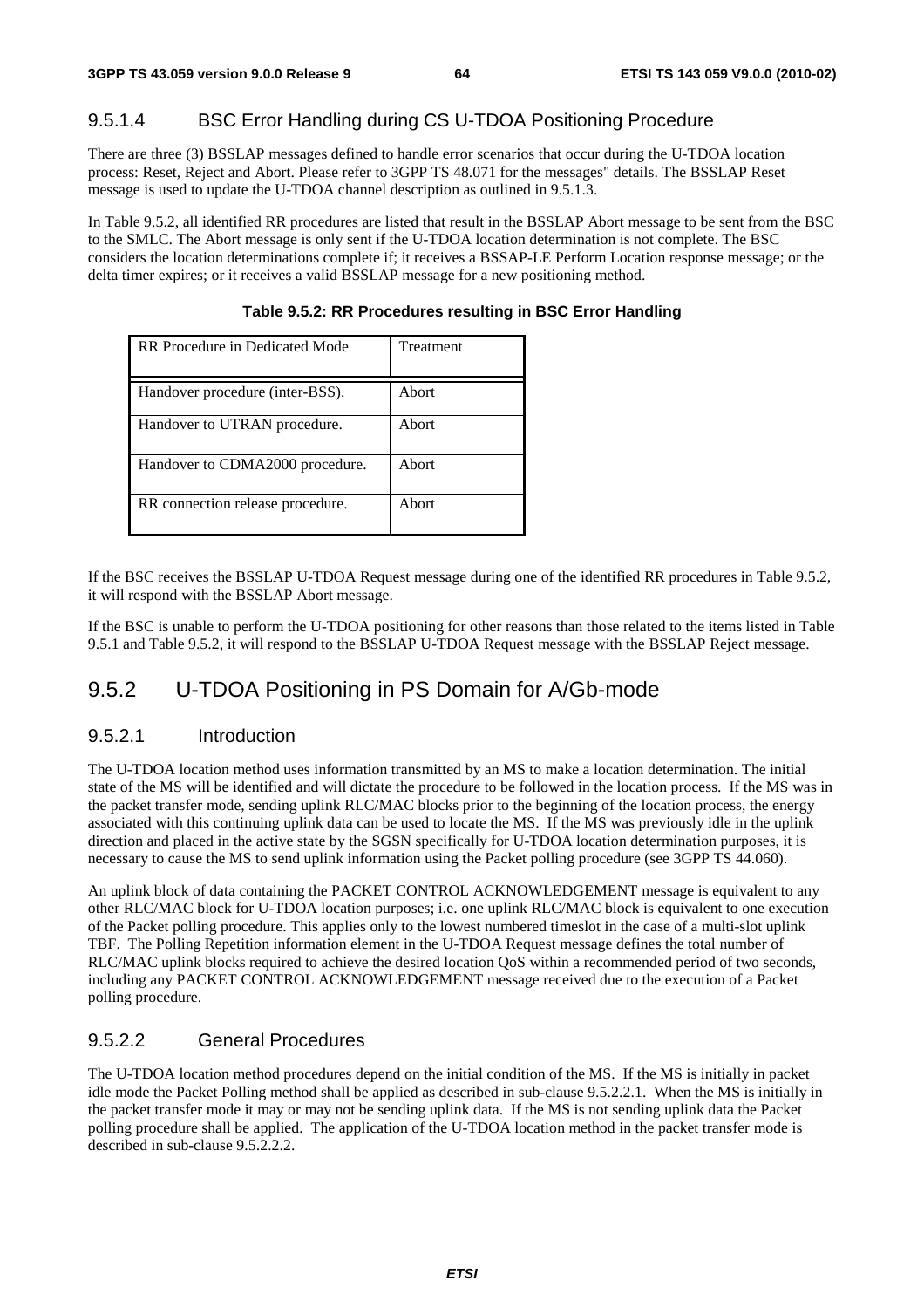### 9.5.1.4 BSC Error Handling during CS U-TDOA Positioning Procedure

There are three (3) BSSLAP messages defined to handle error scenarios that occur during the U-TDOA location process: Reset, Reject and Abort. Please refer to 3GPP TS 48.071 for the messages" details. The BSSLAP Reset message is used to update the U-TDOA channel description as outlined in 9.5.1.3.

In Table 9.5.2, all identified RR procedures are listed that result in the BSSLAP Abort message to be sent from the BSC to the SMLC. The Abort message is only sent if the U-TDOA location determination is not complete. The BSC considers the location determinations complete if; it receives a BSSAP-LE Perform Location response message; or the delta timer expires; or it receives a valid BSSLAP message for a new positioning method.

| RR Procedure in Dedicated Mode   | Treatment |
|----------------------------------|-----------|
|                                  |           |
| Handover procedure (inter-BSS).  | Abort     |
| Handover to UTRAN procedure.     | Abort     |
| Handover to CDMA2000 procedure.  | Abort     |
| RR connection release procedure. | Abort     |

**Table 9.5.2: RR Procedures resulting in BSC Error Handling** 

If the BSC receives the BSSLAP U-TDOA Request message during one of the identified RR procedures in Table 9.5.2, it will respond with the BSSLAP Abort message.

If the BSC is unable to perform the U-TDOA positioning for other reasons than those related to the items listed in Table 9.5.1 and Table 9.5.2, it will respond to the BSSLAP U-TDOA Request message with the BSSLAP Reject message.

## 9.5.2 U-TDOA Positioning in PS Domain for A/Gb-mode

#### 9.5.2.1 Introduction

The U-TDOA location method uses information transmitted by an MS to make a location determination. The initial state of the MS will be identified and will dictate the procedure to be followed in the location process. If the MS was in the packet transfer mode, sending uplink RLC/MAC blocks prior to the beginning of the location process, the energy associated with this continuing uplink data can be used to locate the MS. If the MS was previously idle in the uplink direction and placed in the active state by the SGSN specifically for U-TDOA location determination purposes, it is necessary to cause the MS to send uplink information using the Packet polling procedure (see 3GPP TS 44.060).

An uplink block of data containing the PACKET CONTROL ACKNOWLEDGEMENT message is equivalent to any other RLC/MAC block for U-TDOA location purposes; i.e. one uplink RLC/MAC block is equivalent to one execution of the Packet polling procedure. This applies only to the lowest numbered timeslot in the case of a multi-slot uplink TBF. The Polling Repetition information element in the U-TDOA Request message defines the total number of RLC/MAC uplink blocks required to achieve the desired location QoS within a recommended period of two seconds, including any PACKET CONTROL ACKNOWLEDGEMENT message received due to the execution of a Packet polling procedure.

#### 9.5.2.2 General Procedures

The U-TDOA location method procedures depend on the initial condition of the MS. If the MS is initially in packet idle mode the Packet Polling method shall be applied as described in sub-clause 9.5.2.2.1. When the MS is initially in the packet transfer mode it may or may not be sending uplink data. If the MS is not sending uplink data the Packet polling procedure shall be applied. The application of the U-TDOA location method in the packet transfer mode is described in sub-clause 9.5.2.2.2.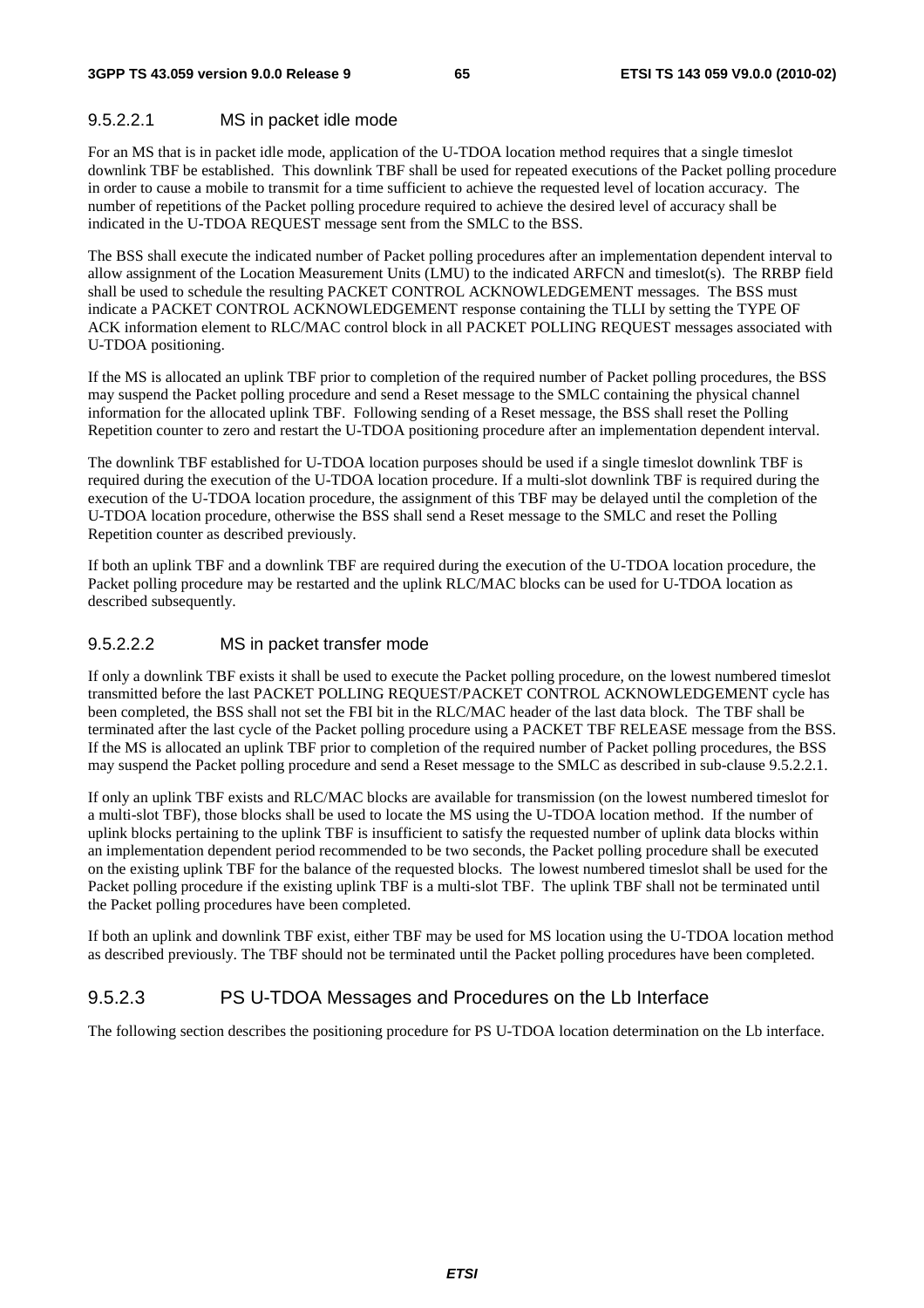### 9.5.2.2.1 MS in packet idle mode

For an MS that is in packet idle mode, application of the U-TDOA location method requires that a single timeslot downlink TBF be established. This downlink TBF shall be used for repeated executions of the Packet polling procedure in order to cause a mobile to transmit for a time sufficient to achieve the requested level of location accuracy. The number of repetitions of the Packet polling procedure required to achieve the desired level of accuracy shall be indicated in the U-TDOA REQUEST message sent from the SMLC to the BSS.

The BSS shall execute the indicated number of Packet polling procedures after an implementation dependent interval to allow assignment of the Location Measurement Units (LMU) to the indicated ARFCN and timeslot(s). The RRBP field shall be used to schedule the resulting PACKET CONTROL ACKNOWLEDGEMENT messages. The BSS must indicate a PACKET CONTROL ACKNOWLEDGEMENT response containing the TLLI by setting the TYPE OF ACK information element to RLC/MAC control block in all PACKET POLLING REQUEST messages associated with U-TDOA positioning.

If the MS is allocated an uplink TBF prior to completion of the required number of Packet polling procedures, the BSS may suspend the Packet polling procedure and send a Reset message to the SMLC containing the physical channel information for the allocated uplink TBF. Following sending of a Reset message, the BSS shall reset the Polling Repetition counter to zero and restart the U-TDOA positioning procedure after an implementation dependent interval.

The downlink TBF established for U-TDOA location purposes should be used if a single timeslot downlink TBF is required during the execution of the U-TDOA location procedure. If a multi-slot downlink TBF is required during the execution of the U-TDOA location procedure, the assignment of this TBF may be delayed until the completion of the U-TDOA location procedure, otherwise the BSS shall send a Reset message to the SMLC and reset the Polling Repetition counter as described previously.

If both an uplink TBF and a downlink TBF are required during the execution of the U-TDOA location procedure, the Packet polling procedure may be restarted and the uplink RLC/MAC blocks can be used for U-TDOA location as described subsequently.

#### 9.5.2.2.2 MS in packet transfer mode

If only a downlink TBF exists it shall be used to execute the Packet polling procedure, on the lowest numbered timeslot transmitted before the last PACKET POLLING REQUEST/PACKET CONTROL ACKNOWLEDGEMENT cycle has been completed, the BSS shall not set the FBI bit in the RLC/MAC header of the last data block. The TBF shall be terminated after the last cycle of the Packet polling procedure using a PACKET TBF RELEASE message from the BSS. If the MS is allocated an uplink TBF prior to completion of the required number of Packet polling procedures, the BSS may suspend the Packet polling procedure and send a Reset message to the SMLC as described in sub-clause 9.5.2.2.1.

If only an uplink TBF exists and RLC/MAC blocks are available for transmission (on the lowest numbered timeslot for a multi-slot TBF), those blocks shall be used to locate the MS using the U-TDOA location method. If the number of uplink blocks pertaining to the uplink TBF is insufficient to satisfy the requested number of uplink data blocks within an implementation dependent period recommended to be two seconds, the Packet polling procedure shall be executed on the existing uplink TBF for the balance of the requested blocks. The lowest numbered timeslot shall be used for the Packet polling procedure if the existing uplink TBF is a multi-slot TBF. The uplink TBF shall not be terminated until the Packet polling procedures have been completed.

If both an uplink and downlink TBF exist, either TBF may be used for MS location using the U-TDOA location method as described previously. The TBF should not be terminated until the Packet polling procedures have been completed.

### 9.5.2.3 PS U-TDOA Messages and Procedures on the Lb Interface

The following section describes the positioning procedure for PS U-TDOA location determination on the Lb interface.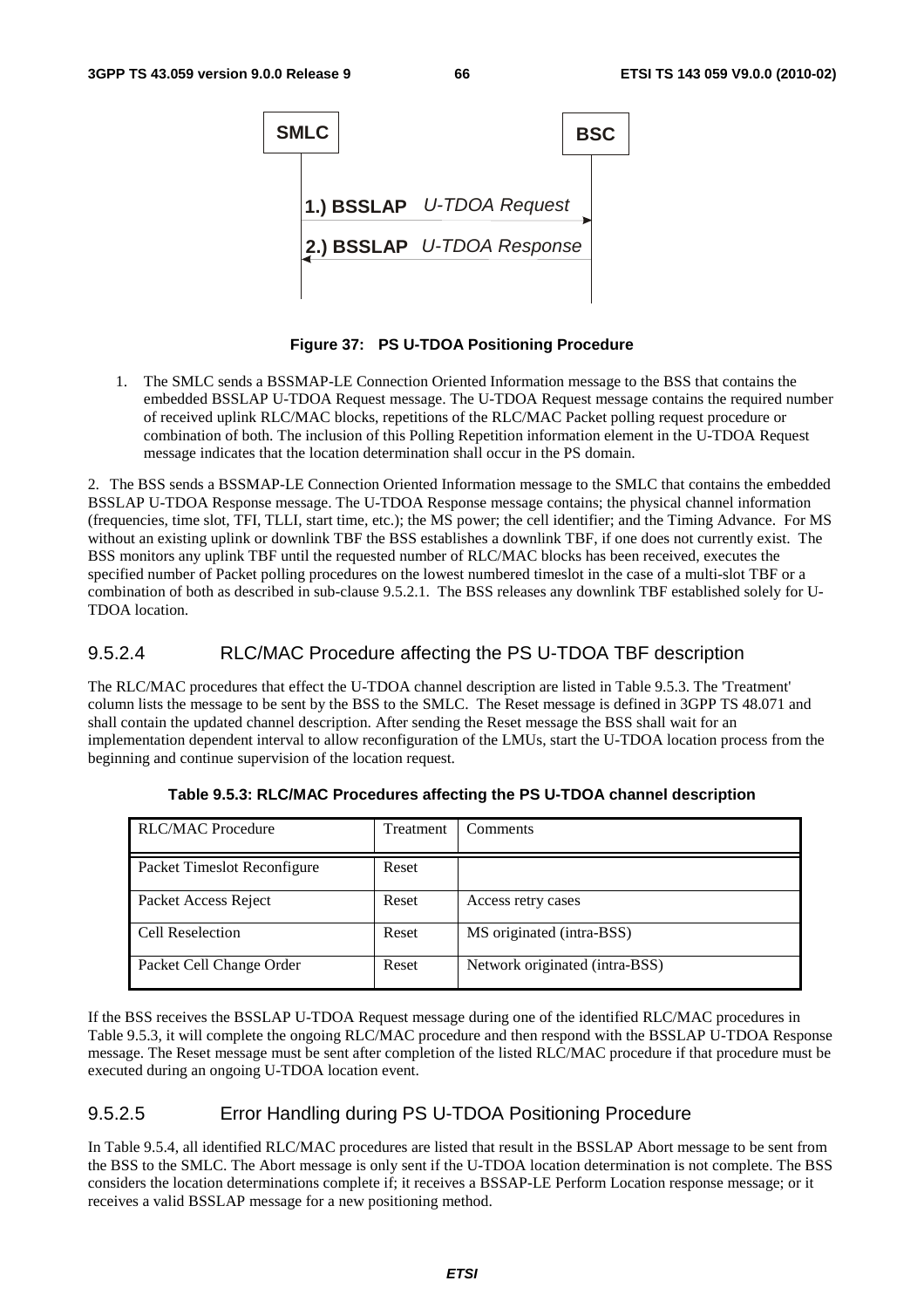

**Figure 37: PS U-TDOA Positioning Procedure** 

1. The SMLC sends a BSSMAP-LE Connection Oriented Information message to the BSS that contains the embedded BSSLAP U-TDOA Request message. The U-TDOA Request message contains the required number of received uplink RLC/MAC blocks, repetitions of the RLC/MAC Packet polling request procedure or combination of both. The inclusion of this Polling Repetition information element in the U-TDOA Request message indicates that the location determination shall occur in the PS domain.

2. The BSS sends a BSSMAP-LE Connection Oriented Information message to the SMLC that contains the embedded BSSLAP U-TDOA Response message. The U-TDOA Response message contains; the physical channel information (frequencies, time slot, TFI, TLLI, start time, etc.); the MS power; the cell identifier; and the Timing Advance. For MS without an existing uplink or downlink TBF the BSS establishes a downlink TBF, if one does not currently exist. The BSS monitors any uplink TBF until the requested number of RLC/MAC blocks has been received, executes the specified number of Packet polling procedures on the lowest numbered timeslot in the case of a multi-slot TBF or a combination of both as described in sub-clause 9.5.2.1. The BSS releases any downlink TBF established solely for U-TDOA location.

#### 9.5.2.4 RLC/MAC Procedure affecting the PS U-TDOA TBF description

The RLC/MAC procedures that effect the U-TDOA channel description are listed in Table 9.5.3. The 'Treatment' column lists the message to be sent by the BSS to the SMLC. The Reset message is defined in 3GPP TS 48.071 and shall contain the updated channel description. After sending the Reset message the BSS shall wait for an implementation dependent interval to allow reconfiguration of the LMUs, start the U-TDOA location process from the beginning and continue supervision of the location request.

| <b>RLC/MAC Procedure</b>    | Treatment | Comments                       |
|-----------------------------|-----------|--------------------------------|
| Packet Timeslot Reconfigure | Reset     |                                |
| Packet Access Reject        | Reset     | Access retry cases             |
| Cell Reselection            | Reset     | MS originated (intra-BSS)      |
| Packet Cell Change Order    | Reset     | Network originated (intra-BSS) |

**Table 9.5.3: RLC/MAC Procedures affecting the PS U-TDOA channel description** 

If the BSS receives the BSSLAP U-TDOA Request message during one of the identified RLC/MAC procedures in Table 9.5.3, it will complete the ongoing RLC/MAC procedure and then respond with the BSSLAP U-TDOA Response message. The Reset message must be sent after completion of the listed RLC/MAC procedure if that procedure must be executed during an ongoing U-TDOA location event.

#### 9.5.2.5 Error Handling during PS U-TDOA Positioning Procedure

In Table 9.5.4, all identified RLC/MAC procedures are listed that result in the BSSLAP Abort message to be sent from the BSS to the SMLC. The Abort message is only sent if the U-TDOA location determination is not complete. The BSS considers the location determinations complete if; it receives a BSSAP-LE Perform Location response message; or it receives a valid BSSLAP message for a new positioning method.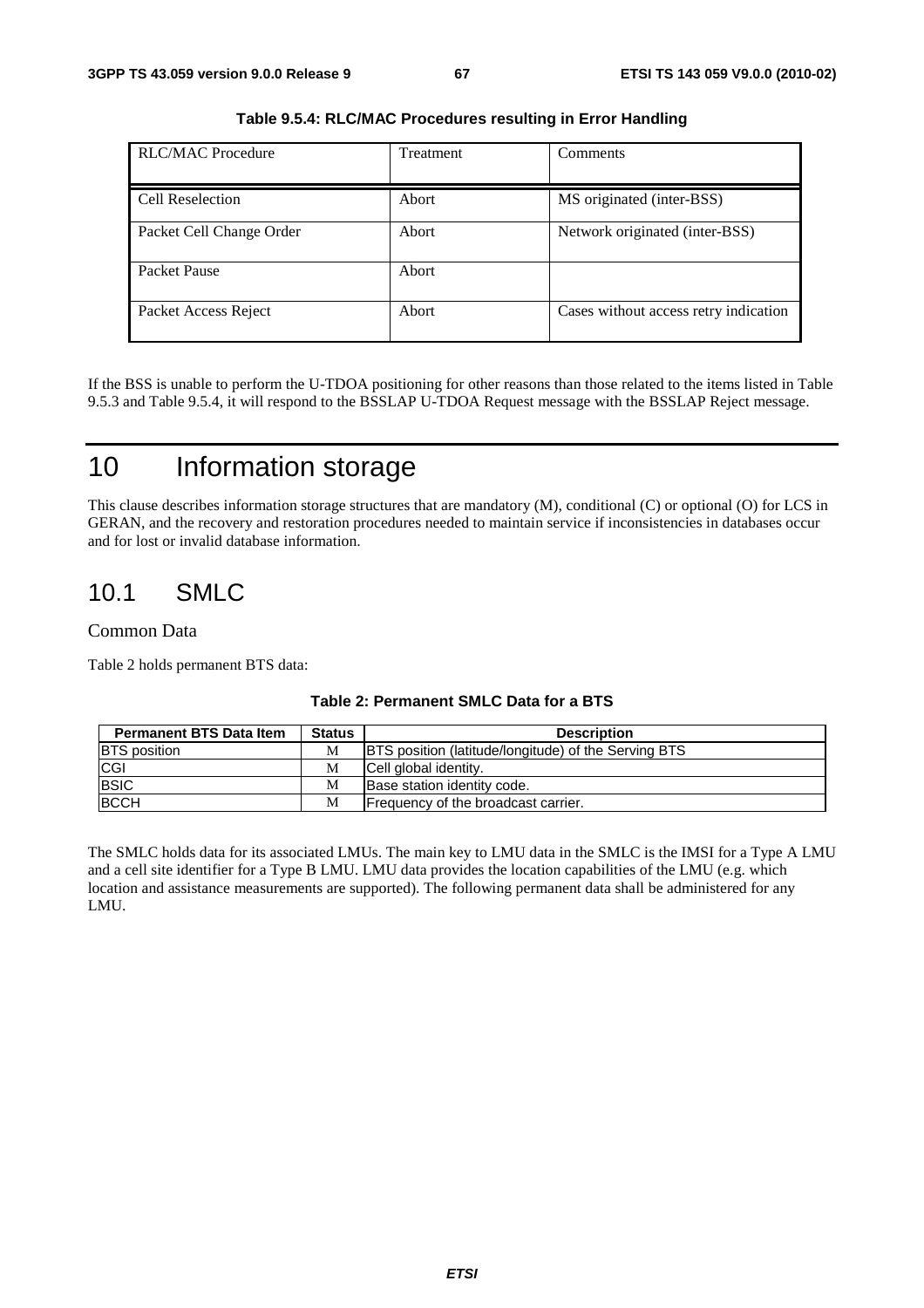| <b>RLC/MAC Procedure</b> | <b>Treatment</b> | Comments                              |
|--------------------------|------------------|---------------------------------------|
| Cell Reselection         | Abort            | MS originated (inter-BSS)             |
| Packet Cell Change Order | Abort            | Network originated (inter-BSS)        |
| Packet Pause             | Abort            |                                       |
| Packet Access Reject     | Abort            | Cases without access retry indication |

**Table 9.5.4: RLC/MAC Procedures resulting in Error Handling** 

If the BSS is unable to perform the U-TDOA positioning for other reasons than those related to the items listed in Table 9.5.3 and Table 9.5.4, it will respond to the BSSLAP U-TDOA Request message with the BSSLAP Reject message.

## 10 Information storage

This clause describes information storage structures that are mandatory (M), conditional (C) or optional (O) for LCS in GERAN, and the recovery and restoration procedures needed to maintain service if inconsistencies in databases occur and for lost or invalid database information.

## 10.1 SMLC

#### Common Data

Table 2 holds permanent BTS data:

| <b>Permanent BTS Data Item</b> | <b>Status</b> | <b>Description</b>                                          |
|--------------------------------|---------------|-------------------------------------------------------------|
| <b>BTS</b> position            | М             | <b>BTS</b> position (latitude/longitude) of the Serving BTS |
| <b>CGI</b>                     | М             | Cell global identity.                                       |
| <b>BSIC</b>                    | М             | Base station identity code.                                 |
| <b>BCCH</b>                    | М             | Frequency of the broadcast carrier.                         |

#### **Table 2: Permanent SMLC Data for a BTS**

The SMLC holds data for its associated LMUs. The main key to LMU data in the SMLC is the IMSI for a Type A LMU and a cell site identifier for a Type B LMU. LMU data provides the location capabilities of the LMU (e.g. which location and assistance measurements are supported). The following permanent data shall be administered for any LMU.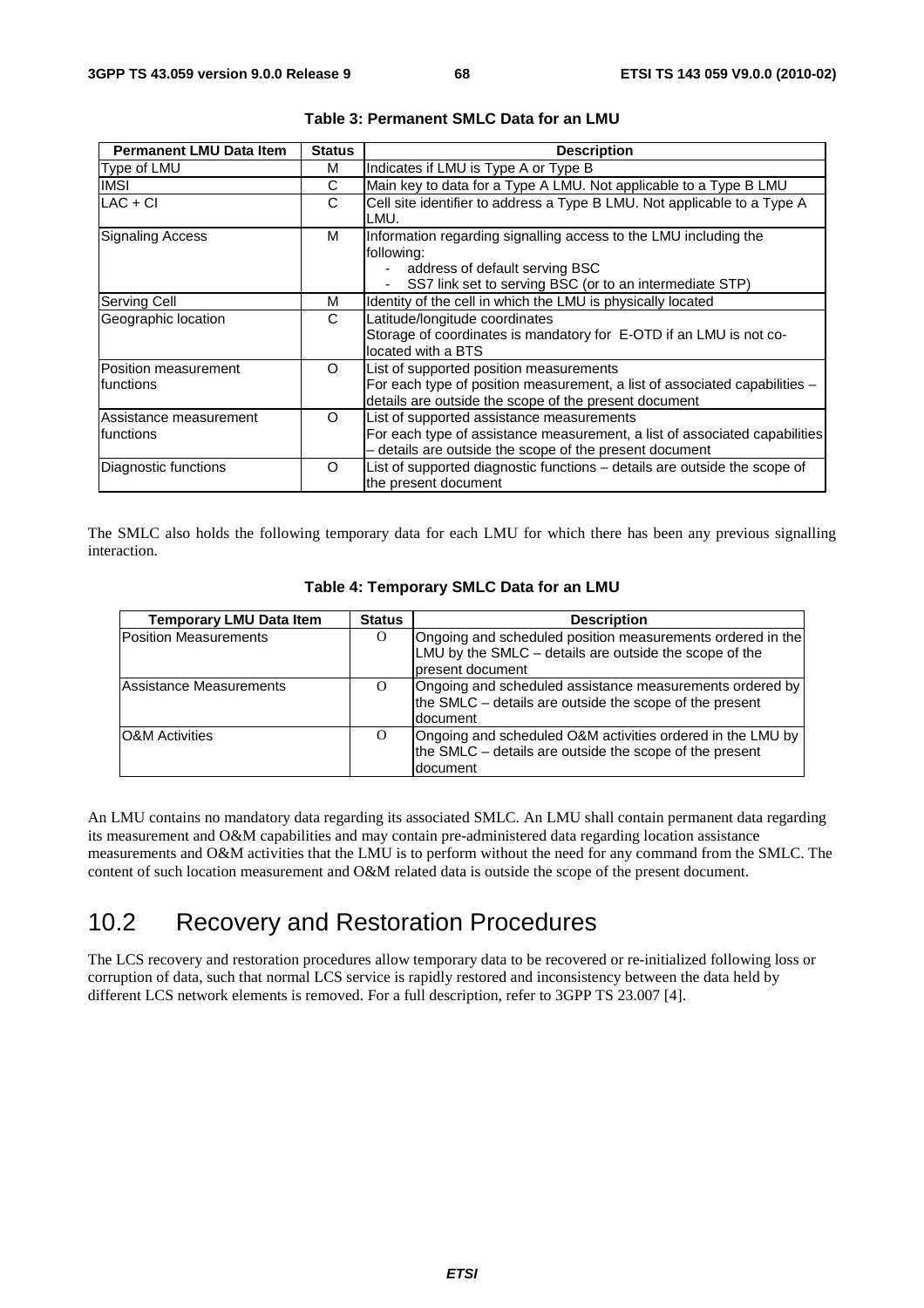| <b>Permanent LMU Data Item</b>       | <b>Status</b> | <b>Description</b>                                                                                                                                                                 |
|--------------------------------------|---------------|------------------------------------------------------------------------------------------------------------------------------------------------------------------------------------|
| Type of LMU                          | м             | Indicates if LMU is Type A or Type B                                                                                                                                               |
| IMSI                                 | С             | Main key to data for a Type A LMU. Not applicable to a Type B LMU                                                                                                                  |
| $LAC + CI$                           | С             | Cell site identifier to address a Type B LMU. Not applicable to a Type A<br>LMU.                                                                                                   |
| <b>Signaling Access</b>              | м             | Information regarding signalling access to the LMU including the<br>following:<br>address of default serving BSC<br>SS7 link set to serving BSC (or to an intermediate STP)        |
| Serving Cell                         | м             | Identity of the cell in which the LMU is physically located                                                                                                                        |
| Geographic location                  | C             | Latitude/longitude coordinates<br>Storage of coordinates is mandatory for E-OTD if an LMU is not co-<br>located with a BTS                                                         |
| Position measurement<br>Ifunctions   | $\Omega$      | List of supported position measurements<br>For each type of position measurement, a list of associated capabilities -<br>details are outside the scope of the present document     |
| Assistance measurement<br>Ifunctions | $\Omega$      | List of supported assistance measurements<br>For each type of assistance measurement, a list of associated capabilities<br>- details are outside the scope of the present document |
| Diagnostic functions                 | O             | List of supported diagnostic functions - details are outside the scope of<br>the present document                                                                                  |

|  | Table 3: Permanent SMLC Data for an LMU |  |  |  |
|--|-----------------------------------------|--|--|--|
|--|-----------------------------------------|--|--|--|

The SMLC also holds the following temporary data for each LMU for which there has been any previous signalling interaction.

| <b>Temporary LMU Data Item</b> | <b>Status</b> | <b>Description</b>                                                                                                                        |
|--------------------------------|---------------|-------------------------------------------------------------------------------------------------------------------------------------------|
| <b>Position Measurements</b>   | O             | Ongoing and scheduled position measurements ordered in the<br>LMU by the SMLC – details are outside the scope of the<br>Ipresent document |
| Assistance Measurements        | $\Omega$      | Ongoing and scheduled assistance measurements ordered by<br>the SMLC – details are outside the scope of the present<br>document           |
| <b>O&amp;M</b> Activities      | $\Omega$      | Ongoing and scheduled O&M activities ordered in the LMU by<br>the SMLC – details are outside the scope of the present<br>document         |

#### **Table 4: Temporary SMLC Data for an LMU**

An LMU contains no mandatory data regarding its associated SMLC. An LMU shall contain permanent data regarding its measurement and O&M capabilities and may contain pre-administered data regarding location assistance measurements and O&M activities that the LMU is to perform without the need for any command from the SMLC. The content of such location measurement and O&M related data is outside the scope of the present document.

## 10.2 Recovery and Restoration Procedures

The LCS recovery and restoration procedures allow temporary data to be recovered or re-initialized following loss or corruption of data, such that normal LCS service is rapidly restored and inconsistency between the data held by different LCS network elements is removed. For a full description, refer to 3GPP TS 23.007 [4].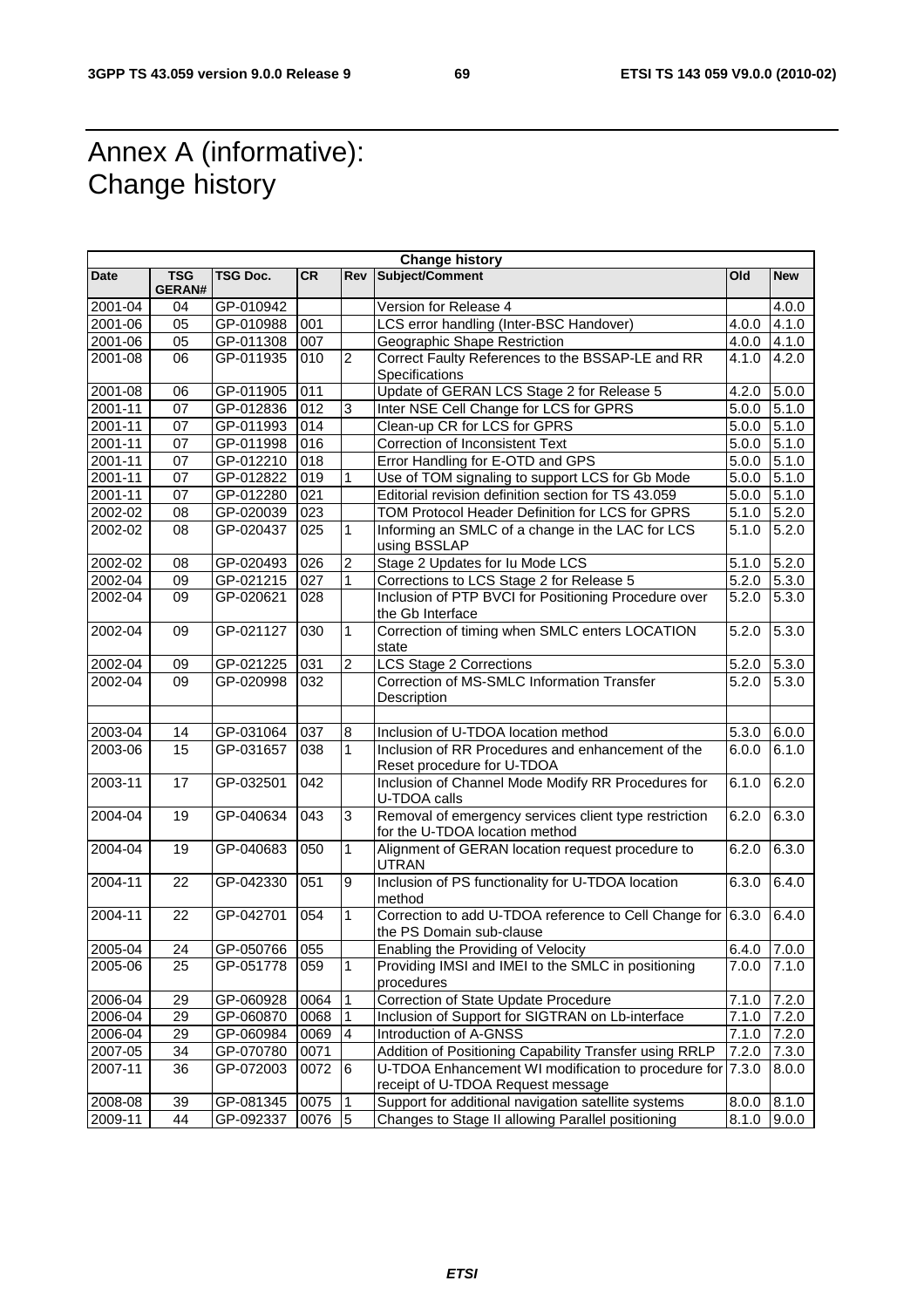## Annex A (informative): Change history

r

| <b>Change history</b> |                      |                 |           |                 |                                                                                                |               |            |
|-----------------------|----------------------|-----------------|-----------|-----------------|------------------------------------------------------------------------------------------------|---------------|------------|
| Date                  | <b>TSG</b><br>GERAN# | <b>TSG Doc.</b> | <b>CR</b> | Rev             | Subject/Comment                                                                                | Old           | <b>New</b> |
| 2001-04               | 04                   | GP-010942       |           |                 | Version for Release 4                                                                          |               | 4.0.0      |
| $2001 - 06$           | 05                   | GP-010988       | 001       |                 | LCS error handling (Inter-BSC Handover)                                                        | 4.0.0         | 4.1.0      |
| 2001-06               | 05                   | GP-011308       | 007       |                 | Geographic Shape Restriction                                                                   | 4.0.0         | 4.1.0      |
| 2001-08               | 06                   | GP-011935       | 010       | $\overline{c}$  | Correct Faulty References to the BSSAP-LE and RR                                               | 4.1.0         | 4.2.0      |
|                       |                      |                 |           |                 | Specifications                                                                                 |               |            |
| 2001-08               | 06                   | GP-011905       | 011       |                 | Update of GERAN LCS Stage 2 for Release 5                                                      | 4.2.0         | 5.0.0      |
| 2001-11               | 07                   | GP-012836       | 012       | 3               | Inter NSE Cell Change for LCS for GPRS                                                         | 5.0.0         | 5.1.0      |
| $2001 - 11$           | 07                   | GP-011993       | 014       |                 | Clean-up CR for LCS for GPRS                                                                   | 5.0.0         | 5.1.0      |
| 2001-11               | 07                   | GP-011998       | 016       |                 | Correction of Inconsistent Text                                                                | 5.0.0         | 5.1.0      |
| 2001-11               | 07                   | GP-012210       | 018       |                 | Error Handling for E-OTD and GPS                                                               | 5.0.0         | 5.1.0      |
| 2001-11               | 07                   | GP-012822       | 019       | 1               | Use of TOM signaling to support LCS for Gb Mode                                                | 5.0.0         | 5.1.0      |
| 2001-11               | 07                   | GP-012280       | 021       |                 | Editorial revision definition section for TS 43.059                                            | 5.0.0         | 5.1.0      |
| 2002-02               | 08                   | GP-020039       | 023       |                 | TOM Protocol Header Definition for LCS for GPRS                                                | 5.1.0         | 5.2.0      |
| 2002-02               | 08                   | GP-020437       | 025       | 1               | Informing an SMLC of a change in the LAC for LCS<br>using BSSLAP                               | 5.1.0         | 5.2.0      |
| 2002-02               | 08                   | GP-020493       | 026       | $\sqrt{2}$      | Stage 2 Updates for Iu Mode LCS                                                                | 5.1.0         | 5.2.0      |
| 2002-04               | 09                   | GP-021215       | 027       | $\mathbf{1}$    | Corrections to LCS Stage 2 for Release 5                                                       | 5.2.0         | 5.3.0      |
| 2002-04               | 09                   | GP-020621       | 028       |                 | Inclusion of PTP BVCI for Positioning Procedure over<br>the Gb Interface                       | 5.2.0         | 5.3.0      |
| 2002-04               | 09                   | GP-021127       | 030       | $\mathbf{1}$    | Correction of timing when SMLC enters LOCATION<br>state                                        | 5.2.0         | 5.3.0      |
| 2002-04               | 09                   | GP-021225       | 031       | $\overline{2}$  | LCS Stage 2 Corrections                                                                        | 5.2.0         | 5.3.0      |
| 2002-04               | 09                   | GP-020998       | 032       |                 | Correction of MS-SMLC Information Transfer<br>Description                                      | 5.2.0         | 5.3.0      |
|                       |                      |                 |           |                 |                                                                                                |               |            |
| 2003-04               | 14                   | GP-031064       | 037       | 8               | Inclusion of U-TDOA location method                                                            | 5.3.0         | 6.0.0      |
| 2003-06               | 15                   | GP-031657       | 038       | $\mathbf{1}$    | Inclusion of RR Procedures and enhancement of the<br>Reset procedure for U-TDOA                | 6.0.0         | 6.1.0      |
| 2003-11               | 17                   | GP-032501       | 042       |                 | Inclusion of Channel Mode Modify RR Procedures for<br>U-TDOA calls                             | 6.1.0         | 6.2.0      |
| 2004-04               | 19                   | GP-040634       | 043       | 3               | Removal of emergency services client type restriction<br>for the U-TDOA location method        | 6.2.0         | 6.3.0      |
| 2004-04               | 19                   | GP-040683       | 050       | $\mathbf{1}$    | Alignment of GERAN location request procedure to<br><b>UTRAN</b>                               | 6.2.0         | 6.3.0      |
| 2004-11               | 22                   | GP-042330       | 051       | 9               | Inclusion of PS functionality for U-TDOA location<br>method                                    | 6.3.0         | 6.4.0      |
| 2004-11               | 22                   | GP-042701       | 054       | $\mathbf{1}$    | Correction to add U-TDOA reference to Cell Change for 6.3.0<br>the PS Domain sub-clause        |               | 6.4.0      |
| 2005-04               | 24                   | GP-050766 055   |           |                 | Enabling the Providing of Velocity                                                             | $6.4.0$ 7.0.0 |            |
| 2005-06               | 25                   | GP-051778       | 059       | $\mathbf{1}$    | Providing IMSI and IMEI to the SMLC in positioning<br>procedures                               | 7.0.0         | 7.1.0      |
| 2006-04               | 29                   | GP-060928       | 0064      | $\overline{1}$  | Correction of State Update Procedure                                                           | 7.1.0         | 7.2.0      |
| 2006-04               | 29                   | GP-060870       | 0068      | $\mathbf{1}$    | Inclusion of Support for SIGTRAN on Lb-interface                                               | 7.1.0         | 7.2.0      |
| 2006-04               | 29                   | GP-060984       | 0069      | $\overline{4}$  | Introduction of A-GNSS                                                                         | 7.1.0         | 7.2.0      |
| 2007-05               | 34                   | GP-070780       | 0071      |                 | Addition of Positioning Capability Transfer using RRLP                                         | 7.2.0         | 7.3.0      |
| 2007-11               | 36                   | GP-072003       | 0072      | 6               | U-TDOA Enhancement WI modification to procedure for 7.3.0<br>receipt of U-TDOA Request message |               | 8.0.0      |
| 2008-08               | 39                   | GP-081345       | 0075      | $\overline{1}$  | Support for additional navigation satellite systems                                            | 8.0.0         | 8.1.0      |
| 2009-11               | 44                   | GP-092337       | 0076      | $5\overline{)}$ | Changes to Stage II allowing Parallel positioning                                              | 8.1.0         | 9.0.0      |